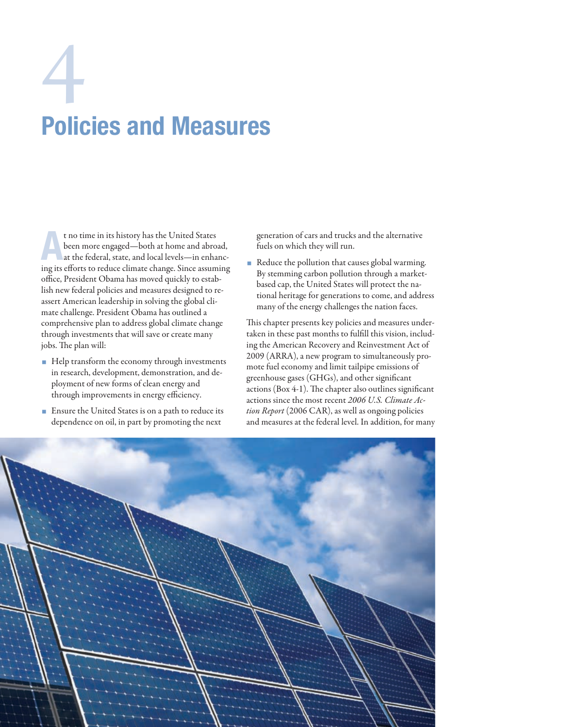# Policies and Measures 4

t no time in its history has the United States<br>
been more engaged—both at home and abroad,<br>
at the federal, state, and local levels—in enhanc-<br>
in eine formation dens climate these Since commiss been more engaged—both at home and abroad, ing its efforts to reduce climate change. Since assuming office, President Obama has moved quickly to establish new federal policies and measures designed to reassert American leadership in solving the global climate challenge. President Obama has outlined a comprehensive plan to address global climate change through investments that will save or create many jobs. The plan will:

- Help transform the economy through investments in research, development, demonstration, and deployment of new forms of clean energy and through improvements in energy efficiency.
- **Ensure the United States is on a path to reduce its** dependence on oil, in part by promoting the next

generation of cars and trucks and the alternative fuels on which they will run.

Reduce the pollution that causes global warming. By stemming carbon pollution through a marketbased cap, the United States will protect the national heritage for generations to come, and address many of the energy challenges the nation faces.

This chapter presents key policies and measures undertaken in these past months to fulfill this vision, including the American Recovery and Reinvestment Act of 2009 (ARRA), a new program to simultaneously promote fuel economy and limit tailpipe emissions of greenhouse gases (GHGs), and other significant actions (Box 4-1). The chapter also outlines significant actions since the most recent *2006 U.S. Climate Action Report* (2006 CAR), as well as ongoing policies and measures at the federal level. In addition, for many

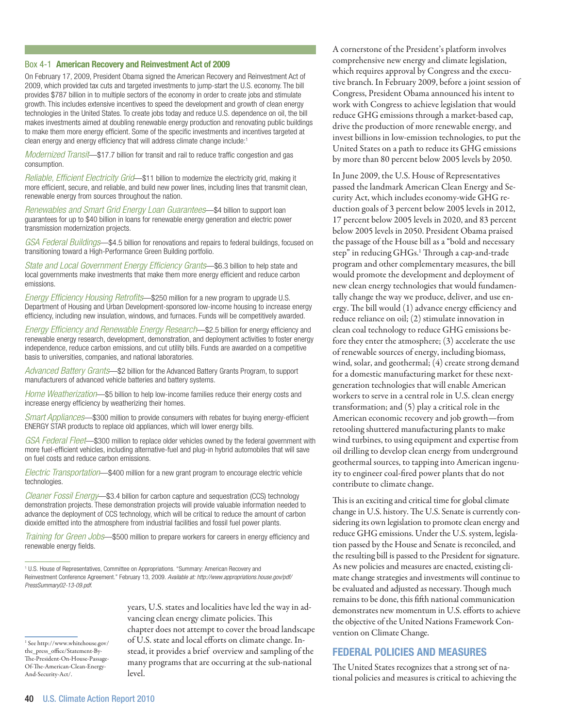#### Box 4-1 American Recovery and Reinvestment Act of 2009

On February 17, 2009, President Obama signed the American Recovery and Reinvestment Act of 2009, which provided tax cuts and targeted investments to jump-start the U.S. economy. The bill provides \$787 billion in to multiple sectors of the economy in order to create jobs and stimulate growth. This includes extensive incentives to speed the development and growth of clean energy technologies in the United States. To create jobs today and reduce U.S. dependence on oil, the bill makes investments aimed at doubling renewable energy production and renovating public buildings to make them more energy efficient. Some of the specific investments and incentives targeted at clean energy and energy efficiency that will address climate change include:1

*Modernized Transit*—\$17.7 billion for transit and rail to reduce traffic congestion and gas consumption.

*Reliable, Efficient Electricity Grid*—\$11 billion to modernize the electricity grid, making it more efficient, secure, and reliable, and build new power lines, including lines that transmit clean, renewable energy from sources throughout the nation.

*Renewables and Smart Grid Energy Loan Guarantees*—\$4 billion to support loan guarantees for up to \$40 billion in loans for renewable energy generation and electric power transmission modernization projects.

*GSA Federal Buildings*—\$4.5 billion for renovations and repairs to federal buildings, focused on transitioning toward a High-Performance Green Building portfolio.

*State and Local Government Energy Efficiency Grants*—\$6.3 billion to help state and local governments make investments that make them more energy efficient and reduce carbon emissions.

*Energy Efficiency Housing Retrofits*—\$250 million for a new program to upgrade U.S. Department of Housing and Urban Development-sponsored low-income housing to increase energy efficiency, including new insulation, windows, and furnaces. Funds will be competitively awarded.

*Energy Efficiency and Renewable Energy Research*—\$2.5 billion for energy efficiency and renewable energy research, development, demonstration, and deployment activities to foster energy independence, reduce carbon emissions, and cut utility bills. Funds are awarded on a competitive basis to universities, companies, and national laboratories.

*Advanced Battery Grants*—\$2 billion for the Advanced Battery Grants Program, to support manufacturers of advanced vehicle batteries and battery systems.

*Home Weatherization*—\$5 billion to help low-income families reduce their energy costs and increase energy efficiency by weatherizing their homes.

*Smart Appliances*—\$300 million to provide consumers with rebates for buying energy-efficient ENERGY STAR products to replace old appliances, which will lower energy bills.

*GSA Federal Fleet*—\$300 million to replace older vehicles owned by the federal government with more fuel-efficient vehicles, including alternative-fuel and plug-in hybrid automobiles that will save on fuel costs and reduce carbon emissions.

*Electric Transportation*—\$400 million for a new grant program to encourage electric vehicle technologies.

*Cleaner Fossil Energy*—\$3.4 billion for carbon capture and sequestration (CCS) technology demonstration projects. These demonstration projects will provide valuable information needed to advance the deployment of CCS technology, which will be critical to reduce the amount of carbon dioxide emitted into the atmosphere from industrial facilities and fossil fuel power plants.

*Training for Green Jobs*—\$500 million to prepare workers for careers in energy efficiency and renewable energy fields.

1 U.S. House of Representatives, Committee on Appropriations. "Summary: American Recovery and Reinvestment Conference Agreement." February 13, 2009. *Available at: http://www.appropriations.house.gov/pdf/ PressSummary02-13-09.pdf.*

1 See http://www.whitehouse.gov/ the\_press\_office/Statement-By-The-President-On-House-Passage-Of-The-American-Clean-Energy-And-Security-Act/.

\_\_\_\_\_\_\_\_\_

years, U.S. states and localities have led the way in advancing clean energy climate policies. This chapter does not attempt to cover the broad landscape of U.S. state and local efforts on climate change. Instead, it provides a brief overview and sampling of the many programs that are occurring at the sub-national level.

A cornerstone of the President's platform involves comprehensive new energy and climate legislation, which requires approval by Congress and the executive branch. In February 2009, before a joint session of Congress, President Obama announced his intent to work with Congress to achieve legislation that would reduce GHG emissions through a market-based cap, drive the production of more renewable energy, and invest billions in low-emission technologies, to put the United States on a path to reduce its GHG emissions by more than 80 percent below 2005 levels by 2050.

In June 2009, the U.S. House of Representatives passed the landmark American Clean Energy and Security Act, which includes economy-wide GHG reduction goals of 3 percent below 2005 levels in 2012, 17 percent below 2005 levels in 2020, and 83 percent below 2005 levels in 2050. President Obama praised the passage of the House bill as a "bold and necessary step" in reducing GHGs.<sup>1</sup> Through a cap-and-trade program and other complementary measures, the bill would promote the development and deployment of new clean energy technologies that would fundamentally change the way we produce, deliver, and use energy. The bill would (1) advance energy efficiency and reduce reliance on oil; (2) stimulate innovation in clean coal technology to reduce GHG emissions before they enter the atmosphere; (3) accelerate the use of renewable sources of energy, including biomass, wind, solar, and geothermal; (4) create strong demand for a domestic manufacturing market for these nextgeneration technologies that will enable American workers to serve in a central role in U.S. clean energy transformation; and (5) play a critical role in the American economic recovery and job growth—from retooling shuttered manufacturing plants to make wind turbines, to using equipment and expertise from oil drilling to develop clean energy from underground geothermal sources, to tapping into American ingenuity to engineer coal-fired power plants that do not contribute to climate change.

This is an exciting and critical time for global climate change in U.S. history. The U.S. Senate is currently considering its own legislation to promote clean energy and reduce GHG emissions. Under the U.S. system, legislation passed by the House and Senate is reconciled, and the resulting bill is passed to the President for signature. As new policies and measures are enacted, existing climate change strategies and investments will continue to be evaluated and adjusted as necessary. Though much remains to be done, this fifth national communication demonstrates new momentum in U.S. efforts to achieve the objective of the United Nations Framework Convention on Climate Change.

# Federal Policies and Measures

The United States recognizes that a strong set of national policies and measures is critical to achieving the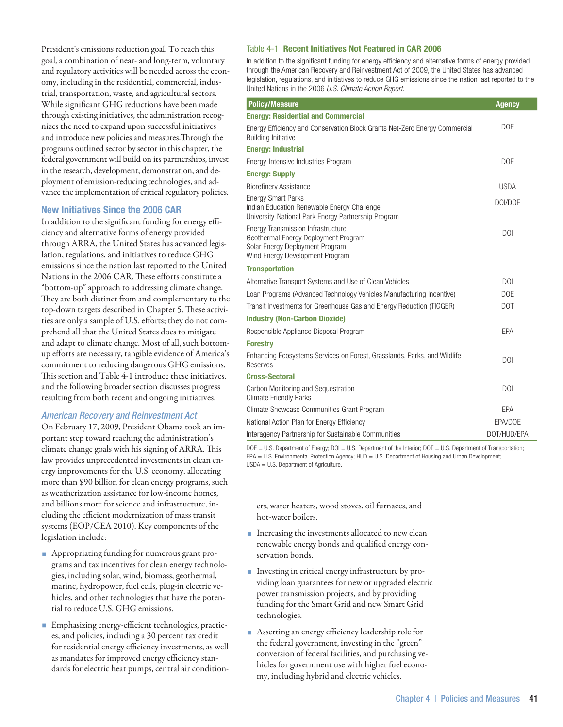President's emissions reduction goal. To reach this goal, a combination of near- and long-term, voluntary and regulatory activities will be needed across the economy, including in the residential, commercial, industrial, transportation, waste, and agricultural sectors. While significant GHG reductions have been made through existing initiatives, the administration recognizes the need to expand upon successful initiatives and introduce new policies and measures.Through the programs outlined sector by sector in this chapter, the federal government will build on its partnerships, invest in the research, development, demonstration, and deployment of emission-reducing technologies, and advance the implementation of critical regulatory policies.

# New Initiatives Since the 2006 CAR

In addition to the significant funding for energy efficiency and alternative forms of energy provided through ARRA, the United States has advanced legislation, regulations, and initiatives to reduce GHG emissions since the nation last reported to the United Nations in the 2006 CAR. These efforts constitute a "bottom-up" approach to addressing climate change. They are both distinct from and complementary to the top-down targets described in Chapter 5. These activities are only a sample of U.S. efforts; they do not comprehend all that the United States does to mitigate and adapt to climate change. Most of all, such bottomup efforts are necessary, tangible evidence of America's commitment to reducing dangerous GHG emissions. This section and Table 4-1 introduce these initiatives, and the following broader section discusses progress resulting from both recent and ongoing initiatives.

# *American Recovery and Reinvestment Act*

On February 17, 2009, President Obama took an important step toward reaching the administration's climate change goals with his signing of ARRA. This law provides unprecedented investments in clean energy improvements for the U.S. economy, allocating more than \$90 billion for clean energy programs, such as weatherization assistance for low-income homes, and billions more for science and infrastructure, including the efficient modernization of mass transit systems (EOP/CEA 2010). Key components of the legislation include:

- Appropriating funding for numerous grant programs and tax incentives for clean energy technologies, including solar, wind, biomass, geothermal, marine, hydropower, fuel cells, plug-in electric vehicles, and other technologies that have the potential to reduce U.S. GHG emissions.
- Emphasizing energy-efficient technologies, practices, and policies, including a 30 percent tax credit for residential energy efficiency investments, as well as mandates for improved energy efficiency standards for electric heat pumps, central air condition-

# Table 4-1 Recent Initiatives Not Featured in CAR 2006

In addition to the significant funding for energy efficiency and alternative forms of energy provided through the American Recovery and Reinvestment Act of 2009, the United States has advanced legislation, regulations, and initiatives to reduce GHG emissions since the nation last reported to the United Nations in the 2006 *U.S. Climate Action Report.*

| <b>Policy/Measure</b>                                                                                                                                   | <b>Agency</b>  |
|---------------------------------------------------------------------------------------------------------------------------------------------------------|----------------|
| <b>Energy: Residential and Commercial</b>                                                                                                               |                |
| Energy Efficiency and Conservation Block Grants Net-Zero Energy Commercial<br><b>Building Initiative</b>                                                | <b>DOE</b>     |
| <b>Energy: Industrial</b>                                                                                                                               |                |
| Energy-Intensive Industries Program                                                                                                                     | <b>DOE</b>     |
| <b>Energy: Supply</b>                                                                                                                                   |                |
| <b>Biorefinery Assistance</b>                                                                                                                           | <b>USDA</b>    |
| <b>Energy Smart Parks</b><br>Indian Education Renewable Energy Challenge<br>University-National Park Energy Partnership Program                         | DOI/DOE        |
| <b>Energy Transmission Infrastructure</b><br>Geothermal Energy Deployment Program<br>Solar Energy Deployment Program<br>Wind Energy Development Program | <b>DOI</b>     |
| <b>Transportation</b>                                                                                                                                   |                |
| Alternative Transport Systems and Use of Clean Vehicles                                                                                                 | D <sub>0</sub> |
| Loan Programs (Advanced Technology Vehicles Manufacturing Incentive)                                                                                    | <b>DOE</b>     |
| Transit Investments for Greenhouse Gas and Energy Reduction (TIGGER)                                                                                    | <b>DOT</b>     |
| <b>Industry (Non-Carbon Dioxide)</b>                                                                                                                    |                |
| Responsible Appliance Disposal Program                                                                                                                  | EPA            |
| <b>Forestry</b>                                                                                                                                         |                |
| Enhancing Ecosystems Services on Forest, Grasslands, Parks, and Wildlife<br>Reserves                                                                    | <b>DOI</b>     |
| <b>Cross-Sectoral</b>                                                                                                                                   |                |
| Carbon Monitoring and Sequestration<br><b>Climate Friendly Parks</b>                                                                                    | D <sub>0</sub> |
| Climate Showcase Communities Grant Program                                                                                                              | EPA            |
| National Action Plan for Energy Efficiency                                                                                                              | EPA/DOE        |
| Interagency Partnership for Sustainable Communities                                                                                                     | DOT/HUD/EPA    |

DOE = U.S. Department of Energy; DOI = U.S. Department of the Interior; DOT = U.S. Department of Transportation; EPA = U.S. Environmental Protection Agency; HUD = U.S. Department of Housing and Urban Development; USDA = U.S. Department of Agriculture.

ers, water heaters, wood stoves, oil furnaces, and hot-water boilers.

- **Increasing the investments allocated to new clean** renewable energy bonds and qualified energy conservation bonds.
- Investing in critical energy infrastructure by providing loan guarantees for new or upgraded electric power transmission projects, and by providing funding for the Smart Grid and new Smart Grid technologies.
- Asserting an energy efficiency leadership role for the federal government, investing in the "green" conversion of federal facilities, and purchasing vehicles for government use with higher fuel economy, including hybrid and electric vehicles.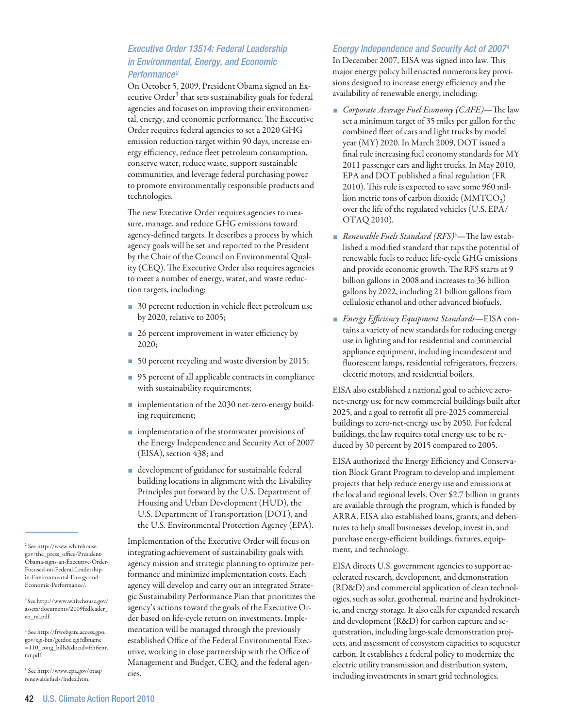# *Executive Order 13514: Federal Leadership in Environmental, Energy, and Economic Performance2*

On October 5, 2009, President Obama signed an Executive Order<sup>3</sup> that sets sustainability goals for federal agencies and focuses on improving their environmental, energy, and economic performance. The Executive Order requires federal agencies to set a 2020 GHG emission reduction target within 90 days, increase energy efficiency, reduce fleet petroleum consumption, conserve water, reduce waste, support sustainable communities, and leverage federal purchasing power to promote environmentally responsible products and technologies.

The new Executive Order requires agencies to measure, manage, and reduce GHG emissions toward agency-defined targets. It describes a process by which agency goals will be set and reported to the President by the Chair of the Council on Environmental Quality (CEQ). The Executive Order also requires agencies to meet a number of energy, water, and waste reduction targets, including:

- 30 percent reduction in vehicle fleet petroleum use by 2020, relative to 2005;
- 26 percent improvement in water efficiency by 2020;
- 50 percent recycling and waste diversion by 2015;
- 95 percent of all applicable contracts in compliance with sustainability requirements;
- **n** implementation of the 2030 net-zero-energy building requirement;
- **n** implementation of the stormwater provisions of the Energy Independence and Security Act of 2007 (EISA), section 438; and
- development of guidance for sustainable federal building locations in alignment with the Livability Principles put forward by the U.S. Department of Housing and Urban Development (HUD), the U.S. Department of Transportation (DOT), and the U.S. Environmental Protection Agency (EPA).

Implementation of the Executive Order will focus on integrating achievement of sustainability goals with agency mission and strategic planning to optimize performance and minimize implementation costs. Each agency will develop and carry out an integrated Strategic Sustainability Performance Plan that prioritizes the agency's actions toward the goals of the Executive Order based on life-cycle return on investments. Implementation will be managed through the previously established Office of the Federal Environmental Executive, working in close partnership with the Office of Management and Budget, CEQ, and the federal agencies.

# *Energy Independence and Security Act of 20074*

In December 2007, EISA was signed into law. This major energy policy bill enacted numerous key provisions designed to increase energy efficiency and the availability of renewable energy, including:

- *Corporate Average Fuel Economy (CAFE)*—The law set a minimum target of 35 miles per gallon for the combined fleet of cars and light trucks by model year (MY) 2020. In March 2009, DOT issued a final rule increasing fuel economy standards for MY 2011 passenger cars and light trucks. In May 2010, EPA and DOT published a final regulation (FR 2010). This rule is expected to save some 960 million metric tons of carbon dioxide  $(MMTCO<sub>2</sub>)$ over the life of the regulated vehicles (U.S. EPA/ OTAQ 2010).
- *Renewable Fuels Standard (RFS)*<sup>5</sup> —The law established a modified standard that taps the potential of renewable fuels to reduce life-cycle GHG emissions and provide economic growth. The RFS starts at 9 billion gallons in 2008 and increases to 36 billion gallons by 2022, including 21 billion gallons from cellulosic ethanol and other advanced biofuels.
- *Energy Efficiency Equipment Standards*—EISA contains a variety of new standards for reducing energy use in lighting and for residential and commercial appliance equipment, including incandescent and fluorescent lamps, residential refrigerators, freezers, electric motors, and residential boilers.

EISA also established a national goal to achieve zeronet-energy use for new commercial buildings built after 2025, and a goal to retrofit all pre-2025 commercial buildings to zero-net-energy use by 2050. For federal buildings, the law requires total energy use to be reduced by 30 percent by 2015 compared to 2005.

EISA authorized the Energy Efficiency and Conservation Block Grant Program to develop and implement projects that help reduce energy use and emissions at the local and regional levels. Over \$2.7 billion in grants are available through the program, which is funded by ARRA. EISA also established loans, grants, and debentures to help small businesses develop, invest in, and purchase energy-efficient buildings, fixtures, equipment, and technology.

EISA directs U.S. government agencies to support accelerated research, development, and demonstration (RD&D) and commercial application of clean technologies, such as solar, geothermal, marine and hydrokinetic, and energy storage. It also calls for expanded research and development (R&D) for carbon capture and sequestration, including large-scale demonstration projects, and assessment of ecosystem capacities to sequester carbon. It establishes a federal policy to modernize the electric utility transmission and distribution system, including investments in smart grid technologies.

2 See http://www.whitehouse. gov/the\_press\_office/President-Obama-signs-an-Executive-Order-Focused-on-Federal-Leadershipin-Environmental-Energy-and-Economic-Performance/.

3 See http://www.whitehouse.gov/ assets/documents/2009fedleader\_ eo\_rel.pdf.

4 See http://frwebgate.access.gpo. gov/cgi-bin/getdoc.cgi?dbname =110\_cong\_bills&docid=f:h6enr. txt.pdf.

5 See http://www.epa.gov/otaq/ renewablefuels/index.htm.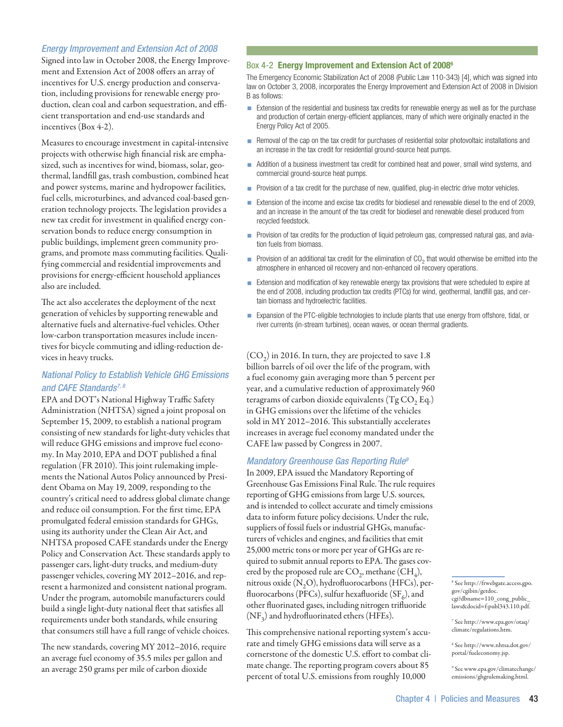# *Energy Improvement and Extension Act of 2008*

Signed into law in October 2008, the Energy Improvement and Extension Act of 2008 offers an array of incentives for U.S. energy production and conservation, including provisions for renewable energy production, clean coal and carbon sequestration, and efficient transportation and end-use standards and incentives (Box 4-2).

Measures to encourage investment in capital-intensive projects with otherwise high financial risk are emphasized, such as incentives for wind, biomass, solar, geothermal, landfill gas, trash combustion, combined heat and power systems, marine and hydropower facilities, fuel cells, microturbines, and advanced coal-based generation technology projects. The legislation provides a new tax credit for investment in qualified energy conservation bonds to reduce energy consumption in public buildings, implement green community programs, and promote mass commuting facilities. Qualifying commercial and residential improvements and provisions for energy-efficient household appliances also are included.

The act also accelerates the deployment of the next generation of vehicles by supporting renewable and alternative fuels and alternative-fuel vehicles. Other low-carbon transportation measures include incentives for bicycle commuting and idling-reduction devices in heavy trucks.

# *National Policy to Establish Vehicle GHG Emissions and CAFE Standards7, 8*

EPA and DOT's National Highway Traffic Safety Administration (NHTSA) signed a joint proposal on September 15, 2009, to establish a national program consisting of new standards for light-duty vehicles that will reduce GHG emissions and improve fuel economy. In May 2010, EPA and DOT published a final regulation (FR 2010). This joint rulemaking implements the National Autos Policy announced by President Obama on May 19, 2009, responding to the country's critical need to address global climate change and reduce oil consumption. For the first time, EPA promulgated federal emission standards for GHGs, using its authority under the Clean Air Act, and NHTSA proposed CAFE standards under the Energy Policy and Conservation Act. These standards apply to passenger cars, light-duty trucks, and medium-duty passenger vehicles, covering MY 2012–2016, and represent a harmonized and consistent national program. Under the program, automobile manufacturers could build a single light-duty national fleet that satisfies all requirements under both standards, while ensuring that consumers still have a full range of vehicle choices.

The new standards, covering MY 2012–2016, require an average fuel economy of 35.5 miles per gallon and an average 250 grams per mile of carbon dioxide

# Box 4-2 Energy Improvement and Extension Act of 2008<sup>6</sup>

The Emergency Economic Stabilization Act of 2008 (Public Law 110-343) [4], which was signed into law on October 3, 2008, incorporates the Energy Improvement and Extension Act of 2008 in Division B as follows:

- **Extension of the residential and business tax credits for renewable energy as well as for the purchase** and production of certain energy-efficient appliances, many of which were originally enacted in the Energy Policy Act of 2005.
- Removal of the cap on the tax credit for purchases of residential solar photovoltaic installations and an increase in the tax credit for residential ground-source heat pumps.
- Addition of a business investment tax credit for combined heat and power, small wind systems, and commercial ground-source heat pumps.
- **Provision of a tax credit for the purchase of new, qualified, plug-in electric drive motor vehicles.**
- Extension of the income and excise tax credits for biodiesel and renewable diesel to the end of 2009, and an increase in the amount of the tax credit for biodiesel and renewable diesel produced from recycled feedstock.
- **Provision of tax credits for the production of liquid petroleum gas, compressed natural gas, and avia**tion fuels from biomass.
- **Provision of an additional tax credit for the elimination of CO<sub>2</sub> that would otherwise be emitted into the** atmosphere in enhanced oil recovery and non-enhanced oil recovery operations.
- **Extension and modification of key renewable energy tax provisions that were scheduled to expire at** the end of 2008, including production tax credits (PTCs) for wind, geothermal, landfill gas, and certain biomass and hydroelectric facilities.
- Expansion of the PTC-eligible technologies to include plants that use energy from offshore, tidal, or river currents (in-stream turbines), ocean waves, or ocean thermal gradients.

 $({\rm CO}_2)$  in 2016. In turn, they are projected to save 1.8 billion barrels of oil over the life of the program, with a fuel economy gain averaging more than 5 percent per year, and a cumulative reduction of approximately 960 teragrams of carbon dioxide equivalents  $(Tg CO, Eq.)$ in GHG emissions over the lifetime of the vehicles sold in MY 2012–2016. This substantially accelerates increases in average fuel economy mandated under the CAFE law passed by Congress in 2007.

## *Mandatory Greenhouse Gas Reporting Rule9*

In 2009, EPA issued the Mandatory Reporting of Greenhouse Gas Emissions Final Rule. The rule requires reporting of GHG emissions from large U.S. sources, and is intended to collect accurate and timely emissions data to inform future policy decisions. Under the rule, suppliers of fossil fuels or industrial GHGs, manufacturers of vehicles and engines, and facilities that emit 25,000 metric tons or more per year of GHGs are required to submit annual reports to EPA. The gases covered by the proposed rule are  $CO_2$ , methane  $(CH_4)$ , nitrous oxide  $(N, O)$ , hydrofluorocarbons (HFCs), perfluorocarbons (PFCs), sulfur hexafluoride (SF $_6$ ), and other fluorinated gases, including nitrogen trifluoride (NF<sub>3</sub>) and hydrofluorinated ethers (HFEs).

This comprehensive national reporting system's accurate and timely GHG emissions data will serve as a cornerstone of the domestic U.S. effort to combat climate change. The reporting program covers about 85 percent of total U.S. emissions from roughly 10,000

8 See http://www.nhtsa.dot.gov/ portal/fueleconomy.jsp.

9 See www.epa.gov/climatechange/ emissions/ghgrulemaking.html.

<sup>6</sup> See http://frwebgate.access.gpo. gov/cgibin/getdoc. cgi?dbname=110\_cong\_public\_ laws&docid=f:publ343.110.pdf.

<sup>7</sup> See http://www.epa.gov/otaq/ climate/regulations.htm.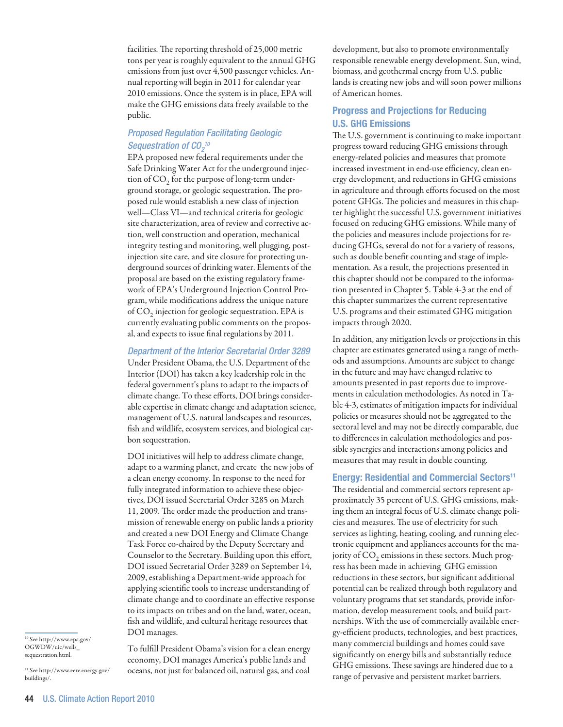facilities. The reporting threshold of 25,000 metric tons per year is roughly equivalent to the annual GHG emissions from just over 4,500 passenger vehicles. Annual reporting will begin in 2011 for calendar year 2010 emissions. Once the system is in place, EPA will make the GHG emissions data freely available to the public.

# *Proposed Regulation Facilitating Geologic Sequestration of CO2 10*

EPA proposed new federal requirements under the Safe Drinking Water Act for the underground injection of  $CO<sub>2</sub>$  for the purpose of long-term underground storage, or geologic sequestration. The proposed rule would establish a new class of injection well—Class VI—and technical criteria for geologic site characterization, area of review and corrective action, well construction and operation, mechanical integrity testing and monitoring, well plugging, postinjection site care, and site closure for protecting underground sources of drinking water. Elements of the proposal are based on the existing regulatory framework of EPA's Underground Injection Control Program, while modifications address the unique nature of  $CO<sub>2</sub>$  injection for geologic sequestration. EPA is currently evaluating public comments on the proposal, and expects to issue final regulations by 2011.

# *Department of the Interior Secretarial Order 3289*

Under President Obama, the U.S. Department of the Interior (DOI) has taken a key leadership role in the federal government's plans to adapt to the impacts of climate change. To these efforts, DOI brings considerable expertise in climate change and adaptation science, management of U.S. natural landscapes and resources, fish and wildlife, ecosystem services, and biological carbon sequestration.

DOI initiatives will help to address climate change, adapt to a warming planet, and create the new jobs of a clean energy economy. In response to the need for fully integrated information to achieve these objectives, DOI issued Secretarial Order 3285 on March 11, 2009. The order made the production and transmission of renewable energy on public lands a priority and created a new DOI Energy and Climate Change Task Force co-chaired by the Deputy Secretary and Counselor to the Secretary. Building upon this effort, DOI issued Secretarial Order 3289 on September 14, 2009, establishing a Department-wide approach for applying scientific tools to increase understanding of climate change and to coordinate an effective response to its impacts on tribes and on the land, water, ocean, fish and wildlife, and cultural heritage resources that DOI manages.

10 See http://www.epa.gov/ OGWDW/uic/wells\_ sequestration.html.

11 See http://www.eere.energy.gov/ buildings/.

To fulfill President Obama's vision for a clean energy economy, DOI manages America's public lands and oceans, not just for balanced oil, natural gas, and coal

development, but also to promote environmentally responsible renewable energy development. Sun, wind, biomass, and geothermal energy from U.S. public lands is creating new jobs and will soon power millions of American homes.

# Progress and Projections for Reducing U.S. GHG Emissions

The U.S. government is continuing to make important progress toward reducing GHG emissions through energy-related policies and measures that promote increased investment in end-use efficiency, clean energy development, and reductions in GHG emissions in agriculture and through efforts focused on the most potent GHGs. The policies and measures in this chapter highlight the successful U.S. government initiatives focused on reducing GHG emissions. While many of the policies and measures include projections for reducing GHGs, several do not for a variety of reasons, such as double benefit counting and stage of implementation. As a result, the projections presented in this chapter should not be compared to the information presented in Chapter 5. Table 4-3 at the end of this chapter summarizes the current representative U.S. programs and their estimated GHG mitigation impacts through 2020.

In addition, any mitigation levels or projections in this chapter are estimates generated using a range of methods and assumptions. Amounts are subject to change in the future and may have changed relative to amounts presented in past reports due to improvements in calculation methodologies. As noted in Table 4-3, estimates of mitigation impacts for individual policies or measures should not be aggregated to the sectoral level and may not be directly comparable, due to differences in calculation methodologies and possible synergies and interactions among policies and measures that may result in double counting.

# Energy: Residential and Commercial Sectors<sup>11</sup>

The residential and commercial sectors represent approximately 35 percent of U.S. GHG emissions, making them an integral focus of U.S. climate change policies and measures. The use of electricity for such services as lighting, heating, cooling, and running electronic equipment and appliances accounts for the majority of  $CO<sub>2</sub>$  emissions in these sectors. Much progress has been made in achieving GHG emission reductions in these sectors, but significant additional potential can be realized through both regulatory and voluntary programs that set standards, provide information, develop measurement tools, and build partnerships. With the use of commercially available energy-efficient products, technologies, and best practices, many commercial buildings and homes could save significantly on energy bills and substantially reduce GHG emissions. These savings are hindered due to a range of pervasive and persistent market barriers.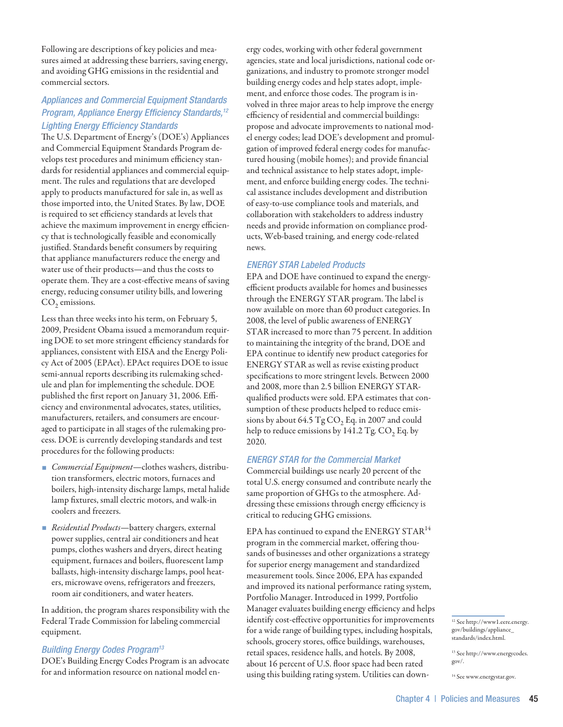Following are descriptions of key policies and measures aimed at addressing these barriers, saving energy, and avoiding GHG emissions in the residential and commercial sectors.

# *Appliances and Commercial Equipment Standards Program, Appliance Energy Efficiency Standards,12 Lighting Energy Efficiency Standards*

The U.S. Department of Energy's (DOE's) Appliances and Commercial Equipment Standards Program develops test procedures and minimum efficiency standards for residential appliances and commercial equipment. The rules and regulations that are developed apply to products manufactured for sale in, as well as those imported into, the United States. By law, DOE is required to set efficiency standards at levels that achieve the maximum improvement in energy efficiency that is technologically feasible and economically justified. Standards benefit consumers by requiring that appliance manufacturers reduce the energy and water use of their products—and thus the costs to operate them. They are a cost-effective means of saving energy, reducing consumer utility bills, and lowering  $CO<sub>2</sub>$  emissions.

Less than three weeks into his term, on February 5, 2009, President Obama issued a memorandum requiring DOE to set more stringent efficiency standards for appliances, consistent with EISA and the Energy Policy Act of 2005 (EPAct). EPAct requires DOE to issue semi-annual reports describing its rulemaking schedule and plan for implementing the schedule. DOE published the first report on January 31, 2006. Efficiency and environmental advocates, states, utilities, manufacturers, retailers, and consumers are encouraged to participate in all stages of the rulemaking process. DOE is currently developing standards and test procedures for the following products:

- *Commercial Equipment*—clothes washers, distribution transformers, electric motors, furnaces and boilers, high-intensity discharge lamps, metal halide lamp fixtures, small electric motors, and walk-in coolers and freezers.
- *Residential Products*—battery chargers, external power supplies, central air conditioners and heat pumps, clothes washers and dryers, direct heating equipment, furnaces and boilers, fluorescent lamp ballasts, high-intensity discharge lamps, pool heaters, microwave ovens, refrigerators and freezers, room air conditioners, and water heaters.

In addition, the program shares responsibility with the Federal Trade Commission for labeling commercial equipment.

# *Building Energy Codes Program13*

DOE's Building Energy Codes Program is an advocate for and information resource on national model energy codes, working with other federal government agencies, state and local jurisdictions, national code organizations, and industry to promote stronger model building energy codes and help states adopt, implement, and enforce those codes. The program is involved in three major areas to help improve the energy efficiency of residential and commercial buildings: propose and advocate improvements to national model energy codes; lead DOE's development and promulgation of improved federal energy codes for manufactured housing (mobile homes); and provide financial and technical assistance to help states adopt, implement, and enforce building energy codes. The technical assistance includes development and distribution of easy-to-use compliance tools and materials, and collaboration with stakeholders to address industry needs and provide information on compliance products, Web-based training, and energy code-related news.

# *ENERGY STAR Labeled Products*

EPA and DOE have continued to expand the energyefficient products available for homes and businesses through the ENERGY STAR program. The label is now available on more than 60 product categories. In 2008, the level of public awareness of ENERGY STAR increased to more than 75 percent. In addition to maintaining the integrity of the brand, DOE and EPA continue to identify new product categories for ENERGY STAR as well as revise existing product specifications to more stringent levels. Between 2000 and 2008, more than 2.5 billion ENERGY STARqualified products were sold. EPA estimates that consumption of these products helped to reduce emissions by about 64.5  $TgCO$ , Eq. in 2007 and could help to reduce emissions by  $141.2$  Tg. CO<sub>2</sub> Eq. by 2020.

# *ENERGY STAR for the Commercial Market*

Commercial buildings use nearly 20 percent of the total U.S. energy consumed and contribute nearly the same proportion of GHGs to the atmosphere. Addressing these emissions through energy efficiency is critical to reducing GHG emissions.

EPA has continued to expand the ENERGY STAR<sup>14</sup> program in the commercial market, offering thousands of businesses and other organizations a strategy for superior energy management and standardized measurement tools. Since 2006, EPA has expanded and improved its national performance rating system, Portfolio Manager. Introduced in 1999, Portfolio Manager evaluates building energy efficiency and helps identify cost-effective opportunities for improvements for a wide range of building types, including hospitals, schools, grocery stores, office buildings, warehouses, retail spaces, residence halls, and hotels. By 2008, about 16 percent of U.S. floor space had been rated using this building rating system. Utilities can down-

<sup>12</sup> See http://www1.eere.energy. gov/buildings/appliance\_ standards/index.html.

<sup>13</sup> See http://www.energycodes. gov/.

<sup>&</sup>lt;sup>14</sup> See www.energystar.gov.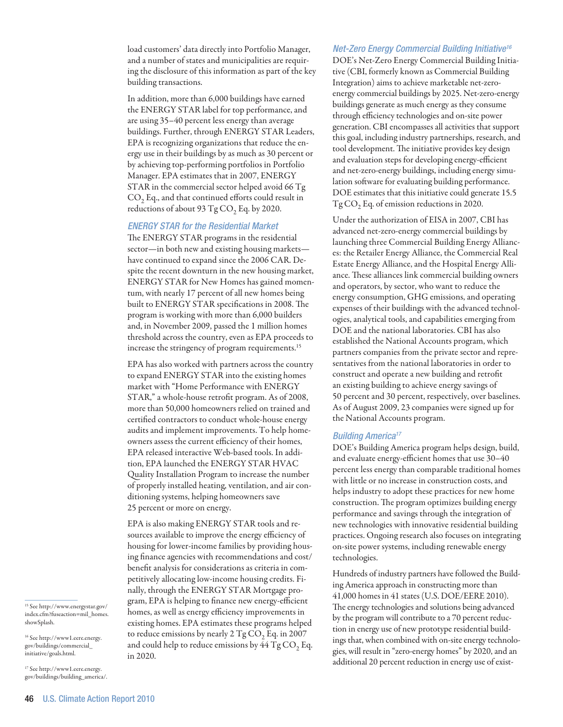load customers' data directly into Portfolio Manager, and a number of states and municipalities are requiring the disclosure of this information as part of the key building transactions.

In addition, more than 6,000 buildings have earned the ENERGY STAR label for top performance, and are using 35–40 percent less energy than average buildings. Further, through ENERGY STAR Leaders, EPA is recognizing organizations that reduce the energy use in their buildings by as much as 30 percent or by achieving top-performing portfolios in Portfolio Manager. EPA estimates that in 2007, ENERGY STAR in the commercial sector helped avoid 66 Tg CO<sub>2</sub> Eq., and that continued efforts could result in reductions of about 93 Tg  $CO$ , Eq. by 2020.

# *ENERGY STAR for the Residential Market*

The ENERGY STAR programs in the residential sector—in both new and existing housing markets have continued to expand since the 2006 CAR. Despite the recent downturn in the new housing market, ENERGY STAR for New Homes has gained momentum, with nearly 17 percent of all new homes being built to ENERGY STAR specifications in 2008. The program is working with more than 6,000 builders and, in November 2009, passed the 1 million homes threshold across the country, even as EPA proceeds to increase the stringency of program requirements.<sup>15</sup>

EPA has also worked with partners across the country to expand ENERGY STAR into the existing homes market with "Home Performance with ENERGY STAR," a whole-house retrofit program. As of 2008, more than 50,000 homeowners relied on trained and certified contractors to conduct whole-house energy audits and implement improvements. To help homeowners assess the current efficiency of their homes, EPA released interactive Web-based tools. In addition, EPA launched the ENERGY STAR HVAC Quality Installation Program to increase the number of properly installed heating, ventilation, and air conditioning systems, helping homeowners save 25 percent or more on energy.

EPA is also making ENERGY STAR tools and resources available to improve the energy efficiency of housing for lower-income families by providing housing finance agencies with recommendations and cost/ benefit analysis for considerations as criteria in competitively allocating low-income housing credits. Finally, through the ENERGY STAR Mortgage program, EPA is helping to finance new energy-efficient homes, as well as energy efficiency improvements in existing homes. EPA estimates these programs helped to reduce emissions by nearly  $2 \text{ Tg CO}_2$  Eq. in 2007 and could help to reduce emissions by  $44$  Tg CO<sub>2</sub> Eq. in 2020.

#### *Net-Zero Energy Commercial Building Initiative16*

DOE's Net-Zero Energy Commercial Building Initiative (CBI, formerly known as Commercial Building Integration) aims to achieve marketable net-zeroenergy commercial buildings by 2025. Net-zero-energy buildings generate as much energy as they consume through efficiency technologies and on-site power generation. CBI encompasses all activities that support this goal, including industry partnerships, research, and tool development. The initiative provides key design and evaluation steps for developing energy-efficient and net-zero-energy buildings, including energy simulation software for evaluating building performance. DOE estimates that this initiative could generate 15.5 Tg CO<sub>2</sub> Eq. of emission reductions in 2020.

Under the authorization of EISA in 2007, CBI has advanced net-zero-energy commercial buildings by launching three Commercial Building Energy Alliances: the Retailer Energy Alliance, the Commercial Real Estate Energy Alliance, and the Hospital Energy Alliance. These alliances link commercial building owners and operators, by sector, who want to reduce the energy consumption, GHG emissions, and operating expenses of their buildings with the advanced technologies, analytical tools, and capabilities emerging from DOE and the national laboratories. CBI has also established the National Accounts program, which partners companies from the private sector and representatives from the national laboratories in order to construct and operate a new building and retrofit an existing building to achieve energy savings of 50 percent and 30 percent, respectively, over baselines. As of August 2009, 23 companies were signed up for the National Accounts program.

# *Building America17*

DOE's Building America program helps design, build, and evaluate energy-efficient homes that use 30–40 percent less energy than comparable traditional homes with little or no increase in construction costs, and helps industry to adopt these practices for new home construction. The program optimizes building energy performance and savings through the integration of new technologies with innovative residential building practices. Ongoing research also focuses on integrating on-site power systems, including renewable energy technologies.

Hundreds of industry partners have followed the Building America approach in constructing more than 41,000 homes in 41 states (U.S. DOE/EERE 2010). The energy technologies and solutions being advanced by the program will contribute to a 70 percent reduction in energy use of new prototype residential buildings that, when combined with on-site energy technologies, will result in "zero-energy homes" by 2020, and an additional 20 percent reduction in energy use of exist-

15 See http://www.energystar.gov/ index.cfm?fuseaction=mil\_homes. showSplash.

16 See http://www1.eere.energy. gov/buildings/commercial\_ initiative/goals.html.

17 See http://www1.eere.energy. gov/buildings/building\_america/.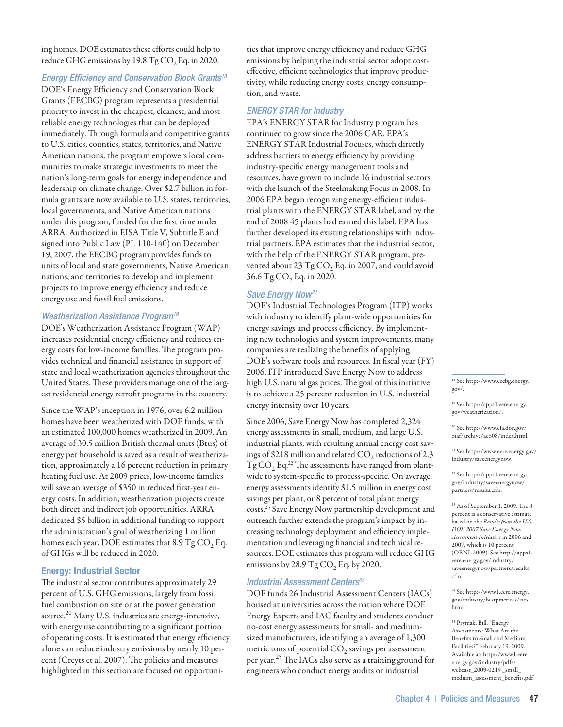ing homes. DOE estimates these efforts could help to reduce GHG emissions by 19.8  $TgCO<sub>2</sub>Eq.$  in 2020.

# *Energy Efficiency and Conservation Block Grants18*

DOE's Energy Efficiency and Conservation Block Grants (EECBG) program represents a presidential priority to invest in the cheapest, cleanest, and most reliable energy technologies that can be deployed immediately. Through formula and competitive grants to U.S. cities, counties, states, territories, and Native American nations, the program empowers local communities to make strategic investments to meet the nation's long-term goals for energy independence and leadership on climate change. Over \$2.7 billion in formula grants are now available to U.S. states, territories, local governments, and Native American nations under this program, funded for the first time under ARRA. Authorized in EISA Title V, Subtitle E and signed into Public Law (PL 110-140) on December 19, 2007, the EECBG program provides funds to units of local and state governments, Native American nations, and territories to develop and implement projects to improve energy efficiency and reduce energy use and fossil fuel emissions.

# *Weatherization Assistance Program19*

DOE's Weatherization Assistance Program (WAP) increases residential energy efficiency and reduces energy costs for low-income families. The program provides technical and financial assistance in support of state and local weatherization agencies throughout the United States. These providers manage one of the largest residential energy retrofit programs in the country.

Since the WAP's inception in 1976, over 6.2 million homes have been weatherized with DOE funds, with an estimated 100,000 homes weatherized in 2009. An average of 30.5 million British thermal units (Btus) of energy per household is saved as a result of weatherization, approximately a 16 percent reduction in primary heating fuel use. At 2009 prices, low-income families will save an average of \$350 in reduced first-year energy costs. In addition, weatherization projects create both direct and indirect job opportunities. ARRA dedicated \$5 billion in additional funding to support the administration's goal of weatherizing 1 million homes each year. DOE estimates that  $8.9 \text{ Tg CO}, \text{Eq}.$ of GHGs will be reduced in 2020.

# Energy: Industrial Sector

The industrial sector contributes approximately 29 percent of U.S. GHG emissions, largely from fossil fuel combustion on site or at the power generation source.<sup>20</sup> Many U.S. industries are energy-intensive, with energy use contributing to a significant portion of operating costs. It is estimated that energy efficiency alone can reduce industry emissions by nearly 10 percent (Creyts et al. 2007). The policies and measures highlighted in this section are focused on opportunities that improve energy efficiency and reduce GHG emissions by helping the industrial sector adopt costeffective, efficient technologies that improve productivity, while reducing energy costs, energy consumption, and waste.

#### *ENERGY STAR for Industry*

EPA's ENERGY STAR for Industry program has continued to grow since the 2006 CAR. EPA's ENERGY STAR Industrial Focuses, which directly address barriers to energy efficiency by providing industry-specific energy management tools and resources, have grown to include 16 industrial sectors with the launch of the Steelmaking Focus in 2008. In 2006 EPA began recognizing energy-efficient industrial plants with the ENERGY STAR label, and by the end of 2008 45 plants had earned this label. EPA has further developed its existing relationships with industrial partners. EPA estimates that the industrial sector, with the help of the ENERGY STAR program, prevented about 23  $TgCO$ , Eq. in 2007, and could avoid 36.6 Tg CO<sub>2</sub> Eq. in 2020.

## *Save Energy Now21*

DOE's Industrial Technologies Program (ITP) works with industry to identify plant-wide opportunities for energy savings and process efficiency. By implementing new technologies and system improvements, many companies are realizing the benefits of applying DOE's software tools and resources. In fiscal year (FY) 2006, ITP introduced Save Energy Now to address high U.S. natural gas prices. The goal of this initiative is to achieve a 25 percent reduction in U.S. industrial energy intensity over 10 years.

Since 2006, Save Energy Now has completed 2,324 energy assessments in small, medium, and large U.S. industrial plants, with resulting annual energy cost savings of \$218 million and related  $CO<sub>2</sub>$  reductions of 2.3  $Tg\,CO_2$  Eq.<sup>22</sup> The assessments have ranged from plantwide to system-specific to process-specific. On average, energy assessments identify \$1.5 million in energy cost savings per plant, or 8 percent of total plant energy costs.23 Save Energy Now partnership development and outreach further extends the program's impact by increasing technology deployment and efficiency implementation and leveraging financial and technical resources. DOE estimates this program will reduce GHG emissions by 28.9 Tg  $CO$ , Eq. by 2020.

#### *Industrial Assessment Centers24*

DOE funds 26 Industrial Assessment Centers (IACs) housed at universities across the nation where DOE Energy Experts and IAC faculty and students conduct no-cost energy assessments for small- and mediumsized manufacturers, identifying an average of 1,300 metric tons of potential  $CO<sub>2</sub>$  savings per assessment per year.<sup>25</sup> The IACs also serve as a training ground for engineers who conduct energy audits or industrial

18 See http://www.eecbg.energy. gov/.

19 See http://apps1.eere.energy. gov/weatherization/.

20 See http://www.eia.doe.gov/ oiaf/archive/aeo08/index.html.

21 See http://www.eere.energy.gov/ industry/saveenergynow.

22 See http://apps1.eere.energy. gov/industry/saveenergynow/ partners/results.cfm.

23 As of September 1, 2009. The 8 percent is a conservative estimate based on the *Results from the U.S. DOE 2007 Save Energy Now Assessment Initiative* in 2006 and 2007, which is 10 percent (ORNL 2009). See http://apps1. eere.energy.gov/industry/ saveenergynow/partners/results. cfm.

24 See http://www1.eere.energy. gov/industry/bestpractices/iacs. html.

25 Prymak, Bill. "Energy Assessments: What Are the Benefits to Small and Medium Facilities?" February 19, 2009. Available at: http://www1.eere. energy.gov/industry/pdfs/ webcast\_2009-0219 \_small\_ medium\_assessment\_benefits.pdf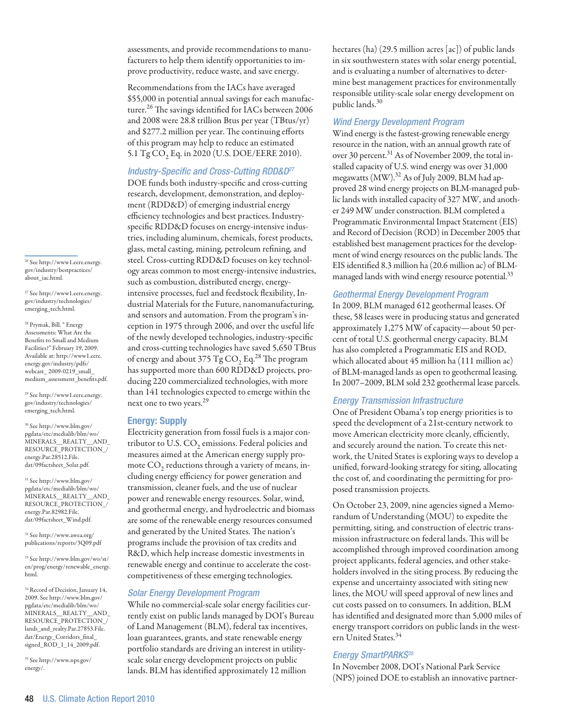assessments, and provide recommendations to manufacturers to help them identify opportunities to improve productivity, reduce waste, and save energy.

Recommendations from the IACs have averaged \$55,000 in potential annual savings for each manufacturer.<sup>26</sup> The savings identified for IACs between 2006 and 2008 were 28.8 trillion Btus per year (TBtus/yr) and \$277.2 million per year. The continuing efforts of this program may help to reduce an estimated 5.1 Tg CO<sub>2</sub> Eq. in 2020 (U.S. DOE/EERE 2010).

# *Industry-Specific and Cross-Cutting RDD&D27*

DOE funds both industry-specific and cross-cutting research, development, demonstration, and deployment (RDD&D) of emerging industrial energy efficiency technologies and best practices. Industryspecific RDD&D focuses on energy-intensive industries, including aluminum, chemicals, forest products, glass, metal casting, mining, petroleum refining, and steel. Cross-cutting RDD&D focuses on key technology areas common to most energy-intensive industries, such as combustion, distributed energy, energyintensive processes, fuel and feedstock flexibility, Industrial Materials for the Future, nanomanufacturing, and sensors and automation. From the program's inception in 1975 through 2006, and over the useful life of the newly developed technologies, industry-specific and cross-cutting technologies have saved 5,650 TBtus of energy and about 375 Tg  $CO<sub>2</sub>$  Eq.<sup>28</sup> The program has supported more than 600 RDD&D projects, producing 220 commercialized technologies, with more than 141 technologies expected to emerge within the next one to two years.<sup>29</sup>

# Energy: Supply

Electricity generation from fossil fuels is a major contributor to U.S.  $CO<sub>2</sub>$  emissions. Federal policies and measures aimed at the American energy supply promote  $CO<sub>2</sub>$  reductions through a variety of means, including energy efficiency for power generation and transmission, cleaner fuels, and the use of nuclear power and renewable energy resources. Solar, wind, and geothermal energy, and hydroelectric and biomass are some of the renewable energy resources consumed and generated by the United States. The nation's programs include the provision of tax credits and R&D, which help increase domestic investments in renewable energy and continue to accelerate the costcompetitiveness of these emerging technologies.

# *Solar Energy Development Program*

While no commercial-scale solar energy facilities currently exist on public lands managed by DOI's Bureau of Land Management (BLM), federal tax incentives, loan guarantees, grants, and state renewable energy portfolio standards are driving an interest in utilityscale solar energy development projects on public lands. BLM has identified approximately 12 million

hectares (ha) (29.5 million acres [ac]) of public lands in six southwestern states with solar energy potential, and is evaluating a number of alternatives to determine best management practices for environmentally responsible utility-scale solar energy development on public lands.30

# *Wind Energy Development Program*

Wind energy is the fastest-growing renewable energy resource in the nation, with an annual growth rate of over 30 percent.<sup>31</sup> As of November 2009, the total installed capacity of U.S. wind energy was over 31,000 megawatts (MW).<sup>32</sup> As of July 2009, BLM had approved 28 wind energy projects on BLM-managed public lands with installed capacity of 327 MW, and another 249 MW under construction. BLM completed a Programmatic Environmental Impact Statement (EIS) and Record of Decision (ROD) in December 2005 that established best management practices for the development of wind energy resources on the public lands. The EIS identified 8.3 million ha (20.6 million ac) of BLMmanaged lands with wind energy resource potential.<sup>33</sup>

# *Geothermal Energy Development Program*

In 2009, BLM managed 612 geothermal leases. Of these, 58 leases were in producing status and generated approximately 1,275 MW of capacity—about 50 percent of total U.S. geothermal energy capacity. BLM has also completed a Programmatic EIS and ROD, which allocated about 45 million ha (111 million ac) of BLM-managed lands as open to geothermal leasing. In 2007–2009, BLM sold 232 geothermal lease parcels.

# *Energy Transmission Infrastructure*

One of President Obama's top energy priorities is to speed the development of a 21st-century network to move American electricity more cleanly, efficiently, and securely around the nation. To create this network, the United States is exploring ways to develop a unified, forward-looking strategy for siting, allocating the cost of, and coordinating the permitting for proposed transmission projects.

On October 23, 2009, nine agencies signed a Memorandum of Understanding (MOU) to expedite the permitting, siting, and construction of electric transmission infrastructure on federal lands. This will be accomplished through improved coordination among project applicants, federal agencies, and other stakeholders involved in the siting process. By reducing the expense and uncertainty associated with siting new lines, the MOU will speed approval of new lines and cut costs passed on to consumers. In addition, BLM has identified and designated more than 5,000 miles of energy transport corridors on public lands in the western United States.<sup>34</sup>

# *Energy SmartPARKS35*

In November 2008, DOI's National Park Service (NPS) joined DOE to establish an innovative partner-

26 See http://www1.eere.energy. gov/industry/bestpractices/ about\_iac.html.

27 See http://www1.eere.energy. gov/industry/technologies/ emerging\_tech.html.

<sup>28</sup> Prymak, Bill. " Energy Assessments: What Are the Benefits to Small and Medium Facilities?" February 19, 2009. Available at: http://www1.eere. energy.gov/industry/pdfs/ webcast\_ 2009-0219\_small\_ medium\_assessment\_benefits.pdf.

29 See http://www1.eere.energy. gov/industry/technologies/ emerging\_tech.html.

30 See http://www.blm.gov/ pgdata/etc/medialib/blm/wo/ MINERALS\_\_REALTY\_\_AND\_ RESOURCE\_PROTECTION\_/ energy.Par.28512.File. dat/09factsheet\_Solar.pdf.

 $\rm{^{31}}$  See http://www.blm.gov/ pgdata/etc/medialib/blm/wo/ MINERALS\_\_REALTY\_\_AND\_ RESOURCE\_PROTECTION\_/ energy.Par.82982.File. dat/09factsheet\_Wind.pdf.

32 See http://www.awea.org/ publications/reports/3Q09.pdf

 $\rm ^{33}$  See http://www.blm.gov/wo/st/ en/prog/energy/renewable\_energy. html.

 $^{34}$  Record of Decision, January 14, 2009. See http://www.blm.gov/ pgdata/etc/medialib/blm/wo/ MINERALS\_\_REALTY\_\_AND\_ RESOURCE\_PROTECTION\_/ lands\_and\_realty.Par.27853.File. dat/Energy\_Corridors\_final\_ signed\_ROD\_1\_14\_2009.pdf.

35 See http://www.nps.gov/ energy/.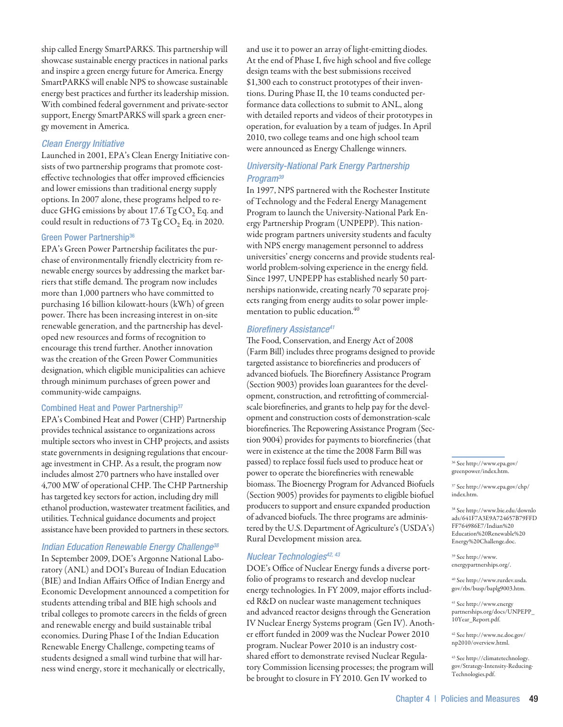ship called Energy SmartPARKS. This partnership will showcase sustainable energy practices in national parks and inspire a green energy future for America. Energy SmartPARKS will enable NPS to showcase sustainable energy best practices and further its leadership mission. With combined federal government and private-sector support, Energy SmartPARKS will spark a green energy movement in America.

# *Clean Energy Initiative*

Launched in 2001, EPA's Clean Energy Initiative consists of two partnership programs that promote costeffective technologies that offer improved efficiencies and lower emissions than traditional energy supply options. In 2007 alone, these programs helped to reduce GHG emissions by about 17.6  $TgCO$ , Eq. and could result in reductions of  $73$  Tg CO<sub>2</sub> Eq. in 2020.

# Green Power Partnership<sup>36</sup>

EPA's Green Power Partnership facilitates the purchase of environmentally friendly electricity from renewable energy sources by addressing the market barriers that stifle demand. The program now includes more than 1,000 partners who have committed to purchasing 16 billion kilowatt-hours (kWh) of green power. There has been increasing interest in on-site renewable generation, and the partnership has developed new resources and forms of recognition to encourage this trend further. Another innovation was the creation of the Green Power Communities designation, which eligible municipalities can achieve through minimum purchases of green power and community-wide campaigns.

# Combined Heat and Power Partnership<sup>37</sup>

EPA's Combined Heat and Power (CHP) Partnership provides technical assistance to organizations across multiple sectors who invest in CHP projects, and assists state governments in designing regulations that encourage investment in CHP. As a result, the program now includes almost 270 partners who have installed over 4,700 MW of operational CHP. The CHP Partnership has targeted key sectors for action, including dry mill ethanol production, wastewater treatment facilities, and utilities. Technical guidance documents and project assistance have been provided to partners in these sectors.

# *Indian Education Renewable Energy Challenge38*

In September 2009, DOE's Argonne National Laboratory (ANL) and DOI's Bureau of Indian Education (BIE) and Indian Affairs Office of Indian Energy and Economic Development announced a competition for students attending tribal and BIE high schools and tribal colleges to promote careers in the fields of green and renewable energy and build sustainable tribal economies. During Phase I of the Indian Education Renewable Energy Challenge, competing teams of students designed a small wind turbine that will harness wind energy, store it mechanically or electrically,

and use it to power an array of light-emitting diodes. At the end of Phase I, five high school and five college design teams with the best submissions received \$1,300 each to construct prototypes of their inventions. During Phase II, the 10 teams conducted performance data collections to submit to ANL, along with detailed reports and videos of their prototypes in operation, for evaluation by a team of judges. In April 2010, two college teams and one high school team were announced as Energy Challenge winners.

# *University-National Park Energy Partnership Program39*

In 1997, NPS partnered with the Rochester Institute of Technology and the Federal Energy Management Program to launch the University-National Park Energy Partnership Program (UNPEPP). This nationwide program partners university students and faculty with NPS energy management personnel to address universities' energy concerns and provide students realworld problem-solving experience in the energy field. Since 1997, UNPEPP has established nearly 50 partnerships nationwide, creating nearly 70 separate projects ranging from energy audits to solar power implementation to public education.<sup>40</sup>

# *Biorefinery Assistance41*

The Food, Conservation, and Energy Act of 2008 (Farm Bill) includes three programs designed to provide targeted assistance to biorefineries and producers of advanced biofuels. The Biorefinery Assistance Program (Section 9003) provides loan guarantees for the development, construction, and retrofitting of commercialscale biorefineries, and grants to help pay for the development and construction costs of demonstration-scale biorefineries. The Repowering Assistance Program (Section 9004) provides for payments to biorefineries (that were in existence at the time the 2008 Farm Bill was passed) to replace fossil fuels used to produce heat or power to operate the biorefineries with renewable biomass. The Bioenergy Program for Advanced Biofuels (Section 9005) provides for payments to eligible biofuel producers to support and ensure expanded production of advanced biofuels. The three programs are administered by the U.S. Department of Agriculture's (USDA's) Rural Development mission area.

# *Nuclear Technologies42, 43*

DOE's Office of Nuclear Energy funds a diverse portfolio of programs to research and develop nuclear energy technologies. In FY 2009, major efforts included R&D on nuclear waste management techniques and advanced reactor designs through the Generation IV Nuclear Energy Systems program (Gen IV). Another effort funded in 2009 was the Nuclear Power 2010 program. Nuclear Power 2010 is an industry costshared effort to demonstrate revised Nuclear Regulatory Commission licensing processes; the program will be brought to closure in FY 2010. Gen IV worked to

36 See http://www.epa.gov/ greenpower/index.htm.

37 See http://www.epa.gov/chp/ index.htm.

38 See http://www.bie.edu/downlo ads/641F7A3E9A724657B79FFD FF764986E7/Indian%20 Education%20Renewable%20 Energy%20Challenge.doc.

39 See http://www. energypartnerships.org/.

40 See http://www.rurdev.usda. gov/rbs/busp/baplg9003.htm.

41 See http://www.energy partnerships.org/docs/UNPEPP\_ 10Year\_Report.pdf.

42 See http://www.ne.doe.gov/ np2010/overview.html.

43 See http://climatetechnology. gov/Strategy-Intensity-Reducing-Technologies.pdf.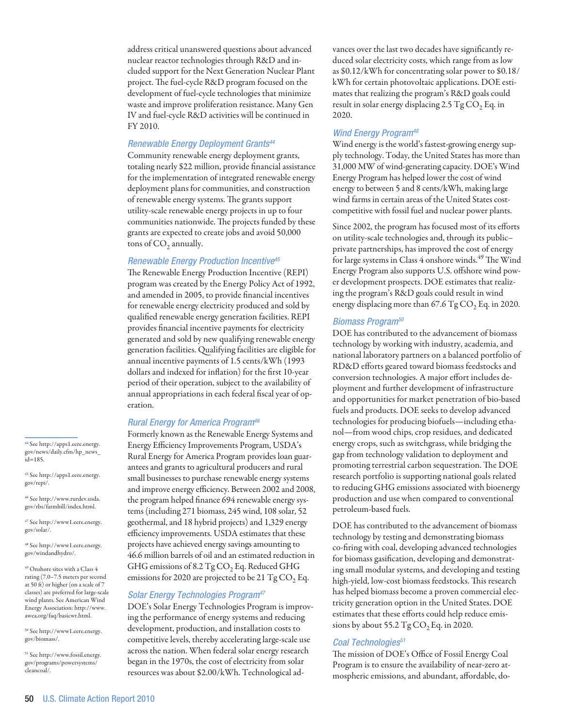address critical unanswered questions about advanced nuclear reactor technologies through R&D and included support for the Next Generation Nuclear Plant project. The fuel-cycle R&D program focused on the development of fuel-cycle technologies that minimize waste and improve proliferation resistance. Many Gen IV and fuel-cycle R&D activities will be continued in FY 2010.

# *Renewable Energy Deployment Grants44*

Community renewable energy deployment grants, totaling nearly \$22 million, provide financial assistance for the implementation of integrated renewable energy deployment plans for communities, and construction of renewable energy systems. The grants support utility-scale renewable energy projects in up to four communities nationwide. The projects funded by these grants are expected to create jobs and avoid 50,000 tons of  $CO<sub>2</sub>$  annually.

#### *Renewable Energy Production Incentive45*

The Renewable Energy Production Incentive (REPI) program was created by the Energy Policy Act of 1992, and amended in 2005, to provide financial incentives for renewable energy electricity produced and sold by qualified renewable energy generation facilities. REPI provides financial incentive payments for electricity generated and sold by new qualifying renewable energy generation facilities. Qualifying facilities are eligible for annual incentive payments of 1.5 cents/kWh (1993 dollars and indexed for inflation) for the first 10-year period of their operation, subject to the availability of annual appropriations in each federal fiscal year of operation.

## *Rural Energy for America Program46*

Formerly known as the Renewable Energy Systems and Energy Efficiency Improvements Program, USDA's Rural Energy for America Program provides loan guarantees and grants to agricultural producers and rural small businesses to purchase renewable energy systems and improve energy efficiency. Between 2002 and 2008, the program helped finance 694 renewable energy systems (including 271 biomass, 245 wind, 108 solar, 52 geothermal, and 18 hybrid projects) and 1,329 energy efficiency improvements. USDA estimates that these projects have achieved energy savings amounting to 46.6 million barrels of oil and an estimated reduction in GHG emissions of 8.2  $TgCO$ , Eq. Reduced GHG emissions for 2020 are projected to be 21 Tg  $CO<sub>2</sub>$  Eq.

## *Solar Energy Technologies Program47*

DOE's Solar Energy Technologies Program is improving the performance of energy systems and reducing development, production, and installation costs to competitive levels, thereby accelerating large-scale use across the nation. When federal solar energy research began in the 1970s, the cost of electricity from solar resources was about \$2.00/kWh. Technological advances over the last two decades have significantly reduced solar electricity costs, which range from as low as \$0.12/kWh for concentrating solar power to \$0.18/ kWh for certain photovoltaic applications. DOE estimates that realizing the program's R&D goals could result in solar energy displacing 2.5 Tg  $CO<sub>2</sub>$  Eq. in 2020.

# *Wind Energy Program48*

Wind energy is the world's fastest-growing energy supply technology. Today, the United States has more than 31,000 MW of wind-generating capacity. DOE's Wind Energy Program has helped lower the cost of wind energy to between 5 and 8 cents/kWh, making large wind farms in certain areas of the United States costcompetitive with fossil fuel and nuclear power plants.

Since 2002, the program has focused most of its efforts on utility-scale technologies and, through its public– private partnerships, has improved the cost of energy for large systems in Class 4 onshore winds.<sup>49</sup> The Wind Energy Program also supports U.S. offshore wind power development prospects. DOE estimates that realizing the program's R&D goals could result in wind energy displacing more than  $67.6$  Tg CO<sub>2</sub> Eq. in 2020.

#### *Biomass Program50*

DOE has contributed to the advancement of biomass technology by working with industry, academia, and national laboratory partners on a balanced portfolio of RD&D efforts geared toward biomass feedstocks and conversion technologies. A major effort includes deployment and further development of infrastructure and opportunities for market penetration of bio-based fuels and products. DOE seeks to develop advanced technologies for producing biofuels—including ethanol—from wood chips, crop residues, and dedicated energy crops, such as switchgrass, while bridging the gap from technology validation to deployment and promoting terrestrial carbon sequestration. The DOE research portfolio is supporting national goals related to reducing GHG emissions associated with bioenergy production and use when compared to conventional petroleum-based fuels.

DOE has contributed to the advancement of biomass technology by testing and demonstrating biomass co-firing with coal, developing advanced technologies for biomass gasification, developing and demonstrating small modular systems, and developing and testing high-yield, low-cost biomass feedstocks. This research has helped biomass become a proven commercial electricity generation option in the United States. DOE estimates that these efforts could help reduce emissions by about 55.2 Tg  $CO<sub>2</sub>$  Eq. in 2020.

#### *Coal Technologies51*

The mission of DOE's Office of Fossil Energy Coal Program is to ensure the availability of near-zero atmospheric emissions, and abundant, affordable, do-

44 See http://apps1.eere.energy. gov/news/daily.cfm/hp\_news\_ id=185.

45 See http://apps1.eere.energy. gov/repi/.

46 See http://www.rurdev.usda. gov/rbs/farmbill/index.html.

47 See http://www1.eere.energy. gov/solar/.

48 See http://www1.eere.energy. gov/windandhydro/.

49 Onshore sites with a Class 4 rating (7.0–7.5 meters per second at 50 ft) or higher (on a scale of 7 classes) are preferred for large-scale wind plants. See American Wind Energy Association: http://www. awea.org/faq/basicwr.html.

50 See http://www1.eere.energy. gov/biomass/.

51 See http://www.fossil.energy. gov/programs/powersystems/ cleancoal/.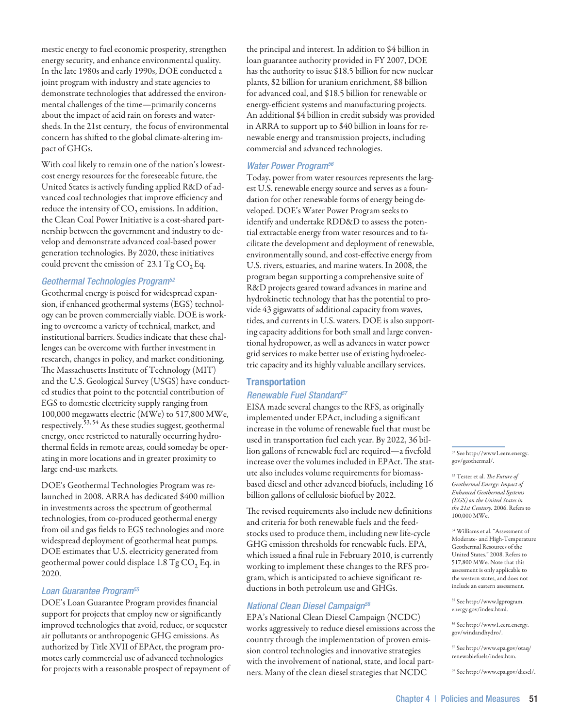mestic energy to fuel economic prosperity, strengthen energy security, and enhance environmental quality. In the late 1980s and early 1990s, DOE conducted a joint program with industry and state agencies to demonstrate technologies that addressed the environmental challenges of the time—primarily concerns about the impact of acid rain on forests and watersheds. In the 21st century, the focus of environmental concern has shifted to the global climate-altering impact of GHGs.

With coal likely to remain one of the nation's lowestcost energy resources for the foreseeable future, the United States is actively funding applied R&D of advanced coal technologies that improve efficiency and reduce the intensity of  $CO<sub>2</sub>$  emissions. In addition, the Clean Coal Power Initiative is a cost-shared partnership between the government and industry to develop and demonstrate advanced coal-based power generation technologies. By 2020, these initiatives could prevent the emission of  $23.1 \text{ Tg CO}, \text{Eq}.$ 

# *Geothermal Technologies Program52*

Geothermal energy is poised for widespread expansion, if enhanced geothermal systems (EGS) technology can be proven commercially viable. DOE is working to overcome a variety of technical, market, and institutional barriers. Studies indicate that these challenges can be overcome with further investment in research, changes in policy, and market conditioning. The Massachusetts Institute of Technology (MIT) and the U.S. Geological Survey (USGS) have conducted studies that point to the potential contribution of EGS to domestic electricity supply ranging from 100,000 megawatts electric (MWe) to 517,800 MWe, respectively.<sup>53, 54</sup> As these studies suggest, geothermal energy, once restricted to naturally occurring hydrothermal fields in remote areas, could someday be operating in more locations and in greater proximity to large end-use markets.

DOE's Geothermal Technologies Program was relaunched in 2008. ARRA has dedicated \$400 million in investments across the spectrum of geothermal technologies, from co-produced geothermal energy from oil and gas fields to EGS technologies and more widespread deployment of geothermal heat pumps. DOE estimates that U.S. electricity generated from geothermal power could displace  $1.8$  Tg CO<sub>2</sub> Eq. in 2020.

# *Loan Guarantee Program55*

DOE's Loan Guarantee Program provides financial support for projects that employ new or significantly improved technologies that avoid, reduce, or sequester air pollutants or anthropogenic GHG emissions. As authorized by Title XVII of EPAct, the program promotes early commercial use of advanced technologies for projects with a reasonable prospect of repayment of the principal and interest. In addition to \$4 billion in loan guarantee authority provided in FY 2007, DOE has the authority to issue \$18.5 billion for new nuclear plants, \$2 billion for uranium enrichment, \$8 billion for advanced coal, and \$18.5 billion for renewable or energy-efficient systems and manufacturing projects. An additional \$4 billion in credit subsidy was provided in ARRA to support up to \$40 billion in loans for renewable energy and transmission projects, including commercial and advanced technologies.

# *Water Power Program56*

Today, power from water resources represents the largest U.S. renewable energy source and serves as a foundation for other renewable forms of energy being developed. DOE's Water Power Program seeks to identify and undertake RDD&D to assess the potential extractable energy from water resources and to facilitate the development and deployment of renewable, environmentally sound, and cost-effective energy from U.S. rivers, estuaries, and marine waters. In 2008, the program began supporting a comprehensive suite of R&D projects geared toward advances in marine and hydrokinetic technology that has the potential to provide 43 gigawatts of additional capacity from waves, tides, and currents in U.S. waters. DOE is also supporting capacity additions for both small and large conventional hydropower, as well as advances in water power grid services to make better use of existing hydroelectric capacity and its highly valuable ancillary services.

# **Transportation**

# *Renewable Fuel Standard57*

EISA made several changes to the RFS, as originally implemented under EPAct, including a significant increase in the volume of renewable fuel that must be used in transportation fuel each year. By 2022, 36 billion gallons of renewable fuel are required—a fivefold increase over the volumes included in EPAct. The statute also includes volume requirements for biomassbased diesel and other advanced biofuels, including 16 billion gallons of cellulosic biofuel by 2022.

The revised requirements also include new definitions and criteria for both renewable fuels and the feedstocks used to produce them, including new life-cycle GHG emission thresholds for renewable fuels. EPA, which issued a final rule in February 2010, is currently working to implement these changes to the RFS program, which is anticipated to achieve significant reductions in both petroleum use and GHGs.

# *National Clean Diesel Campaign58*

EPA's National Clean Diesel Campaign (NCDC) works aggressively to reduce diesel emissions across the country through the implementation of proven emission control technologies and innovative strategies with the involvement of national, state, and local partners. Many of the clean diesel strategies that NCDC

52 See http://www1.eere.energy. gov/geothermal/.

53 Tester et al. *The Future of Geothermal Energy: Impact of Enhanced Geothermal Systems (EGS) on the United States in the 21st Century.* 2006. Refers to 100,000 MWe.

54 Williams et al. "Assessment of Moderate- and High-Temperature Geothermal Resources of the United States." 2008. Refers to 517,800 MWe. Note that this assessment is only applicable to the western states, and does not include an eastern assessment.

55 See http://www.lgprogram. energy.gov/index.html.

56 See http://www1.eere.energy. gov/windandhydro/.

57 See http://www.epa.gov/otaq/ renewablefuels/index.htm.

58 See http://www.epa.gov/diesel/.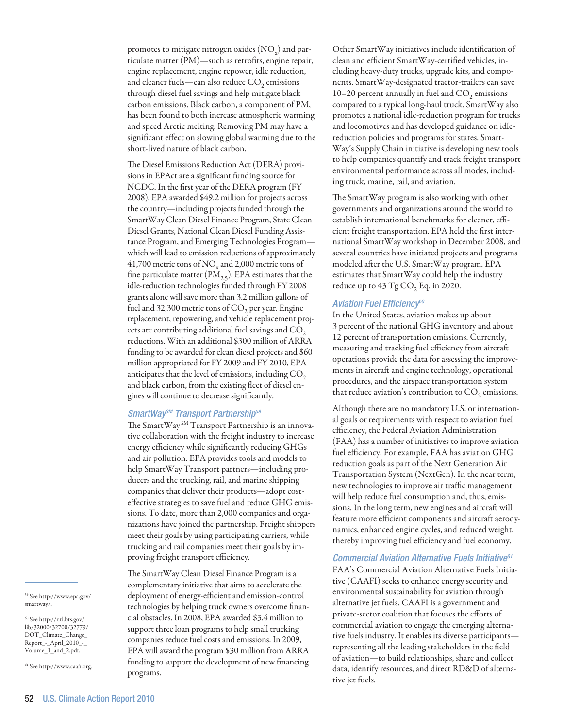promotes to mitigate nitrogen oxides  $\mathrm{(NO_x)}$  and particulate matter (PM)—such as retrofits, engine repair, engine replacement, engine repower, idle reduction, and cleaner fuels—can also reduce  $CO<sub>2</sub>$  emissions through diesel fuel savings and help mitigate black carbon emissions. Black carbon, a component of PM, has been found to both increase atmospheric warming and speed Arctic melting. Removing PM may have a significant effect on slowing global warming due to the short-lived nature of black carbon.

The Diesel Emissions Reduction Act (DERA) provisions in EPAct are a significant funding source for NCDC. In the first year of the DERA program (FY 2008), EPA awarded \$49.2 million for projects across the country—including projects funded through the SmartWay Clean Diesel Finance Program, State Clean Diesel Grants, National Clean Diesel Funding Assistance Program, and Emerging Technologies Program which will lead to emission reductions of approximately 41,700 metric tons of  $\rm NO_x$  and 2,000 metric tons of fine particulate matter  $(PM<sub>2.5</sub>)$ . EPA estimates that the idle-reduction technologies funded through FY 2008 grants alone will save more than 3.2 million gallons of fuel and 32,300 metric tons of  $CO<sub>2</sub>$  per year. Engine replacement, repowering, and vehicle replacement projects are contributing additional fuel savings and  $CO<sub>2</sub>$ reductions. With an additional \$300 million of ARRA funding to be awarded for clean diesel projects and \$60 million appropriated for FY 2009 and FY 2010, EPA anticipates that the level of emissions, including  $CO<sub>2</sub>$ and black carbon, from the existing fleet of diesel engines will continue to decrease significantly.

# *SmartWaySM Transport Partnership59*

The SmartWay<sup>SM</sup> Transport Partnership is an innovative collaboration with the freight industry to increase energy efficiency while significantly reducing GHGs and air pollution. EPA provides tools and models to help SmartWay Transport partners—including producers and the trucking, rail, and marine shipping companies that deliver their products—adopt costeffective strategies to save fuel and reduce GHG emissions. To date, more than 2,000 companies and organizations have joined the partnership. Freight shippers meet their goals by using participating carriers, while trucking and rail companies meet their goals by improving freight transport efficiency.

The SmartWay Clean Diesel Finance Program is a complementary initiative that aims to accelerate the deployment of energy-efficient and emission-control technologies by helping truck owners overcome financial obstacles. In 2008, EPA awarded \$3.4 million to support three loan programs to help small trucking companies reduce fuel costs and emissions. In 2009, EPA will award the program \$30 million from ARRA funding to support the development of new financing programs.

Other SmartWay initiatives include identification of clean and efficient SmartWay-certified vehicles, including heavy-duty trucks, upgrade kits, and components. SmartWay-designated tractor-trailers can save 10–20 percent annually in fuel and  $CO<sub>2</sub>$  emissions compared to a typical long-haul truck. SmartWay also promotes a national idle-reduction program for trucks and locomotives and has developed guidance on idlereduction policies and programs for states. Smart-Way's Supply Chain initiative is developing new tools to help companies quantify and track freight transport environmental performance across all modes, including truck, marine, rail, and aviation.

The SmartWay program is also working with other governments and organizations around the world to establish international benchmarks for cleaner, efficient freight transportation. EPA held the first international SmartWay workshop in December 2008, and several countries have initiated projects and programs modeled after the U.S. SmartWay program. EPA estimates that SmartWay could help the industry reduce up to  $43$  Tg CO<sub>2</sub> Eq. in 2020.

#### *Aviation Fuel Efficiency60*

In the United States, aviation makes up about 3 percent of the national GHG inventory and about 12 percent of transportation emissions. Currently, measuring and tracking fuel efficiency from aircraft operations provide the data for assessing the improvements in aircraft and engine technology, operational procedures, and the airspace transportation system that reduce aviation's contribution to  $CO<sub>2</sub>$  emissions.

Although there are no mandatory U.S. or international goals or requirements with respect to aviation fuel efficiency, the Federal Aviation Administration (FAA) has a number of initiatives to improve aviation fuel efficiency. For example, FAA has aviation GHG reduction goals as part of the Next Generation Air Transportation System (NextGen). In the near term, new technologies to improve air traffic management will help reduce fuel consumption and, thus, emissions. In the long term, new engines and aircraft will feature more efficient components and aircraft aerodynamics, enhanced engine cycles, and reduced weight, thereby improving fuel efficiency and fuel economy.

# *Commercial Aviation Alternative Fuels Initiative61*

FAA's Commercial Aviation Alternative Fuels Initiative (CAAFI) seeks to enhance energy security and environmental sustainability for aviation through alternative jet fuels. CAAFI is a government and private-sector coalition that focuses the efforts of commercial aviation to engage the emerging alternative fuels industry. It enables its diverse participants representing all the leading stakeholders in the field of aviation—to build relationships, share and collect data, identify resources, and direct RD&D of alternative jet fuels.

59 See http://www.epa.gov/ smartway/.

 $\rm ^{60}$  See http://ntl.bts.gov/ lib/32000/32700/32779/ DOT\_Climate\_Change\_ Report\_-\_April\_2010\_-\_ Volume\_1\_and\_2.pdf.

61 See http://www.caafi.org.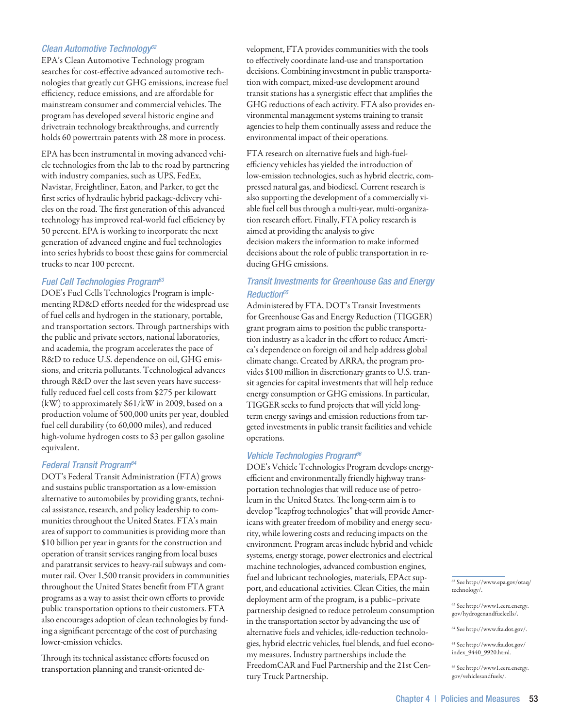# *Clean Automotive Technology62*

EPA's Clean Automotive Technology program searches for cost-effective advanced automotive technologies that greatly cut GHG emissions, increase fuel efficiency, reduce emissions, and are affordable for mainstream consumer and commercial vehicles. The program has developed several historic engine and drivetrain technology breakthroughs, and currently holds 60 powertrain patents with 28 more in process.

EPA has been instrumental in moving advanced vehicle technologies from the lab to the road by partnering with industry companies, such as UPS, FedEx, Navistar, Freightliner, Eaton, and Parker, to get the first series of hydraulic hybrid package-delivery vehicles on the road. The first generation of this advanced technology has improved real-world fuel efficiency by 50 percent. EPA is working to incorporate the next generation of advanced engine and fuel technologies into series hybrids to boost these gains for commercial trucks to near 100 percent.

# *Fuel Cell Technologies Program63*

DOE's Fuel Cells Technologies Program is implementing RD&D efforts needed for the widespread use of fuel cells and hydrogen in the stationary, portable, and transportation sectors. Through partnerships with the public and private sectors, national laboratories, and academia, the program accelerates the pace of R&D to reduce U.S. dependence on oil, GHG emissions, and criteria pollutants. Technological advances through R&D over the last seven years have successfully reduced fuel cell costs from \$275 per kilowatt (kW) to approximately \$61/kW in 2009, based on a production volume of 500,000 units per year, doubled fuel cell durability (to 60,000 miles), and reduced high-volume hydrogen costs to \$3 per gallon gasoline equivalent.

# *Federal Transit Program64*

DOT's Federal Transit Administration (FTA) grows and sustains public transportation as a low-emission alternative to automobiles by providing grants, technical assistance, research, and policy leadership to communities throughout the United States. FTA's main area of support to communities is providing more than \$10 billion per year in grants for the construction and operation of transit services ranging from local buses and paratransit services to heavy-rail subways and commuter rail. Over 1,500 transit providers in communities throughout the United States benefit from FTA grant programs as a way to assist their own efforts to provide public transportation options to their customers. FTA also encourages adoption of clean technologies by funding a significant percentage of the cost of purchasing lower-emission vehicles.

Through its technical assistance efforts focused on transportation planning and transit-oriented development, FTA provides communities with the tools to effectively coordinate land-use and transportation decisions. Combining investment in public transportation with compact, mixed-use development around transit stations has a synergistic effect that amplifies the GHG reductions of each activity. FTA also provides environmental management systems training to transit agencies to help them continually assess and reduce the environmental impact of their operations.

FTA research on alternative fuels and high-fuelefficiency vehicles has yielded the introduction of low-emission technologies, such as hybrid electric, compressed natural gas, and biodiesel. Current research is also supporting the development of a commercially viable fuel cell bus through a multi-year, multi-organization research effort. Finally, FTA policy research is aimed at providing the analysis to give decision makers the information to make informed decisions about the role of public transportation in reducing GHG emissions.

# *Transit Investments for Greenhouse Gas and Energy Reduction65*

Administered by FTA, DOT's Transit Investments for Greenhouse Gas and Energy Reduction (TIGGER) grant program aims to position the public transportation industry as a leader in the effort to reduce America's dependence on foreign oil and help address global climate change. Created by ARRA, the program provides \$100 million in discretionary grants to U.S. transit agencies for capital investments that will help reduce energy consumption or GHG emissions. In particular, TIGGER seeks to fund projects that will yield longterm energy savings and emission reductions from targeted investments in public transit facilities and vehicle operations.

## *Vehicle Technologies Program66*

DOE's Vehicle Technologies Program develops energyefficient and environmentally friendly highway transportation technologies that will reduce use of petroleum in the United States. The long-term aim is to develop "leapfrog technologies" that will provide Americans with greater freedom of mobility and energy security, while lowering costs and reducing impacts on the environment. Program areas include hybrid and vehicle systems, energy storage, power electronics and electrical machine technologies, advanced combustion engines, fuel and lubricant technologies, materials, EPAct support, and educational activities. Clean Cities, the main deployment arm of the program, is a public–private partnership designed to reduce petroleum consumption in the transportation sector by advancing the use of alternative fuels and vehicles, idle-reduction technologies, hybrid electric vehicles, fuel blends, and fuel economy measures. Industry partnerships include the FreedomCAR and Fuel Partnership and the 21st Century Truck Partnership.

62 See http://www.epa.gov/otaq/ technology/.

63 See http://www1.eere.energy. gov/hydrogenandfuelcells/.

64 See http://www.fta.dot.gov/.

65 See http://www.fta.dot.gov/ index\_9440\_9920.html.

66 See http://www1.eere.energy. gov/vehiclesandfuels/.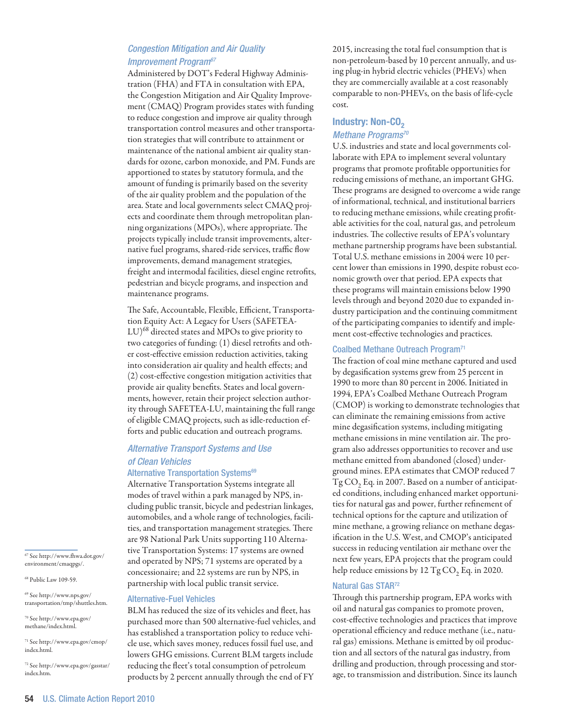# *Congestion Mitigation and Air Quality Improvement Program67*

Administered by DOT's Federal Highway Administration (FHA) and FTA in consultation with EPA, the Congestion Mitigation and Air Quality Improvement (CMAQ) Program provides states with funding to reduce congestion and improve air quality through transportation control measures and other transportation strategies that will contribute to attainment or maintenance of the national ambient air quality standards for ozone, carbon monoxide, and PM. Funds are apportioned to states by statutory formula, and the amount of funding is primarily based on the severity of the air quality problem and the population of the area. State and local governments select CMAQ projects and coordinate them through metropolitan planning organizations (MPOs), where appropriate. The projects typically include transit improvements, alternative fuel programs, shared-ride services, traffic flow improvements, demand management strategies, freight and intermodal facilities, diesel engine retrofits, pedestrian and bicycle programs, and inspection and maintenance programs.

The Safe, Accountable, Flexible, Efficient, Transportation Equity Act: A Legacy for Users (SAFETEA- $\mathrm{LU})^{68}$  directed states and MPOs to give priority to two categories of funding: (1) diesel retrofits and other cost-effective emission reduction activities, taking into consideration air quality and health effects; and (2) cost-effective congestion mitigation activities that provide air quality benefits. States and local governments, however, retain their project selection authority through SAFETEA-LU, maintaining the full range of eligible CMAQ projects, such as idle-reduction efforts and public education and outreach programs.

# *Alternative Transport Systems and Use of Clean Vehicles*

#### Alternative Transportation Systems<sup>69</sup>

Alternative Transportation Systems integrate all modes of travel within a park managed by NPS, including public transit, bicycle and pedestrian linkages, automobiles, and a whole range of technologies, facilities, and transportation management strategies. There are 98 National Park Units supporting 110 Alternative Transportation Systems: 17 systems are owned and operated by NPS; 71 systems are operated by a concessionaire; and 22 systems are run by NPS, in partnership with local public transit service.

#### Alternative-Fuel Vehicles

BLM has reduced the size of its vehicles and fleet, has purchased more than 500 alternative-fuel vehicles, and has established a transportation policy to reduce vehicle use, which saves money, reduces fossil fuel use, and lowers GHG emissions. Current BLM targets include reducing the fleet's total consumption of petroleum products by 2 percent annually through the end of FY

2015, increasing the total fuel consumption that is non-petroleum-based by 10 percent annually, and using plug-in hybrid electric vehicles (PHEVs) when they are commercially available at a cost reasonably comparable to non-PHEVs, on the basis of life-cycle cost.

# Industry: Non-CO<sub>2</sub> *Methane Programs70*

U.S. industries and state and local governments collaborate with EPA to implement several voluntary programs that promote profitable opportunities for reducing emissions of methane, an important GHG. These programs are designed to overcome a wide range of informational, technical, and institutional barriers to reducing methane emissions, while creating profitable activities for the coal, natural gas, and petroleum industries. The collective results of EPA's voluntary methane partnership programs have been substantial. Total U.S. methane emissions in 2004 were 10 percent lower than emissions in 1990, despite robust economic growth over that period. EPA expects that these programs will maintain emissions below 1990 levels through and beyond 2020 due to expanded industry participation and the continuing commitment of the participating companies to identify and implement cost-effective technologies and practices.

#### Coalbed Methane Outreach Program<sup>71</sup>

The fraction of coal mine methane captured and used by degasification systems grew from 25 percent in 1990 to more than 80 percent in 2006. Initiated in 1994, EPA's Coalbed Methane Outreach Program (CMOP) is working to demonstrate technologies that can eliminate the remaining emissions from active mine degasification systems, including mitigating methane emissions in mine ventilation air. The program also addresses opportunities to recover and use methane emitted from abandoned (closed) underground mines. EPA estimates that CMOP reduced 7  $Tg CO$ , Eq. in 2007. Based on a number of anticipated conditions, including enhanced market opportunities for natural gas and power, further refinement of technical options for the capture and utilization of mine methane, a growing reliance on methane degasification in the U.S. West, and CMOP's anticipated success in reducing ventilation air methane over the next few years, EPA projects that the program could help reduce emissions by 12 Tg CO<sub>2</sub> Eq. in 2020.

#### Natural Gas STAR72

Through this partnership program, EPA works with oil and natural gas companies to promote proven, cost-effective technologies and practices that improve operational efficiency and reduce methane (i.e., natural gas) emissions. Methane is emitted by oil production and all sectors of the natural gas industry, from drilling and production, through processing and storage, to transmission and distribution. Since its launch

67 See http://www.fhwa.dot.gov/ environment/cmaqpgs/.

68 Public Law 109-59.

 $^{69}$  See http://www.nps.gov/ transportation/tmp/shuttles.htm.

 $^{70}$  See http://www.epa.gov/ methane/index.html.

71 See http://www.epa.gov/cmop/ index.html.

72 See http://www.epa.gov/gasstar/ index.htm.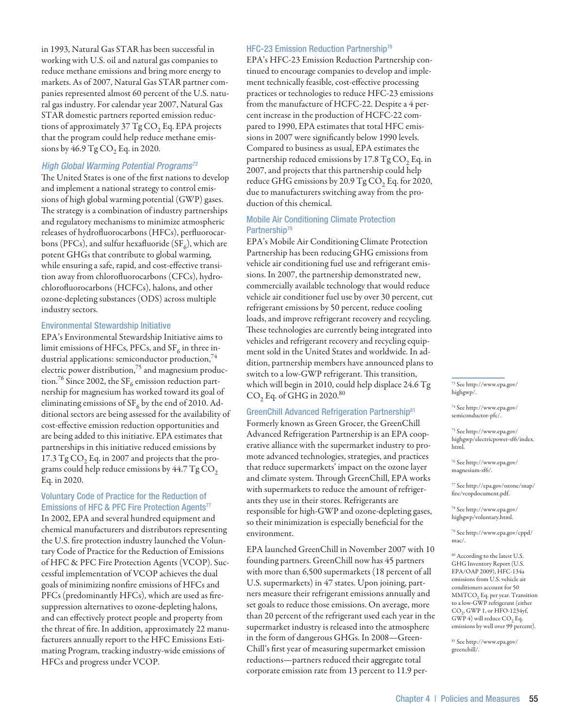in 1993, Natural Gas STAR has been successful in working with U.S. oil and natural gas companies to reduce methane emissions and bring more energy to markets. As of 2007, Natural Gas STAR partner companies represented almost 60 percent of the U.S. natural gas industry. For calendar year 2007, Natural Gas STAR domestic partners reported emission reductions of approximately  $37$  Tg CO<sub>2</sub> Eq. EPA projects that the program could help reduce methane emissions by  $46.9 \text{ Tg CO}_2$  Eq. in 2020.

# *High Global Warming Potential Programs73*

The United States is one of the first nations to develop and implement a national strategy to control emissions of high global warming potential (GWP) gases. The strategy is a combination of industry partnerships and regulatory mechanisms to minimize atmospheric releases of hydrofluorocarbons (HFCs), perfluorocarbons (PFCs), and sulfur hexafluoride (SF<sub>6</sub>), which are potent GHGs that contribute to global warming, while ensuring a safe, rapid, and cost-effective transition away from chlorofluorocarbons (CFCs), hydrochlorofluorocarbons (HCFCs), halons, and other ozone-depleting substances (ODS) across multiple industry sectors.

#### Environmental Stewardship Initiative

EPA's Environmental Stewardship Initiative aims to limit emissions of HFCs, PFCs, and  $SF_6$  in three industrial applications: semiconductor production,<sup>74</sup> electric power distribution,<sup>75</sup> and magnesium production.<sup>76</sup> Since 2002, the SF<sub>6</sub> emission reduction partnership for magnesium has worked toward its goal of eliminating emissions of  $SF_6$  by the end of 2010. Additional sectors are being assessed for the availability of cost-effective emission reduction opportunities and are being added to this initiative. EPA estimates that partnerships in this initiative reduced emissions by 17.3  $TgCO<sub>2</sub>$  Eq. in 2007 and projects that the programs could help reduce emissions by  $44.7 \text{ Tg CO}_2$ Eq. in 2020.

# Voluntary Code of Practice for the Reduction of Emissions of HFC & PFC Fire Protection Agents<sup>77</sup>

In 2002, EPA and several hundred equipment and chemical manufacturers and distributors representing the U.S. fire protection industry launched the Voluntary Code of Practice for the Reduction of Emissions of HFC & PFC Fire Protection Agents (VCOP). Successful implementation of VCOP achieves the dual goals of minimizing nonfire emissions of HFCs and PFCs (predominantly HFCs), which are used as firesuppression alternatives to ozone-depleting halons, and can effectively protect people and property from the threat of fire. In addition, approximately 22 manufacturers annually report to the HFC Emissions Estimating Program, tracking industry-wide emissions of HFCs and progress under VCOP.

#### HFC-23 Emission Reduction Partnership<sup>78</sup>

EPA's HFC-23 Emission Reduction Partnership continued to encourage companies to develop and implement technically feasible, cost-effective processing practices or technologies to reduce HFC-23 emissions from the manufacture of HCFC-22. Despite a 4 percent increase in the production of HCFC-22 compared to 1990, EPA estimates that total HFC emissions in 2007 were significantly below 1990 levels. Compared to business as usual, EPA estimates the partnership reduced emissions by 17.8  $TgCO$ , Eq. in 2007, and projects that this partnership could help reduce GHG emissions by 20.9 Tg  $CO<sub>2</sub>$  Eq. for 2020, due to manufacturers switching away from the production of this chemical.

# Mobile Air Conditioning Climate Protection Partnership<sup>79</sup>

EPA's Mobile Air Conditioning Climate Protection Partnership has been reducing GHG emissions from vehicle air conditioning fuel use and refrigerant emissions. In 2007, the partnership demonstrated new, commercially available technology that would reduce vehicle air conditioner fuel use by over 30 percent, cut refrigerant emissions by 50 percent, reduce cooling loads, and improve refrigerant recovery and recycling. These technologies are currently being integrated into vehicles and refrigerant recovery and recycling equipment sold in the United States and worldwide. In addition, partnership members have announced plans to switch to a low-GWP refrigerant. This transition, which will begin in 2010, could help displace 24.6 Tg  $CO<sub>2</sub>$  Eq. of GHG in 2020.<sup>80</sup>

# GreenChill Advanced Refrigeration Partnership81

Formerly known as Green Grocer, the GreenChill Advanced Refrigeration Partnership is an EPA cooperative alliance with the supermarket industry to promote advanced technologies, strategies, and practices that reduce supermarkets' impact on the ozone layer and climate system. Through GreenChill, EPA works with supermarkets to reduce the amount of refrigerants they use in their stores. Refrigerants are responsible for high-GWP and ozone-depleting gases, so their minimization is especially beneficial for the environment.

EPA launched GreenChill in November 2007 with 10 founding partners. GreenChill now has 45 partners with more than 6,500 supermarkets (18 percent of all U.S. supermarkets) in 47 states. Upon joining, partners measure their refrigerant emissions annually and set goals to reduce those emissions. On average, more than 20 percent of the refrigerant used each year in the supermarket industry is released into the atmosphere in the form of dangerous GHGs. In 2008—Green-Chill's first year of measuring supermarket emission reductions—partners reduced their aggregate total corporate emission rate from 13 percent to 11.9 per73 See http://www.epa.gov/ highgwp/.

74 See http://www.epa.gov/ semiconductor-pfc/.

75 See http://www.epa.gov/ highgwp/electricpower-sf6/index. html.

76 See http://www.epa.gov/ magnesium-sf6/.

77 See http://epa.gov/ozone/snap/ fire/vcopdocument.pdf.

78 See http://www.epa.gov/ highgwp/voluntary.html.

79 See http://www.epa.gov/cppd/ mac/.

80 According to the latest U.S. GHG Inventory Report (U.S. EPA/OAP 2009), HFC-134a emissions from U.S. vehicle air conditioners account for 50 MMTCO<sub>2</sub> Eq. per year. Transition to a low-GWP refrigerant (either CO<sub>2</sub>, GWP 1, or HFO-1234yf,  $GWP$  4) will reduce  $CO$ , Eq. emissions by well over 99 percent).

81 See http://www.epa.gov/ greenchill/.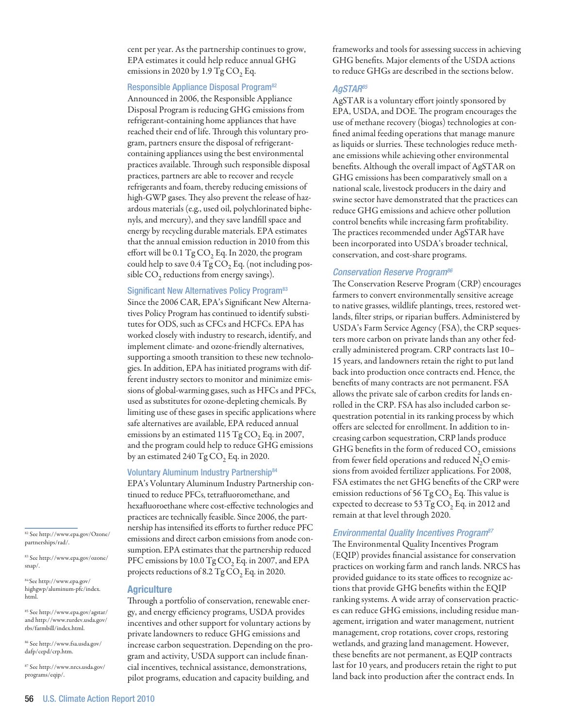cent per year. As the partnership continues to grow, EPA estimates it could help reduce annual GHG emissions in 2020 by 1.9 Tg  $CO$ , Eq.

#### Responsible Appliance Disposal Program<sup>82</sup>

Announced in 2006, the Responsible Appliance Disposal Program is reducing GHG emissions from refrigerant-containing home appliances that have reached their end of life. Through this voluntary program, partners ensure the disposal of refrigerantcontaining appliances using the best environmental practices available. Through such responsible disposal practices, partners are able to recover and recycle refrigerants and foam, thereby reducing emissions of high-GWP gases. They also prevent the release of hazardous materials (e.g., used oil, polychlorinated biphenyls, and mercury), and they save landfill space and energy by recycling durable materials. EPA estimates that the annual emission reduction in 2010 from this effort will be  $0.1$  Tg  $CO$ , Eq. In 2020, the program could help to save  $0.4$  Tg CO<sub>2</sub> Eq. (not including possible  $CO<sub>2</sub>$  reductions from energy savings).

# Significant New Alternatives Policy Program<sup>83</sup>

Since the 2006 CAR, EPA's Significant New Alternatives Policy Program has continued to identify substitutes for ODS, such as CFCs and HCFCs. EPA has worked closely with industry to research, identify, and implement climate- and ozone-friendly alternatives, supporting a smooth transition to these new technologies. In addition, EPA has initiated programs with different industry sectors to monitor and minimize emissions of global-warming gases, such as HFCs and PFCs, used as substitutes for ozone-depleting chemicals. By limiting use of these gases in specific applications where safe alternatives are available, EPA reduced annual emissions by an estimated 115 Tg CO<sub>2</sub> Eq. in 2007, and the program could help to reduce GHG emissions by an estimated 240  $TgCO$ , Eq. in 2020.

#### Voluntary Aluminum Industry Partnership84

EPA's Voluntary Aluminum Industry Partnership continued to reduce PFCs, tetrafluoromethane, and hexafluoroethane where cost-effective technologies and practices are technically feasible. Since 2006, the partnership has intensified its efforts to further reduce PFC emissions and direct carbon emissions from anode consumption. EPA estimates that the partnership reduced PFC emissions by 10.0 Tg CO<sub>2</sub> Eq. in 2007, and EPA projects reductions of 8.2 Tg  $CO<sub>2</sub>$  Eq. in 2020.

# **Agriculture**

Through a portfolio of conservation, renewable energy, and energy efficiency programs, USDA provides incentives and other support for voluntary actions by private landowners to reduce GHG emissions and increase carbon sequestration. Depending on the program and activity, USDA support can include financial incentives, technical assistance, demonstrations, pilot programs, education and capacity building, and

frameworks and tools for assessing success in achieving GHG benefits. Major elements of the USDA actions to reduce GHGs are described in the sections below.

# *AgSTAR85*

AgSTAR is a voluntary effort jointly sponsored by EPA, USDA, and DOE. The program encourages the use of methane recovery (biogas) technologies at confined animal feeding operations that manage manure as liquids or slurries. These technologies reduce methane emissions while achieving other environmental benefits. Although the overall impact of AgSTAR on GHG emissions has been comparatively small on a national scale, livestock producers in the dairy and swine sector have demonstrated that the practices can reduce GHG emissions and achieve other pollution control benefits while increasing farm profitability. The practices recommended under AgSTAR have been incorporated into USDA's broader technical, conservation, and cost-share programs.

## *Conservation Reserve Program86*

The Conservation Reserve Program (CRP) encourages farmers to convert environmentally sensitive acreage to native grasses, wildlife plantings, trees, restored wetlands, filter strips, or riparian buffers. Administered by USDA's Farm Service Agency (FSA), the CRP sequesters more carbon on private lands than any other federally administered program. CRP contracts last 10– 15 years, and landowners retain the right to put land back into production once contracts end. Hence, the benefits of many contracts are not permanent. FSA allows the private sale of carbon credits for lands enrolled in the CRP. FSA has also included carbon sequestration potential in its ranking process by which offers are selected for enrollment. In addition to increasing carbon sequestration, CRP lands produce GHG benefits in the form of reduced  $CO<sub>2</sub>$  emissions from fewer field operations and reduced N<sub>2</sub>O emissions from avoided fertilizer applications. For 2008, FSA estimates the net GHG benefits of the CRP were emission reductions of 56 Tg  $CO$ , Eq. This value is expected to decrease to 53 Tg  $CO$ , Eq. in 2012 and remain at that level through 2020.

# *Environmental Quality Incentives Program87*

The Environmental Quality Incentives Program (EQIP) provides financial assistance for conservation practices on working farm and ranch lands. NRCS has provided guidance to its state offices to recognize actions that provide GHG benefits within the EQIP ranking systems. A wide array of conservation practices can reduce GHG emissions, including residue management, irrigation and water management, nutrient management, crop rotations, cover crops, restoring wetlands, and grazing land management. However, these benefits are not permanent, as EQIP contracts last for 10 years, and producers retain the right to put land back into production after the contract ends. In

82 See http://www.epa.gov/Ozone/ partnerships/rad/.

83 See http://www.epa.gov/ozone/ snap/.

84 See http://www.epa.gov/ highgwp/aluminum-pfc/index. html.

85 See http://www.epa.gov/agstar/ and http://www.rurdev.usda.gov/ rbs/farmbill/index.html.

86 See http://www.fsa.usda.gov/ dafp/cepd/crp.htm.

87 See http://www.nrcs.usda.gov/ programs/eqip/.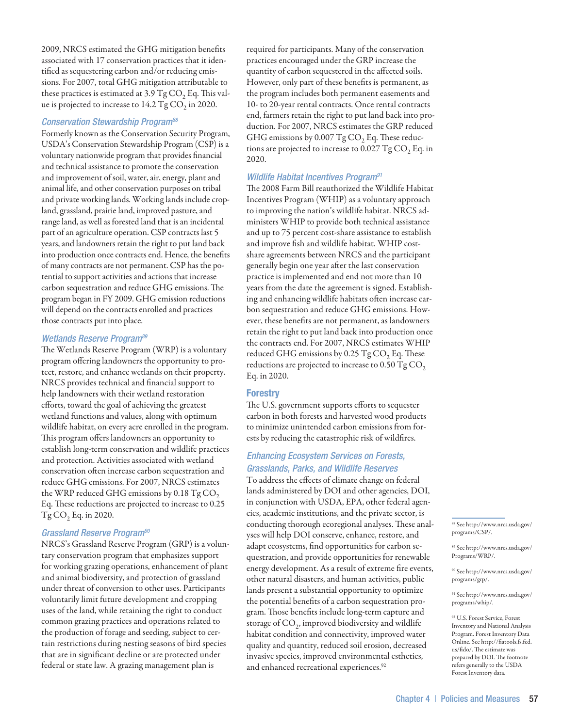2009, NRCS estimated the GHG mitigation benefits associated with 17 conservation practices that it identified as sequestering carbon and/or reducing emissions. For 2007, total GHG mitigation attributable to these practices is estimated at  $3.9 \text{ Tg CO}$ , Eq. This value is projected to increase to  $14.2$  Tg CO<sub>2</sub> in 2020.

# *Conservation Stewardship Program88*

Formerly known as the Conservation Security Program, USDA's Conservation Stewardship Program (CSP) is a voluntary nationwide program that provides financial and technical assistance to promote the conservation and improvement of soil, water, air, energy, plant and animal life, and other conservation purposes on tribal and private working lands. Working lands include cropland, grassland, prairie land, improved pasture, and range land, as well as forested land that is an incidental part of an agriculture operation. CSP contracts last 5 years, and landowners retain the right to put land back into production once contracts end. Hence, the benefits of many contracts are not permanent. CSP has the potential to support activities and actions that increase carbon sequestration and reduce GHG emissions. The program began in FY 2009. GHG emission reductions will depend on the contracts enrolled and practices those contracts put into place.

# *Wetlands Reserve Program89*

The Wetlands Reserve Program (WRP) is a voluntary program offering landowners the opportunity to protect, restore, and enhance wetlands on their property. NRCS provides technical and financial support to help landowners with their wetland restoration efforts, toward the goal of achieving the greatest wetland functions and values, along with optimum wildlife habitat, on every acre enrolled in the program. This program offers landowners an opportunity to establish long-term conservation and wildlife practices and protection. Activities associated with wetland conservation often increase carbon sequestration and reduce GHG emissions. For 2007, NRCS estimates the WRP reduced GHG emissions by  $0.18 \text{ Tg CO}_2$ Eq. These reductions are projected to increase to 0.25 Tg CO<sub>2</sub> Eq. in 2020.

# *Grassland Reserve Program90*

NRCS's Grassland Reserve Program (GRP) is a voluntary conservation program that emphasizes support for working grazing operations, enhancement of plant and animal biodiversity, and protection of grassland under threat of conversion to other uses. Participants voluntarily limit future development and cropping uses of the land, while retaining the right to conduct common grazing practices and operations related to the production of forage and seeding, subject to certain restrictions during nesting seasons of bird species that are in significant decline or are protected under federal or state law. A grazing management plan is

required for participants. Many of the conservation practices encouraged under the GRP increase the quantity of carbon sequestered in the affected soils. However, only part of these benefits is permanent, as the program includes both permanent easements and 10- to 20-year rental contracts. Once rental contracts end, farmers retain the right to put land back into production. For 2007, NRCS estimates the GRP reduced GHG emissions by 0.007  $Tg CO$ , Eq. These reductions are projected to increase to 0.027 Tg  $CO<sub>2</sub>$  Eq. in 2020.

# *Wildlife Habitat Incentives Program91*

The 2008 Farm Bill reauthorized the Wildlife Habitat Incentives Program (WHIP) as a voluntary approach to improving the nation's wildlife habitat. NRCS administers WHIP to provide both technical assistance and up to 75 percent cost-share assistance to establish and improve fish and wildlife habitat. WHIP costshare agreements between NRCS and the participant generally begin one year after the last conservation practice is implemented and end not more than 10 years from the date the agreement is signed. Establishing and enhancing wildlife habitats often increase carbon sequestration and reduce GHG emissions. However, these benefits are not permanent, as landowners retain the right to put land back into production once the contracts end. For 2007, NRCS estimates WHIP reduced GHG emissions by 0.25  $TgCO$ , Eq. These reductions are projected to increase to 0.50  $\text{kgCO}_2$ Eq. in 2020.

## **Forestry**

The U.S. government supports efforts to sequester carbon in both forests and harvested wood products to minimize unintended carbon emissions from forests by reducing the catastrophic risk of wildfires.

# *Enhancing Ecosystem Services on Forests, Grasslands, Parks, and Wildlife Reserves*

To address the effects of climate change on federal lands administered by DOI and other agencies, DOI, in conjunction with USDA, EPA, other federal agencies, academic institutions, and the private sector, is conducting thorough ecoregional analyses. These analyses will help DOI conserve, enhance, restore, and adapt ecosystems, find opportunities for carbon sequestration, and provide opportunities for renewable energy development. As a result of extreme fire events, other natural disasters, and human activities, public lands present a substantial opportunity to optimize the potential benefits of a carbon sequestration program. Those benefits include long-term capture and storage of CO<sub>2</sub>, improved biodiversity and wildlife habitat condition and connectivity, improved water quality and quantity, reduced soil erosion, decreased invasive species, improved environmental esthetics, and enhanced recreational experiences.<sup>92</sup>

88 See http://www.nrcs.usda.gov/ programs/CSP/.

89 See http://www.nrcs.usda.gov/ Programs/WRP/.

90 See http://www.nrcs.usda.gov/ programs/grp/.

91 See http://www.nrcs.usda.gov/ programs/whip/.

92 U.S. Forest Service, Forest Inventory and National Analysis Program. Forest Inventory Data Online. See http://fiatools.fs.fed. us/fido/. The estimate was prepared by DOI. The footnote refers generally to the USDA Forest Inventory data.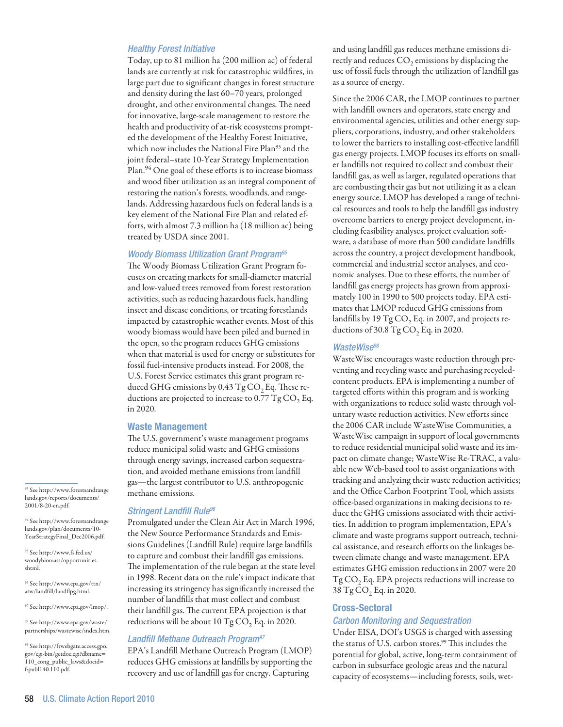# *Healthy Forest Initiative*

Today, up to 81 million ha (200 million ac) of federal lands are currently at risk for catastrophic wildfires, in large part due to significant changes in forest structure and density during the last 60–70 years, prolonged drought, and other environmental changes. The need for innovative, large-scale management to restore the health and productivity of at-risk ecosystems prompted the development of the Healthy Forest Initiative, which now includes the National Fire Plan<sup>93</sup> and the joint federal–state 10-Year Strategy Implementation Plan.<sup>94</sup> One goal of these efforts is to increase biomass and wood fiber utilization as an integral component of restoring the nation's forests, woodlands, and rangelands. Addressing hazardous fuels on federal lands is a key element of the National Fire Plan and related efforts, with almost 7.3 million ha (18 million ac) being treated by USDA since 2001.

## *Woody Biomass Utilization Grant Program95*

The Woody Biomass Utilization Grant Program focuses on creating markets for small-diameter material and low-valued trees removed from forest restoration activities, such as reducing hazardous fuels, handling insect and disease conditions, or treating forestlands impacted by catastrophic weather events. Most of this woody biomass would have been piled and burned in the open, so the program reduces GHG emissions when that material is used for energy or substitutes for fossil fuel-intensive products instead. For 2008, the U.S. Forest Service estimates this grant program reduced GHG emissions by  $0.43$  Tg CO<sub>2</sub> Eq. These reductions are projected to increase to  $0.77$  Tg CO<sub>2</sub> Eq. in 2020.

#### Waste Management

The U.S. government's waste management programs reduce municipal solid waste and GHG emissions through energy savings, increased carbon sequestration, and avoided methane emissions from landfill gas—the largest contributor to U.S. anthropogenic methane emissions.

#### *Stringent Landfill Rule96*

Promulgated under the Clean Air Act in March 1996, the New Source Performance Standards and Emissions Guidelines (Landfill Rule) require large landfills to capture and combust their landfill gas emissions. The implementation of the rule began at the state level in 1998. Recent data on the rule's impact indicate that increasing its stringency has significantly increased the number of landfills that must collect and combust their landfill gas. The current EPA projection is that reductions will be about 10  $TgCO$ , Eq. in 2020.

#### *Landfill Methane Outreach Program97*

EPA's Landfill Methane Outreach Program (LMOP) reduces GHG emissions at landfills by supporting the recovery and use of landfill gas for energy. Capturing

and using landfill gas reduces methane emissions directly and reduces  $CO<sub>2</sub>$  emissions by displacing the use of fossil fuels through the utilization of landfill gas as a source of energy.

Since the 2006 CAR, the LMOP continues to partner with landfill owners and operators, state energy and environmental agencies, utilities and other energy suppliers, corporations, industry, and other stakeholders to lower the barriers to installing cost-effective landfill gas energy projects. LMOP focuses its efforts on smaller landfills not required to collect and combust their landfill gas, as well as larger, regulated operations that are combusting their gas but not utilizing it as a clean energy source. LMOP has developed a range of technical resources and tools to help the landfill gas industry overcome barriers to energy project development, including feasibility analyses, project evaluation software, a database of more than 500 candidate landfills across the country, a project development handbook, commercial and industrial sector analyses, and economic analyses. Due to these efforts, the number of landfill gas energy projects has grown from approximately 100 in 1990 to 500 projects today. EPA estimates that LMOP reduced GHG emissions from landfills by 19  $TgCO$ , Eq. in 2007, and projects reductions of 30.8 Tg  $CO$ , Eq. in 2020.

#### *WasteWise98*

WasteWise encourages waste reduction through preventing and recycling waste and purchasing recycledcontent products. EPA is implementing a number of targeted efforts within this program and is working with organizations to reduce solid waste through voluntary waste reduction activities. New efforts since the 2006 CAR include WasteWise Communities, a WasteWise campaign in support of local governments to reduce residential municipal solid waste and its impact on climate change; WasteWise Re-TRAC, a valuable new Web-based tool to assist organizations with tracking and analyzing their waste reduction activities; and the Office Carbon Footprint Tool, which assists office-based organizations in making decisions to reduce the GHG emissions associated with their activities. In addition to program implementation, EPA's climate and waste programs support outreach, technical assistance, and research efforts on the linkages between climate change and waste management. EPA estimates GHG emission reductions in 2007 were 20  $Tg\,CO<sub>2</sub>$  Eq. EPA projects reductions will increase to 38 Tg CO<sub>2</sub> Eq. in 2020.

# Cross-Sectoral

# *Carbon Monitoring and Sequestration*

Under EISA, DOI's USGS is charged with assessing the status of U.S. carbon stores.<sup>99</sup> This includes the potential for global, active, long-term containment of carbon in subsurface geologic areas and the natural capacity of ecosystems—including forests, soils, wet-

93 See http://www.forestsandrange lands.gov/reports/documents/ 2001/8-20-en.pdf.

94 See http://www.forestsandrange lands.gov/plan/documents/10- YearStrategyFinal\_Dec2006.pdf.

95 See http://www.fs.fed.us/ woodybiomass/opportunities. shtml.

96 See http://www.epa.gov/ttn/ atw/landfill/landflpg.html.

97 See http://www.epa.gov/lmop/.

98 See http://www.epa.gov/waste/ partnerships/wastewise/index.htm.

99 See http://frwebgate.access.gpo. gov/cgi-bin/getdoc.cgi?dbname= 110\_cong\_public\_laws&docid=  $f:$ publ $140.110$ .pdf.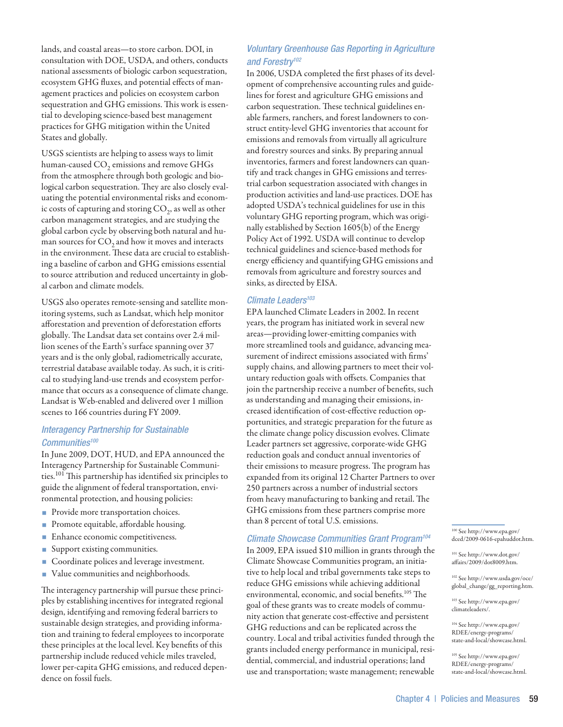lands, and coastal areas—to store carbon. DOI, in consultation with DOE, USDA, and others, conducts national assessments of biologic carbon sequestration, ecosystem GHG fluxes, and potential effects of management practices and policies on ecosystem carbon sequestration and GHG emissions. This work is essential to developing science-based best management practices for GHG mitigation within the United States and globally.

USGS scientists are helping to assess ways to limit human-caused  $CO<sub>2</sub>$  emissions and remove GHGs from the atmosphere through both geologic and biological carbon sequestration. They are also closely evaluating the potential environmental risks and economic costs of capturing and storing  $CO<sub>2</sub>$ , as well as other carbon management strategies, and are studying the global carbon cycle by observing both natural and human sources for  $CO<sub>2</sub>$  and how it moves and interacts in the environment. These data are crucial to establishing a baseline of carbon and GHG emissions essential to source attribution and reduced uncertainty in global carbon and climate models.

USGS also operates remote-sensing and satellite monitoring systems, such as Landsat, which help monitor afforestation and prevention of deforestation efforts globally. The Landsat data set contains over 2.4 million scenes of the Earth's surface spanning over 37 years and is the only global, radiometrically accurate, terrestrial database available today. As such, it is critical to studying land-use trends and ecosystem performance that occurs as a consequence of climate change. Landsat is Web-enabled and delivered over 1 million scenes to 166 countries during FY 2009.

# *Interagency Partnership for Sustainable Communities100*

In June 2009, DOT, HUD, and EPA announced the Interagency Partnership for Sustainable Communities.<sup>101</sup> This partnership has identified six principles to guide the alignment of federal transportation, environmental protection, and housing policies:

- Provide more transportation choices.
- Promote equitable, affordable housing.
- Enhance economic competitiveness.
- Support existing communities.
- Coordinate polices and leverage investment.
- Value communities and neighborhoods.

The interagency partnership will pursue these principles by establishing incentives for integrated regional design, identifying and removing federal barriers to sustainable design strategies, and providing information and training to federal employees to incorporate these principles at the local level. Key benefits of this partnership include reduced vehicle miles traveled, lower per-capita GHG emissions, and reduced dependence on fossil fuels.

# *Voluntary Greenhouse Gas Reporting in Agriculture and Forestry102*

In 2006, USDA completed the first phases of its development of comprehensive accounting rules and guidelines for forest and agriculture GHG emissions and carbon sequestration. These technical guidelines enable farmers, ranchers, and forest landowners to construct entity-level GHG inventories that account for emissions and removals from virtually all agriculture and forestry sources and sinks. By preparing annual inventories, farmers and forest landowners can quantify and track changes in GHG emissions and terrestrial carbon sequestration associated with changes in production activities and land-use practices. DOE has adopted USDA's technical guidelines for use in this voluntary GHG reporting program, which was originally established by Section 1605(b) of the Energy Policy Act of 1992. USDA will continue to develop technical guidelines and science-based methods for energy efficiency and quantifying GHG emissions and removals from agriculture and forestry sources and sinks, as directed by EISA.

# *Climate Leaders103*

EPA launched Climate Leaders in 2002. In recent years, the program has initiated work in several new areas—providing lower-emitting companies with more streamlined tools and guidance, advancing measurement of indirect emissions associated with firms' supply chains, and allowing partners to meet their voluntary reduction goals with offsets. Companies that join the partnership receive a number of benefits, such as understanding and managing their emissions, increased identification of cost-effective reduction opportunities, and strategic preparation for the future as the climate change policy discussion evolves. Climate Leader partners set aggressive, corporate-wide GHG reduction goals and conduct annual inventories of their emissions to measure progress. The program has expanded from its original 12 Charter Partners to over 250 partners across a number of industrial sectors from heavy manufacturing to banking and retail. The GHG emissions from these partners comprise more than 8 percent of total U.S. emissions.

# *Climate Showcase Communities Grant Program104*

In 2009, EPA issued \$10 million in grants through the Climate Showcase Communities program, an initiative to help local and tribal governments take steps to reduce GHG emissions while achieving additional environmental, economic, and social benefits.105 The goal of these grants was to create models of community action that generate cost-effective and persistent GHG reductions and can be replicated across the country. Local and tribal activities funded through the grants included energy performance in municipal, residential, commercial, and industrial operations; land use and transportation; waste management; renewable

100 See http://www.epa.gov/ dced/2009-0616-epahuddot.htm.

101 See http://www.dot.gov/ affairs/2009/dot8009.htm.

102 See http://www.usda.gov/oce/ global\_change/gg\_reporting.htm.

103 See http://www.epa.gov/ climateleaders/.

104 See http://www.epa.gov/ RDEE/energy-programs/ state-and-local/showcase.html.

105 See http://www.epa.gov/ RDEE/energy-programs/ state-and-local/showcase.html.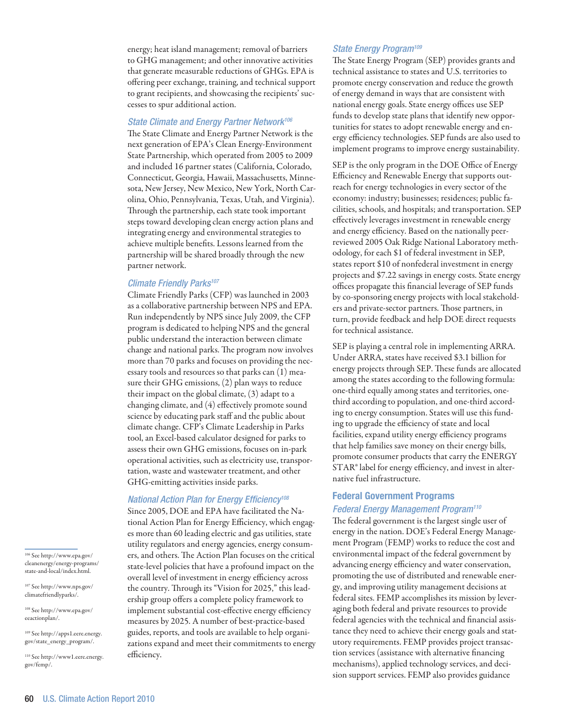energy; heat island management; removal of barriers to GHG management; and other innovative activities that generate measurable reductions of GHGs. EPA is offering peer exchange, training, and technical support to grant recipients, and showcasing the recipients' successes to spur additional action.

# *State Climate and Energy Partner Network106*

The State Climate and Energy Partner Network is the next generation of EPA's Clean Energy-Environment State Partnership, which operated from 2005 to 2009 and included 16 partner states (California, Colorado, Connecticut, Georgia, Hawaii, Massachusetts, Minnesota, New Jersey, New Mexico, New York, North Carolina, Ohio, Pennsylvania, Texas, Utah, and Virginia). Through the partnership, each state took important steps toward developing clean energy action plans and integrating energy and environmental strategies to achieve multiple benefits. Lessons learned from the partnership will be shared broadly through the new partner network.

#### *Climate Friendly Parks107*

Climate Friendly Parks (CFP) was launched in 2003 as a collaborative partnership between NPS and EPA. Run independently by NPS since July 2009, the CFP program is dedicated to helping NPS and the general public understand the interaction between climate change and national parks. The program now involves more than 70 parks and focuses on providing the necessary tools and resources so that parks can (1) measure their GHG emissions, (2) plan ways to reduce their impact on the global climate, (3) adapt to a changing climate, and (4) effectively promote sound science by educating park staff and the public about climate change. CFP's Climate Leadership in Parks tool, an Excel-based calculator designed for parks to assess their own GHG emissions, focuses on in-park operational activities, such as electricity use, transportation, waste and wastewater treatment, and other GHG-emitting activities inside parks.

# *National Action Plan for Energy Efficiency108*

Since 2005, DOE and EPA have facilitated the National Action Plan for Energy Efficiency, which engages more than 60 leading electric and gas utilities, state utility regulators and energy agencies, energy consumers, and others. The Action Plan focuses on the critical state-level policies that have a profound impact on the overall level of investment in energy efficiency across the country. Through its "Vision for 2025," this leadership group offers a complete policy framework to implement substantial cost-effective energy efficiency measures by 2025. A number of best-practice-based guides, reports, and tools are available to help organizations expand and meet their commitments to energy efficiency.

# *State Energy Program109*

The State Energy Program (SEP) provides grants and technical assistance to states and U.S. territories to promote energy conservation and reduce the growth of energy demand in ways that are consistent with national energy goals. State energy offices use SEP funds to develop state plans that identify new opportunities for states to adopt renewable energy and energy efficiency technologies. SEP funds are also used to implement programs to improve energy sustainability.

SEP is the only program in the DOE Office of Energy Efficiency and Renewable Energy that supports outreach for energy technologies in every sector of the economy: industry; businesses; residences; public facilities, schools, and hospitals; and transportation. SEP effectively leverages investment in renewable energy and energy efficiency. Based on the nationally peerreviewed 2005 Oak Ridge National Laboratory methodology, for each \$1 of federal investment in SEP, states report \$10 of nonfederal investment in energy projects and \$7.22 savings in energy costs. State energy offices propagate this financial leverage of SEP funds by co-sponsoring energy projects with local stakeholders and private-sector partners. Those partners, in turn, provide feedback and help DOE direct requests for technical assistance.

SEP is playing a central role in implementing ARRA. Under ARRA, states have received \$3.1 billion for energy projects through SEP. These funds are allocated among the states according to the following formula: one-third equally among states and territories, onethird according to population, and one-third according to energy consumption. States will use this funding to upgrade the efficiency of state and local facilities, expand utility energy efficiency programs that help families save money on their energy bills, promote consumer products that carry the ENERGY STAR® label for energy efficiency, and invest in alternative fuel infrastructure.

# Federal Government Programs

# *Federal Energy Management Program110*

The federal government is the largest single user of energy in the nation. DOE's Federal Energy Management Program (FEMP) works to reduce the cost and environmental impact of the federal government by advancing energy efficiency and water conservation, promoting the use of distributed and renewable energy, and improving utility management decisions at federal sites. FEMP accomplishes its mission by leveraging both federal and private resources to provide federal agencies with the technical and financial assistance they need to achieve their energy goals and statutory requirements. FEMP provides project transaction services (assistance with alternative financing mechanisms), applied technology services, and decision support services. FEMP also provides guidance

106 See http://www.epa.gov/ cleanenergy/energy-programs/ state-and-local/index.html.

107 See http://www.nps.gov/ climatefriendlyparks/.

108 See http://www.epa.gov/ eeactionplan/.

109 See http://apps1.eere.energy. gov/state\_energy\_program/.

110 See http://www1.eere.energy. gov/femp/.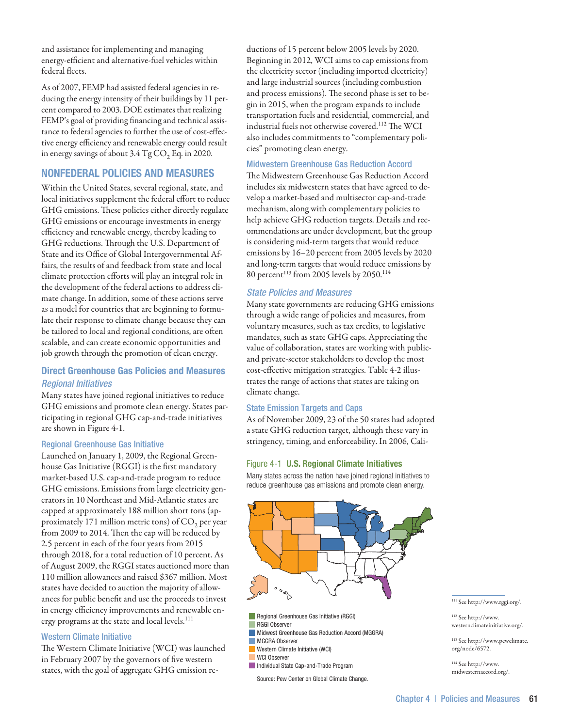and assistance for implementing and managing energy-efficient and alternative-fuel vehicles within federal fleets.

As of 2007, FEMP had assisted federal agencies in reducing the energy intensity of their buildings by 11 percent compared to 2003. DOE estimates that realizing FEMP's goal of providing financing and technical assistance to federal agencies to further the use of cost-effective energy efficiency and renewable energy could result in energy savings of about  $3.4$  Tg CO<sub>2</sub> Eq. in 2020.

# Nonfederal Policies and Measures

Within the United States, several regional, state, and local initiatives supplement the federal effort to reduce GHG emissions. These policies either directly regulate GHG emissions or encourage investments in energy efficiency and renewable energy, thereby leading to GHG reductions. Through the U.S. Department of State and its Office of Global Intergovernmental Affairs, the results of and feedback from state and local climate protection efforts will play an integral role in the development of the federal actions to address climate change. In addition, some of these actions serve as a model for countries that are beginning to formulate their response to climate change because they can be tailored to local and regional conditions, are often scalable, and can create economic opportunities and job growth through the promotion of clean energy.

# Direct Greenhouse Gas Policies and Measures *Regional Initiatives*

Many states have joined regional initiatives to reduce GHG emissions and promote clean energy. States participating in regional GHG cap-and-trade initiatives are shown in Figure 4-1.

# Regional Greenhouse Gas Initiative

Launched on January 1, 2009, the Regional Greenhouse Gas Initiative (RGGI) is the first mandatory market-based U.S. cap-and-trade program to reduce GHG emissions. Emissions from large electricity generators in 10 Northeast and Mid-Atlantic states are capped at approximately 188 million short tons (approximately 171 million metric tons) of CO<sub>2</sub> per year from 2009 to 2014. Then the cap will be reduced by 2.5 percent in each of the four years from 2015 through 2018, for a total reduction of 10 percent. As of August 2009, the RGGI states auctioned more than 110 million allowances and raised \$367 million. Most states have decided to auction the majority of allowances for public benefit and use the proceeds to invest in energy efficiency improvements and renewable energy programs at the state and local levels.<sup>111</sup>

# Western Climate Initiative

The Western Climate Initiative(WCI) was launched in February 2007 by the governors of five western states, with the goal of aggregate GHG emission reductions of 15 percent below 2005 levels by 2020. Beginning in 2012, WCI aims to cap emissions from the electricity sector (including imported electricity) and large industrial sources (including combustion and process emissions). The second phase is set to begin in 2015, when the program expands to include transportation fuels and residential, commercial, and industrial fuels not otherwise covered.112 The WCI also includes commitments to "complementary policies" promoting clean energy.

## Midwestern Greenhouse Gas Reduction Accord

The Midwestern Greenhouse Gas Reduction Accord includes six midwestern states that have agreed to develop a market-based and multisector cap-and-trade mechanism, along with complementary policies to help achieve GHG reduction targets. Details and recommendations are under development, but the group is considering mid-term targets that would reduce emissions by 16–20 percent from 2005 levels by 2020 and long-term targets that would reduce emissions by 80 percent<sup>113</sup> from 2005 levels by 2050.<sup>114</sup>

# *State Policies and Measures*

Many state governments are reducing GHG emissions through a wide range of policies and measures, from voluntary measures, such as tax credits, to legislative mandates, such as state GHG caps. Appreciating the value of collaboration, states are working with publicand private-sector stakeholders to develop the most cost-effective mitigation strategies. Table 4-2 illustrates the range of actions that states are taking on climate change.

# State Emission Targets and Caps

As of November 2009, 23 of the 50 states had adopted a state GHG reduction target, although these vary in stringency, timing, and enforceability. In 2006, Cali-

## Figure 4-1 U.S. Regional Climate Initiatives

Many states across the nation have joined regional initiatives to reduce greenhouse gas emissions and promote clean energy.



- Regional Greenhouse Gas Initiative (RGGI)
- RGGI Observer
- **Midwest Greenhouse Gas Reduction Accord (MGGRA)**
- **MGGRA Observer**
- **Western Climate Initiative (WCI)** WCI Observer
- Individual State Cap-and-Trade Program
- Source: Pew Center on Global Climate Change.

#### 111 See http://www.rggi.org/.

112 See http://www. westernclimateinitiative.org/.

113 See http://www.pewclimate. org/node/6572.

114 See http://www. midwesternaccord.org/.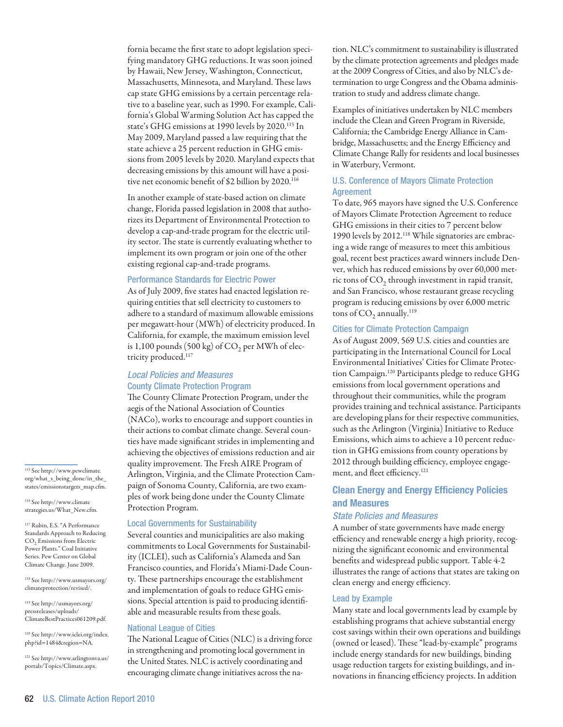fornia became the first state to adopt legislation specifying mandatory GHG reductions. It was soon joined by Hawaii, New Jersey, Washington, Connecticut, Massachusetts, Minnesota, and Maryland. These laws cap state GHG emissions by a certain percentage relative to a baseline year, such as 1990. For example, California's Global Warming Solution Act has capped the state's GHG emissions at 1990 levels by 2020.<sup>115</sup> In May 2009, Maryland passed a law requiring that the state achieve a 25 percent reduction in GHG emissions from 2005 levels by 2020. Maryland expects that decreasing emissions by this amount will have a positive net economic benefit of \$2 billion by 2020.<sup>116</sup>

In another example of state-based action on climate change, Florida passed legislation in 2008 that authorizes its Department of Environmental Protection to develop a cap-and-trade program for the electric utility sector. The state is currently evaluating whether to implement its own program or join one of the other existing regional cap-and-trade programs.

#### Performance Standards for Electric Power

As of July 2009, five states had enacted legislation requiring entities that sell electricity to customers to adhere to a standard of maximum allowable emissions per megawatt-hour (MWh) of electricity produced. In California, for example, the maximum emission level is 1,100 pounds (500 kg) of  $CO<sub>2</sub>$  per MWh of electricity produced.117

# *Local Policies and Measures* County Climate Protection Program

The County Climate Protection Program, under the aegis of the National Association of Counties (NACo), works to encourage and support counties in their actions to combat climate change. Several counties have made significant strides in implementing and achieving the objectives of emissions reduction and air quality improvement. The Fresh AIRE Program of Arlington, Virginia, and the Climate Protection Campaign of Sonoma County, California, are two examples of work being done under the County Climate Protection Program.

#### Local Governments for Sustainability

Several counties and municipalities are also making commitments to Local Governments for Sustainability (ICLEI), such as California's Alameda and San Francisco counties, and Florida's Miami-Dade County. These partnerships encourage the establishment and implementation of goals to reduce GHG emissions. Special attention is paid to producing identifiable and measurable results from these goals.

#### National League of Cities

The National League of Cities (NLC) is a driving force in strengthening and promoting local government in the United States. NLC is actively coordinating and encouraging climate change initiatives across the nation. NLC's commitment to sustainability is illustrated by the climate protection agreements and pledges made at the 2009 Congress of Cities, and also by NLC's determination to urge Congress and the Obama administration to study and address climate change.

Examples of initiatives undertaken by NLC members include the Clean and Green Program in Riverside, California; the Cambridge Energy Alliance in Cambridge, Massachusetts; and the Energy Efficiency and Climate Change Rally for residents and local businesses in Waterbury, Vermont.

# U.S. Conference of Mayors Climate Protection **Agreement**

To date, 965 mayors have signed the U.S. Conference of Mayors Climate Protection Agreement to reduce GHG emissions in their cities to 7 percent below 1990 levels by 2012.118 While signatories are embracing a wide range of measures to meet this ambitious goal, recent best practices award winners include Denver, which has reduced emissions by over 60,000 metric tons of  $CO<sub>2</sub>$  through investment in rapid transit, and San Francisco, whose restaurant grease recycling program is reducing emissions by over 6,000 metric tons of  $CO<sub>2</sub>$  annually.<sup>119</sup>

#### Cities for Climate Protection Campaign

As of August 2009, 569 U.S. cities and counties are participating in the International Council for Local Environmental Initiatives' Cities for Climate Protection Campaign.120 Participants pledge to reduce GHG emissions from local government operations and throughout their communities, while the program provides training and technical assistance. Participants are developing plans for their respective communities, such as the Arlington (Virginia) Initiative to Reduce Emissions, which aims to achieve a 10 percent reduction in GHG emissions from county operations by 2012 through building efficiency, employee engagement, and fleet efficiency.121

# Clean Energy and Energy Efficiency Policies and Measures

### *State Policies and Measures*

A number of state governments have made energy efficiency and renewable energy a high priority, recognizing the significant economic and environmental benefits and widespread public support. Table 4-2 illustrates the range of actions that states are taking on clean energy and energy efficiency.

#### Lead by Example

Many state and local governments lead by example by establishing programs that achieve substantial energy cost savings within their own operations and buildings (owned or leased). These "lead-by-example" programs include energy standards for new buildings, binding usage reduction targets for existing buildings, and innovations in financing efficiency projects. In addition

115 See http://www.pewclimate. org/what\_s\_being\_done/in\_the\_ states/emissionstargets\_map.cfm.

116 See http://www.climate strategies.us/What\_New.cfm.

<sup>117</sup> Rubin, E.S. "A Performance Standards Approach to Reducing CO<sub>2</sub> Emissions from Electric Power Plants." Coal Initiative Series. Pew Center on Global Climate Change. June 2009.

118 See http://www.usmayors.org/ climateprotection/revised/.

119 See http://usmayors.org/ pressreleases/uploads/ ClimateBestPractices061209.pdf.

120 See http://www.iclei.org/index. php?id=1484&region=NA.

121 See http://www.arlingtonva.us/ portals/Topics/Climate.aspx.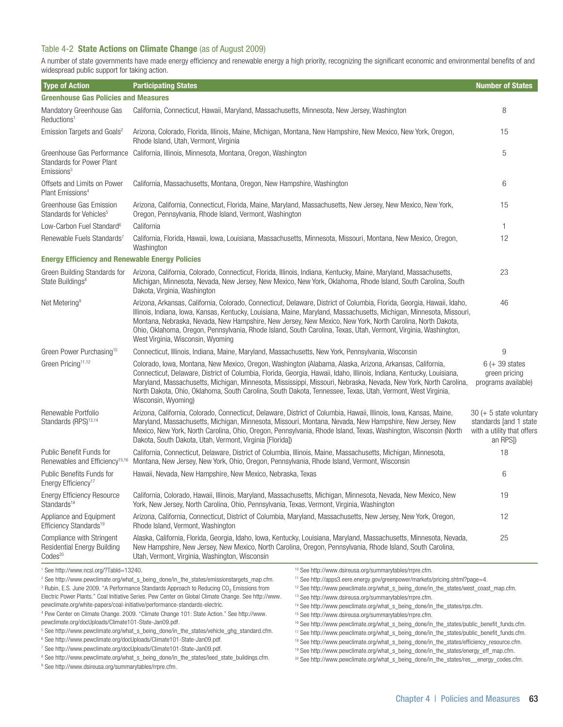# Table 4-2 State Actions on Climate Change (as of August 2009)

A number of state governments have made energy efficiency and renewable energy a high priority, recognizing the significant economic and environmental benefits of and widespread public support for taking action.

| <b>Type of Action</b>                                                                    | <b>Participating States</b>                                                                                                                                                                                                                                                                                                                                                                                                                                                                                         | <b>Number of States</b>                                                                        |
|------------------------------------------------------------------------------------------|---------------------------------------------------------------------------------------------------------------------------------------------------------------------------------------------------------------------------------------------------------------------------------------------------------------------------------------------------------------------------------------------------------------------------------------------------------------------------------------------------------------------|------------------------------------------------------------------------------------------------|
| <b>Greenhouse Gas Policies and Measures</b>                                              |                                                                                                                                                                                                                                                                                                                                                                                                                                                                                                                     |                                                                                                |
| Mandatory Greenhouse Gas<br>Reductions <sup>1</sup>                                      | California, Connecticut, Hawaii, Maryland, Massachusetts, Minnesota, New Jersey, Washington                                                                                                                                                                                                                                                                                                                                                                                                                         | 8                                                                                              |
| Emission Targets and Goals <sup>2</sup>                                                  | Arizona, Colorado, Florida, Illinois, Maine, Michigan, Montana, New Hampshire, New Mexico, New York, Oregon,<br>Rhode Island, Utah, Vermont, Virginia                                                                                                                                                                                                                                                                                                                                                               | 15                                                                                             |
| Greenhouse Gas Performance<br><b>Standards for Power Plant</b><br>Emissions <sup>3</sup> | California, Illinois, Minnesota, Montana, Oregon, Washington                                                                                                                                                                                                                                                                                                                                                                                                                                                        | 5                                                                                              |
| Offsets and Limits on Power<br>Plant Emissions <sup>4</sup>                              | California, Massachusetts, Montana, Oregon, New Hampshire, Washington                                                                                                                                                                                                                                                                                                                                                                                                                                               | 6                                                                                              |
| Greenhouse Gas Emission<br>Standards for Vehicles <sup>5</sup>                           | Arizona, California, Connecticut, Florida, Maine, Maryland, Massachusetts, New Jersey, New Mexico, New York,<br>Oregon, Pennsylvania, Rhode Island, Vermont, Washington                                                                                                                                                                                                                                                                                                                                             | 15                                                                                             |
| Low-Carbon Fuel Standard <sup>6</sup>                                                    | California                                                                                                                                                                                                                                                                                                                                                                                                                                                                                                          | $\mathbf{1}$                                                                                   |
| Renewable Fuels Standards7                                                               | California, Florida, Hawaii, Iowa, Louisiana, Massachusetts, Minnesota, Missouri, Montana, New Mexico, Oregon,<br>Washington                                                                                                                                                                                                                                                                                                                                                                                        | 12                                                                                             |
| <b>Energy Efficiency and Renewable Energy Policies</b>                                   |                                                                                                                                                                                                                                                                                                                                                                                                                                                                                                                     |                                                                                                |
| Green Building Standards for<br>State Buildings <sup>8</sup>                             | Arizona, California, Colorado, Connecticut, Florida, Illinois, Indiana, Kentucky, Maine, Maryland, Massachusetts,<br>Michigan, Minnesota, Nevada, New Jersey, New Mexico, New York, Oklahoma, Rhode Island, South Carolina, South<br>Dakota, Virginia, Washington                                                                                                                                                                                                                                                   | 23                                                                                             |
| Net Metering <sup>9</sup>                                                                | Arizona, Arkansas, California, Colorado, Connecticut, Delaware, District of Columbia, Florida, Georgia, Hawaii, Idaho,<br>Illinois, Indiana, Iowa, Kansas, Kentucky, Louisiana, Maine, Maryland, Massachusetts, Michigan, Minnesota, Missouri,<br>Montana, Nebraska, Nevada, New Hampshire, New Jersey, New Mexico, New York, North Carolina, North Dakota,<br>Ohio, Oklahoma, Oregon, Pennsylvania, Rhode Island, South Carolina, Texas, Utah, Vermont, Virginia, Washington,<br>West Virginia, Wisconsin, Wyoming | 46                                                                                             |
| Green Power Purchasing <sup>10</sup>                                                     | Connecticut, Illinois, Indiana, Maine, Maryland, Massachusetts, New York, Pennsylvania, Wisconsin                                                                                                                                                                                                                                                                                                                                                                                                                   | 9                                                                                              |
| Green Pricing <sup>11,12</sup>                                                           | Colorado, Iowa, Montana, New Mexico, Oregon, Washington (Alabama, Alaska, Arizona, Arkansas, California,<br>Connecticut, Delaware, District of Columbia, Florida, Georgia, Hawaii, Idaho, Illinois, Indiana, Kentucky, Louisiana,<br>Maryland, Massachusetts, Michigan, Minnesota, Mississippi, Missouri, Nebraska, Nevada, New York, North Carolina,<br>North Dakota, Ohio, Oklahoma, South Carolina, South Dakota, Tennessee, Texas, Utah, Vermont, West Virginia,<br>Wisconsin, Wyoming)                         | $6 (+ 39 states$<br>green pricing<br>programs available)                                       |
| Renewable Portfolio<br>Standards (RPS) <sup>13,14</sup>                                  | Arizona, California, Colorado, Connecticut, Delaware, District of Columbia, Hawaii, Illinois, Iowa, Kansas, Maine,<br>Maryland, Massachusetts, Michigan, Minnesota, Missouri, Montana, Nevada, New Hampshire, New Jersey, New<br>Mexico, New York, North Carolina, Ohio, Oregon, Pennsylvania, Rhode Island, Texas, Washington, Wisconsin (North<br>Dakota, South Dakota, Utah, Vermont, Virginia [Florida])                                                                                                        | $30 (+ 5 state voluntary)$<br>standards [and 1 state<br>with a utility that offers<br>an RPS]) |
| Public Benefit Funds for<br>Renewables and Efficiency <sup>15,16</sup>                   | California, Connecticut, Delaware, District of Columbia, Illinois, Maine, Massachusetts, Michigan, Minnesota,<br>Montana, New Jersey, New York, Ohio, Oregon, Pennsylvania, Rhode Island, Vermont, Wisconsin                                                                                                                                                                                                                                                                                                        | 18                                                                                             |
| Public Benefits Funds for<br>Energy Efficiency <sup>17</sup>                             | Hawaii, Nevada, New Hampshire, New Mexico, Nebraska, Texas                                                                                                                                                                                                                                                                                                                                                                                                                                                          | 6                                                                                              |
| <b>Energy Efficiency Resource</b><br>Standards <sup>18</sup>                             | California, Colorado, Hawaii, Illinois, Maryland, Massachusetts, Michigan, Minnesota, Nevada, New Mexico, New<br>York, New Jersey, North Carolina, Ohio, Pennsylvania, Texas, Vermont, Virginia, Washington                                                                                                                                                                                                                                                                                                         | 19                                                                                             |
| Appliance and Equipment<br>Efficiency Standards <sup>19</sup>                            | Arizona, California, Connecticut, District of Columbia, Maryland, Massachusetts, New Jersey, New York, Oregon,<br>Rhode Island, Vermont, Washington                                                                                                                                                                                                                                                                                                                                                                 | 12                                                                                             |
| Compliance with Stringent<br><b>Residential Energy Building</b><br>Codes <sup>20</sup>   | Alaska, California, Florida, Georgia, Idaho, Iowa, Kentucky, Louisiana, Maryland, Massachusetts, Minnesota, Nevada,<br>New Hampshire, New Jersey, New Mexico, North Carolina, Oregon, Pennsylvania, Rhode Island, South Carolina,<br>Utah, Vermont, Virginia, Washington, Wisconsin                                                                                                                                                                                                                                 | 25                                                                                             |

1 See http://www.ncsl.org/?TabId=13240.

10 See http://www.dsireusa.org/summarytables/rrpre.cfm.

11 See http://apps3.eere.energy.gov/greenpower/markets/pricing.shtml?page=4.

12 See http://www.pewclimate.org/what\_s\_being\_done/in\_the\_states/west\_coast\_map.cfm.

<sup>3</sup> Rubin, E.S. June 2009. "A Performance Standards Approach to Reducing CO<sub>2</sub> Emissions from Electric Power Plants." Coal Initiative Series. Pew Center on Global Climate Change. See http://www. pewclimate.org/white-papers/coal-initiative/performance-standards-electric.

4 Pew Center on Climate Change. 2009. "Climate Change 101: State Action." See http://www. pewclimate.org/docUploads/Climate101-State-Jan09.pdf.

<sup>2</sup> See http://www.pewclimate.org/what\_s\_being\_done/in\_the\_states/emissionstargets\_map.cfm.

<sup>5</sup> See http://www.pewclimate.org/what\_s\_being\_done/in\_the\_states/vehicle\_ghg\_standard.cfm.

6 See http://www.pewclimate.org/docUploads/Climate101-State-Jan09.pdf.

<sup>7</sup> See http://www.pewclimate.org/docUploads/Climate101-State-Jan09.pdf.

<sup>8</sup> See http://www.pewclimate.org/what\_s\_being\_done/in\_the\_states/leed\_state\_buildings.cfm.

9 See http://www.dsireusa.org/summarytables/rrpre.cfm.

13 See http://www.dsireusa.org/summarytables/rrpre.cfm. 14 See http://www.pewclimate.org/what\_s\_being\_done/in\_the\_states/rps.cfm.

15 See http://www.dsireusa.org/summarytables/rrpre.cfm.

16 See http://www.pewclimate.org/what\_s\_being\_done/in\_the\_states/public\_benefit\_funds.cfm.

17 See http://www.pewclimate.org/what\_s\_being\_done/in\_the\_states/public\_benefit\_funds.cfm.

18 See http://www.pewclimate.org/what\_s\_being\_done/in\_the\_states/efficiency\_resource.cfm.

19 See http://www.pewclimate.org/what\_s\_being\_done/in\_the\_states/energy\_eff\_map.cfm.

20 See http://www.pewclimate.org/what\_s\_being\_done/in\_the\_states/res\_\_energy\_codes.cfm.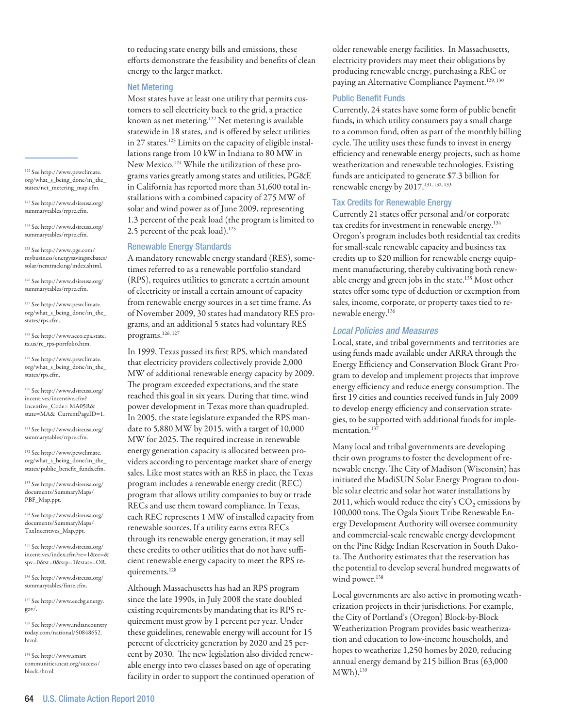to reducing state energy bills and emissions, these efforts demonstrate the feasibility and benefits of clean energy to the larger market.

#### Net Metering

Most states have at least one utility that permits customers to sell electricity back to the grid, a practice known as net metering.<sup>122</sup> Net metering is available statewide in 18 states, and is offered by select utilities in 27 states.<sup>123</sup> Limits on the capacity of eligible installations range from 10 kW in Indiana to 80 MW in New Mexico.124 While the utilization of these programs varies greatly among states and utilities, PG&E in California has reported more than 31,600 total installations with a combined capacity of 275 MW of solar and wind power as of June 2009, representing 1.3 percent of the peak load (the program is limited to 2.5 percent of the peak load).<sup>125</sup>

#### Renewable Energy Standards

A mandatory renewable energy standard (RES), sometimes referred to as a renewable portfolio standard (RPS), requires utilities to generate a certain amount of electricity or install a certain amount of capacity from renewable energy sources in a set time frame. As of November 2009, 30 states had mandatory RES programs, and an additional 5 states had voluntary RES programs.126, 127

In 1999, Texas passed its first RPS, which mandated that electricity providers collectively provide 2,000 MW of additional renewable energy capacity by 2009. The program exceeded expectations, and the state reached this goal in six years. During that time, wind power development in Texas more than quadrupled. In 2005, the state legislature expanded the RPS mandate to 5,880 MW by 2015, with a target of 10,000 MW for 2025. The required increase in renewable energy generation capacity is allocated between providers according to percentage market share of energy sales. Like most states with an RES in place, the Texas program includes a renewable energy credit (REC) program that allows utility companies to buy or trade RECs and use them toward compliance. In Texas, each REC represents 1 MW of installed capacity from renewable sources. If a utility earns extra RECs through its renewable energy generation, it may sell these credits to other utilities that do not have sufficient renewable energy capacity to meet the RPS requirements.128

Although Massachusetts has had an RPS program since the late 1990s, in July 2008 the state doubled existing requirements by mandating that its RPS requirement must grow by 1 percent per year. Under these guidelines, renewable energy will account for 15 percent of electricity generation by 2020 and 25 percent by 2030. The new legislation also divided renewable energy into two classes based on age of operating facility in order to support the continued operation of older renewable energy facilities. In Massachusetts, electricity providers may meet their obligations by producing renewable energy, purchasing a REC or paying an Alternative Compliance Payment.<sup>129, 130</sup>

#### Public Benefit Funds

Currently, 24 states have some form of public benefit funds, in which utility consumers pay a small charge to a common fund, often as part of the monthly billing cycle. The utility uses these funds to invest in energy efficiency and renewable energy projects, such as home weatherization and renewable technologies. Existing funds are anticipated to generate \$7.3 billion for renewable energy by 2017.131, 132, 133

#### Tax Credits for Renewable Energy

Currently 21 states offer personal and/or corporate tax credits for investment in renewable energy.134 Oregon's program includes both residential tax credits for small-scale renewable capacity and business tax credits up to \$20 million for renewable energy equipment manufacturing, thereby cultivating both renewable energy and green jobs in the state.<sup>135</sup> Most other states offer some type of deduction or exemption from sales, income, corporate, or property taxes tied to renewable energy.136

#### *Local Policies and Measures*

Local, state, and tribal governments and territories are using funds made available under ARRA through the Energy Efficiency and Conservation Block Grant Program to develop and implement projects that improve energy efficiency and reduce energy consumption. The first 19 cities and counties received funds in July 2009 to develop energy efficiency and conservation strategies, to be supported with additional funds for implementation.<sup>137</sup>

Many local and tribal governments are developing their own programs to foster the development of renewable energy. The City of Madison (Wisconsin) has initiated the MadiSUN Solar Energy Program to double solar electric and solar hot water installations by 2011, which would reduce the city's  $CO<sub>2</sub>$  emissions by 100,000 tons. The Ogala Sioux Tribe Renewable Energy Development Authority will oversee community and commercial-scale renewable energy development on the Pine Ridge Indian Reservation in South Dakota. The Authority estimates that the reservation has the potential to develop several hundred megawatts of wind power.<sup>138</sup>

Local governments are also active in promoting weatherization projects in their jurisdictions. For example, the City of Portland's (Oregon) Block-by-Block Weatherization Program provides basic weatherization and education to low-income households, and hopes to weatherize 1,250 homes by 2020, reducing annual energy demand by 215 billion Btus (63,000 MWh).139

122 See http://www.pewclimate. org/what\_s\_being\_done/in\_the\_ states/net\_metering\_map.cfm.

123 See http://www.dsireusa.org/ summarytables/rrpre.cfm.

124 See http://www.dsireusa.org/ summarytables/rrpre.cfm.

125 See http://www.pge.com/ mybusiness/energysavingsrebates/ solar/nemtracking/index.shtml.

126 See http://www.dsireusa.org/ summarytables/rrpre.cfm.

127 See http://www.pewclimate. org/what\_s\_being\_done/in\_the\_ states/rps.cfm.

128 See http://www.seco.cpa.state. tx.us/re\_rps-portfolio.htm.

129 See http://www.pewclimate. org/what\_s\_being\_done/in\_the\_ states/rps.cfm.

130 See http://www.dsireusa.org/ incentives/incentive.cfm? Incentive\_Code= MA05R& state=MA& CurrentPageID=1.

131 See http://www.dsireusa.org/ summarytables/rrpre.cfm.

132 See http://www.pewclimate. org/what\_s\_being\_done/in\_the\_ states/public\_benefit\_funds.cfm.

133 See http://www.dsireusa.org/ documents/SummaryMaps/ PBF\_Map.ppt.

134 See http://www.dsireusa.org/ documents/SummaryMaps/ TaxIncentives\_Map.ppt.

135 See http://www.dsireusa.org/ incentives/index.cfm?re=1&ee=& spv=0&st=0&srp=1&state=OR.

136 See http://www.dsireusa.org/ summarytables/finre.cfm.

137 See http://www.eecbg.energy. gov/.

138 See http://www.indiancountry today.com/national/50848652. html.

139 See http://www.smart communities.ncat.org/success/ block.shtml.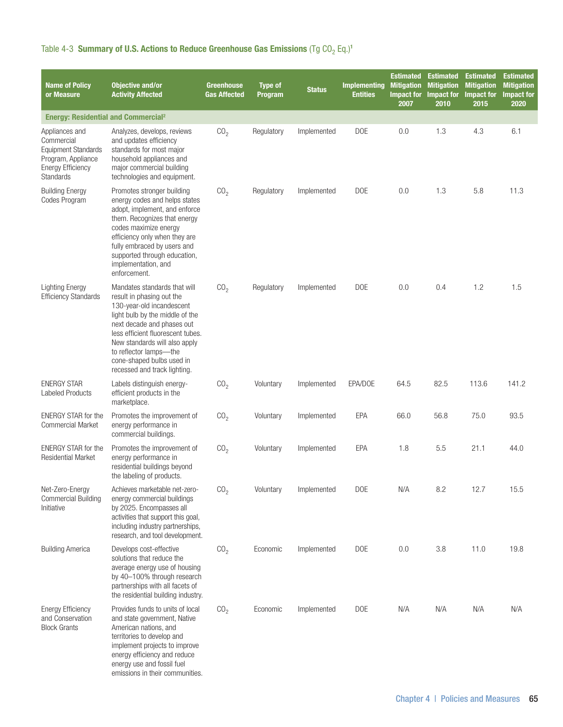| <b>Name of Policy</b><br>or Measure                                                                                       | <b>Objective and/or</b><br><b>Activity Affected</b>                                                                                                                                                                                                                                                                  | <b>Greenhouse</b><br><b>Gas Affected</b> | <b>Type of</b><br>Program | <b>Status</b> | <b>Implementing</b><br><b>Entities</b> | <b>Estimated</b><br><b>Mitigation</b><br><b>Impact for</b><br>2007 | <b>Estimated</b><br><b>Mitigation</b><br><b>Impact for</b><br>2010 | <b>Estimated</b><br><b>Mitigation</b><br>Impact for<br>2015 | <b>Estimated</b><br><b>Mitigation</b><br><b>Impact for</b><br>2020 |
|---------------------------------------------------------------------------------------------------------------------------|----------------------------------------------------------------------------------------------------------------------------------------------------------------------------------------------------------------------------------------------------------------------------------------------------------------------|------------------------------------------|---------------------------|---------------|----------------------------------------|--------------------------------------------------------------------|--------------------------------------------------------------------|-------------------------------------------------------------|--------------------------------------------------------------------|
| <b>Energy: Residential and Commercial<sup>2</sup></b>                                                                     |                                                                                                                                                                                                                                                                                                                      |                                          |                           |               |                                        |                                                                    |                                                                    |                                                             |                                                                    |
| Appliances and<br>Commercial<br><b>Equipment Standards</b><br>Program, Appliance<br><b>Energy Efficiency</b><br>Standards | Analyzes, develops, reviews<br>and updates efficiency<br>standards for most major<br>household appliances and<br>major commercial building<br>technologies and equipment.                                                                                                                                            | CO <sub>2</sub>                          | Regulatory                | Implemented   | <b>DOE</b>                             | 0.0                                                                | 1.3                                                                | 4.3                                                         | 6.1                                                                |
| <b>Building Energy</b><br>Codes Program                                                                                   | Promotes stronger building<br>energy codes and helps states<br>adopt, implement, and enforce<br>them. Recognizes that energy<br>codes maximize energy<br>efficiency only when they are<br>fully embraced by users and<br>supported through education,<br>implementation, and<br>enforcement.                         | CO <sub>2</sub>                          | Regulatory                | Implemented   | <b>DOE</b>                             | 0.0                                                                | 1.3                                                                | 5.8                                                         | 11.3                                                               |
| <b>Lighting Energy</b><br><b>Efficiency Standards</b>                                                                     | Mandates standards that will<br>result in phasing out the<br>130-year-old incandescent<br>light bulb by the middle of the<br>next decade and phases out<br>less efficient fluorescent tubes.<br>New standards will also apply<br>to reflector lamps-the<br>cone-shaped bulbs used in<br>recessed and track lighting. | CO <sub>2</sub>                          | Regulatory                | Implemented   | <b>DOE</b>                             | 0.0                                                                | 0.4                                                                | 1.2                                                         | 1.5                                                                |
| <b>ENERGY STAR</b><br>Labeled Products                                                                                    | Labels distinguish energy-<br>efficient products in the<br>marketplace.                                                                                                                                                                                                                                              | CO <sub>2</sub>                          | Voluntary                 | Implemented   | EPA/DOE                                | 64.5                                                               | 82.5                                                               | 113.6                                                       | 141.2                                                              |
| <b>ENERGY STAR for the</b><br><b>Commercial Market</b>                                                                    | Promotes the improvement of<br>energy performance in<br>commercial buildings.                                                                                                                                                                                                                                        | CO <sub>2</sub>                          | Voluntary                 | Implemented   | EPA                                    | 66.0                                                               | 56.8                                                               | 75.0                                                        | 93.5                                                               |
| <b>ENERGY STAR for the</b><br><b>Residential Market</b>                                                                   | Promotes the improvement of<br>energy performance in<br>residential buildings beyond<br>the labeling of products.                                                                                                                                                                                                    | CO <sub>2</sub>                          | Voluntary                 | Implemented   | <b>EPA</b>                             | 1.8                                                                | 5.5                                                                | 21.1                                                        | 44.0                                                               |
| Net-Zero-Energy<br><b>Commercial Building</b><br>Initiative                                                               | Achieves marketable net-zero-<br>energy commercial buildings<br>by 2025. Encompasses all<br>activities that support this goal,<br>including industry partnerships,<br>research, and tool development.                                                                                                                | CO <sub>2</sub>                          | Voluntary                 | Implemented   | <b>DOE</b>                             | N/A                                                                | 8.2                                                                | 12.7                                                        | 15.5                                                               |
| <b>Building America</b>                                                                                                   | Develops cost-effective<br>solutions that reduce the<br>average energy use of housing<br>by 40-100% through research<br>partnerships with all facets of<br>the residential building industry.                                                                                                                        | CO <sub>2</sub>                          | Economic                  | Implemented   | <b>DOE</b>                             | 0.0                                                                | 3.8                                                                | 11.0                                                        | 19.8                                                               |
| <b>Energy Efficiency</b><br>and Conservation<br><b>Block Grants</b>                                                       | Provides funds to units of local<br>and state government, Native<br>American nations, and<br>territories to develop and<br>implement projects to improve<br>energy efficiency and reduce<br>energy use and fossil fuel<br>emissions in their communities.                                                            | CO <sub>2</sub>                          | Economic                  | Implemented   | <b>DOE</b>                             | N/A                                                                | N/A                                                                | N/A                                                         | N/A                                                                |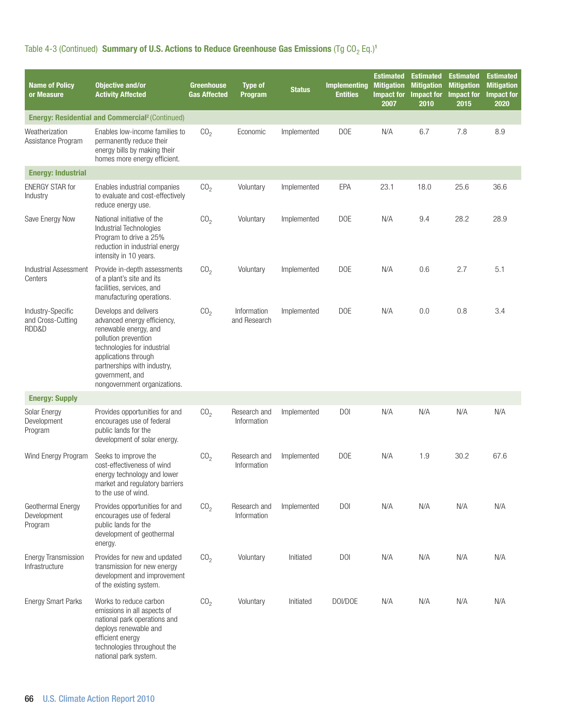| <b>Name of Policy</b><br>or Measure             | <b>Objective and/or</b><br><b>Activity Affected</b>                                                                                                                                                                                            | <b>Greenhouse</b><br><b>Gas Affected</b> | <b>Type of</b><br><b>Program</b> | <b>Status</b> | <b>Implementing</b><br><b>Entities</b> | <b>Estimated</b><br><b>Mitigation</b><br><b>Impact for</b><br>2007 | <b>Estimated</b><br><b>Mitigation</b><br><b>Impact for</b><br>2010 | <b>Estimated</b><br><b>Mitigation</b><br><b>Impact for</b><br>2015 | <b>Estimated</b><br><b>Mitigation</b><br><b>Impact for</b><br>2020 |
|-------------------------------------------------|------------------------------------------------------------------------------------------------------------------------------------------------------------------------------------------------------------------------------------------------|------------------------------------------|----------------------------------|---------------|----------------------------------------|--------------------------------------------------------------------|--------------------------------------------------------------------|--------------------------------------------------------------------|--------------------------------------------------------------------|
|                                                 | <b>Energy: Residential and Commercial<sup>2</sup> (Continued)</b>                                                                                                                                                                              |                                          |                                  |               |                                        |                                                                    |                                                                    |                                                                    |                                                                    |
| Weatherization<br>Assistance Program            | Enables low-income families to<br>permanently reduce their<br>energy bills by making their<br>homes more energy efficient.                                                                                                                     | CO <sub>2</sub>                          | Economic                         | Implemented   | <b>DOE</b>                             | N/A                                                                | 6.7                                                                | 7.8                                                                | 8.9                                                                |
| <b>Energy: Industrial</b>                       |                                                                                                                                                                                                                                                |                                          |                                  |               |                                        |                                                                    |                                                                    |                                                                    |                                                                    |
| <b>ENERGY STAR for</b><br>Industry              | Enables industrial companies<br>to evaluate and cost-effectively<br>reduce energy use.                                                                                                                                                         | CO <sub>2</sub>                          | Voluntary                        | Implemented   | EPA                                    | 23.1                                                               | 18.0                                                               | 25.6                                                               | 36.6                                                               |
| Save Energy Now                                 | National initiative of the<br>Industrial Technologies<br>Program to drive a 25%<br>reduction in industrial energy<br>intensity in 10 years.                                                                                                    | CO <sub>2</sub>                          | Voluntary                        | Implemented   | <b>DOE</b>                             | N/A                                                                | 9.4                                                                | 28.2                                                               | 28.9                                                               |
| Industrial Assessment<br>Centers                | Provide in-depth assessments<br>of a plant's site and its<br>facilities, services, and<br>manufacturing operations.                                                                                                                            | CO <sub>2</sub>                          | Voluntary                        | Implemented   | <b>DOE</b>                             | N/A                                                                | 0.6                                                                | 2.7                                                                | 5.1                                                                |
| Industry-Specific<br>and Cross-Cutting<br>RDD&D | Develops and delivers<br>advanced energy efficiency,<br>renewable energy, and<br>pollution prevention<br>technologies for industrial<br>applications through<br>partnerships with industry,<br>government, and<br>nongovernment organizations. | CO <sub>2</sub>                          | Information<br>and Research      | Implemented   | <b>DOE</b>                             | N/A                                                                | 0.0                                                                | 0.8                                                                | 3.4                                                                |
| <b>Energy: Supply</b>                           |                                                                                                                                                                                                                                                |                                          |                                  |               |                                        |                                                                    |                                                                    |                                                                    |                                                                    |
| Solar Energy<br>Development<br>Program          | Provides opportunities for and<br>encourages use of federal<br>public lands for the<br>development of solar energy.                                                                                                                            | CO <sub>2</sub>                          | Research and<br>Information      | Implemented   | <b>DOI</b>                             | N/A                                                                | N/A                                                                | N/A                                                                | N/A                                                                |
| Wind Energy Program                             | Seeks to improve the<br>cost-effectiveness of wind<br>energy technology and lower<br>market and regulatory barriers<br>to the use of wind.                                                                                                     | CO <sub>2</sub>                          | Research and<br>Information      | Implemented   | <b>DOE</b>                             | N/A                                                                | 1.9                                                                | 30.2                                                               | 67.6                                                               |
| Geothermal Energy<br>Development<br>Program     | Provides opportunities for and<br>encourages use of federal<br>public lands for the<br>development of geothermal<br>energy.                                                                                                                    | CO <sub>2</sub>                          | Research and<br>Information      | Implemented   | <b>DOI</b>                             | N/A                                                                | N/A                                                                | N/A                                                                | N/A                                                                |
| <b>Energy Transmission</b><br>Infrastructure    | Provides for new and updated<br>transmission for new energy<br>development and improvement<br>of the existing system.                                                                                                                          | CO <sub>2</sub>                          | Voluntary                        | Initiated     | <b>DOI</b>                             | N/A                                                                | N/A                                                                | N/A                                                                | N/A                                                                |
| <b>Energy Smart Parks</b>                       | Works to reduce carbon<br>emissions in all aspects of<br>national park operations and<br>deploys renewable and<br>efficient energy<br>technologies throughout the<br>national park system.                                                     | CO <sub>2</sub>                          | Voluntary                        | Initiated     | DOI/DOE                                | N/A                                                                | N/A                                                                | N/A                                                                | N/A                                                                |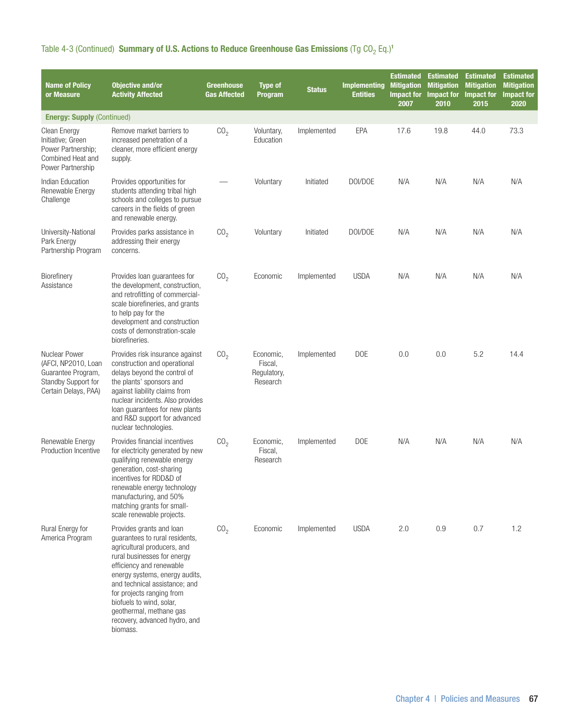| <b>Name of Policy</b><br>or Measure                                                                       | <b>Objective and/or</b><br><b>Activity Affected</b>                                                                                                                                                                                                                                                                                                      | <b>Greenhouse</b><br><b>Gas Affected</b> | <b>Type of</b><br><b>Program</b>                | <b>Status</b> | <b>Implementing</b><br><b>Entities</b> | <b>Estimated</b><br><b>Mitigation</b><br><b>Impact for</b><br>2007 | <b>Estimated</b><br><b>Mitigation</b><br><b>Impact for</b><br>2010 | <b>Estimated</b><br><b>Mitigation</b><br>Impact for<br>2015 | <b>Estimated</b><br><b>Mitigation</b><br><b>Impact for</b><br>2020 |
|-----------------------------------------------------------------------------------------------------------|----------------------------------------------------------------------------------------------------------------------------------------------------------------------------------------------------------------------------------------------------------------------------------------------------------------------------------------------------------|------------------------------------------|-------------------------------------------------|---------------|----------------------------------------|--------------------------------------------------------------------|--------------------------------------------------------------------|-------------------------------------------------------------|--------------------------------------------------------------------|
| <b>Energy: Supply (Continued)</b>                                                                         |                                                                                                                                                                                                                                                                                                                                                          |                                          |                                                 |               |                                        |                                                                    |                                                                    |                                                             |                                                                    |
| Clean Energy<br>Initiative; Green<br>Power Partnership;<br>Combined Heat and<br>Power Partnership         | Remove market barriers to<br>increased penetration of a<br>cleaner, more efficient energy<br>supply.                                                                                                                                                                                                                                                     | CO <sub>2</sub>                          | Voluntary,<br>Education                         | Implemented   | EPA                                    | 17.6                                                               | 19.8                                                               | 44.0                                                        | 73.3                                                               |
| Indian Education<br>Renewable Energy<br>Challenge                                                         | Provides opportunities for<br>students attending tribal high<br>schools and colleges to pursue<br>careers in the fields of green<br>and renewable energy.                                                                                                                                                                                                |                                          | Voluntary                                       | Initiated     | DOI/DOE                                | N/A                                                                | N/A                                                                | N/A                                                         | N/A                                                                |
| University-National<br>Park Energy<br>Partnership Program                                                 | Provides parks assistance in<br>addressing their energy<br>concerns.                                                                                                                                                                                                                                                                                     | CO <sub>2</sub>                          | Voluntary                                       | Initiated     | DOI/DOE                                | N/A                                                                | N/A                                                                | N/A                                                         | N/A                                                                |
| Biorefinery<br>Assistance                                                                                 | Provides loan guarantees for<br>the development, construction,<br>and retrofitting of commercial-<br>scale biorefineries, and grants<br>to help pay for the<br>development and construction<br>costs of demonstration-scale<br>biorefineries.                                                                                                            | CO <sub>2</sub>                          | Economic                                        | Implemented   | <b>USDA</b>                            | N/A                                                                | N/A                                                                | N/A                                                         | N/A                                                                |
| Nuclear Power<br>(AFCI, NP2010, Loan<br>Guarantee Program,<br>Standby Support for<br>Certain Delays, PAA) | Provides risk insurance against<br>construction and operational<br>delays beyond the control of<br>the plants' sponsors and<br>against liability claims from<br>nuclear incidents. Also provides<br>loan guarantees for new plants<br>and R&D support for advanced<br>nuclear technologies.                                                              | CO <sub>2</sub>                          | Economic,<br>Fiscal,<br>Regulatory,<br>Research | Implemented   | <b>DOE</b>                             | 0.0                                                                | 0.0                                                                | 5.2                                                         | 14.4                                                               |
| Renewable Energy<br><b>Production Incentive</b>                                                           | Provides financial incentives<br>for electricity generated by new<br>qualifying renewable energy<br>generation, cost-sharing<br>incentives for RDD&D of<br>renewable energy technology<br>manufacturing, and 50%<br>matching grants for small-<br>scale renewable projects.                                                                              | CO <sub>2</sub>                          | Economic,<br>Fiscal,<br>Research                | Implemented   | <b>DOE</b>                             | N/A                                                                | N/A                                                                | N/A                                                         | N/A                                                                |
| Rural Energy for<br>America Program                                                                       | Provides grants and loan<br>guarantees to rural residents,<br>agricultural producers, and<br>rural businesses for energy<br>efficiency and renewable<br>energy systems, energy audits,<br>and technical assistance; and<br>for projects ranging from<br>biofuels to wind, solar,<br>geothermal, methane gas<br>recovery, advanced hydro, and<br>biomass. | CO <sub>2</sub>                          | Economic                                        | Implemented   | <b>USDA</b>                            | 2.0                                                                | 0.9                                                                | 0.7                                                         | 1.2                                                                |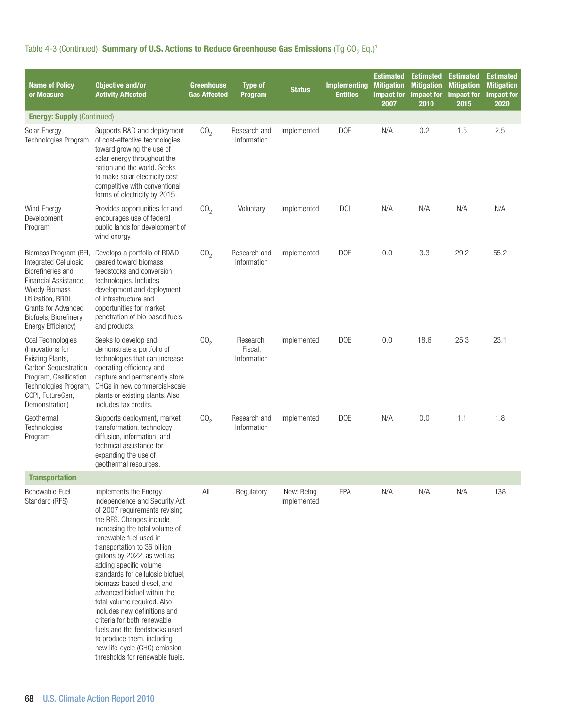| <b>Name of Policy</b><br>or Measure                                                                                                                                                                                     | <b>Objective and/or</b><br><b>Activity Affected</b>                                                                                                                                                                                                                                                                                                                                                                                                                                                                                                                                                        | <b>Greenhouse</b><br><b>Gas Affected</b> | <b>Type of</b><br>Program           | <b>Status</b>             | <b>Implementing</b><br><b>Entities</b> | <b>Estimated</b><br><b>Mitigation</b><br><b>Impact for</b><br>2007 | <b>Estimated</b><br><b>Mitigation</b><br>2010 | <b>Estimated</b><br><b>Mitigation</b><br>Impact for Impact for<br>2015 | <b>Estimated</b><br><b>Mitigation</b><br><b>Impact for</b><br>2020 |
|-------------------------------------------------------------------------------------------------------------------------------------------------------------------------------------------------------------------------|------------------------------------------------------------------------------------------------------------------------------------------------------------------------------------------------------------------------------------------------------------------------------------------------------------------------------------------------------------------------------------------------------------------------------------------------------------------------------------------------------------------------------------------------------------------------------------------------------------|------------------------------------------|-------------------------------------|---------------------------|----------------------------------------|--------------------------------------------------------------------|-----------------------------------------------|------------------------------------------------------------------------|--------------------------------------------------------------------|
| <b>Energy: Supply (Continued)</b>                                                                                                                                                                                       |                                                                                                                                                                                                                                                                                                                                                                                                                                                                                                                                                                                                            |                                          |                                     |                           |                                        |                                                                    |                                               |                                                                        |                                                                    |
| Solar Energy<br>Technologies Program                                                                                                                                                                                    | Supports R&D and deployment<br>of cost-effective technologies<br>toward growing the use of<br>solar energy throughout the<br>nation and the world. Seeks<br>to make solar electricity cost-<br>competitive with conventional<br>forms of electricity by 2015.                                                                                                                                                                                                                                                                                                                                              | CO <sub>2</sub>                          | Research and<br>Information         | Implemented               | <b>DOE</b>                             | N/A                                                                | 0.2                                           | 1.5                                                                    | 2.5                                                                |
| Wind Energy<br>Development<br>Program                                                                                                                                                                                   | Provides opportunities for and<br>encourages use of federal<br>public lands for development of<br>wind energy.                                                                                                                                                                                                                                                                                                                                                                                                                                                                                             | CO <sub>2</sub>                          | Voluntary                           | Implemented               | <b>DOI</b>                             | N/A                                                                | N/A                                           | N/A                                                                    | N/A                                                                |
| Biomass Program (BFI,<br>Integrated Cellulosic<br>Biorefineries and<br>Financial Assistance,<br><b>Woody Biomass</b><br>Utilization, BRDI,<br><b>Grants for Advanced</b><br>Biofuels, Biorefinery<br>Energy Efficiency) | Develops a portfolio of RD&D<br>geared toward biomass<br>feedstocks and conversion<br>technologies. Includes<br>development and deployment<br>of infrastructure and<br>opportunities for market<br>penetration of bio-based fuels<br>and products.                                                                                                                                                                                                                                                                                                                                                         | CO <sub>2</sub>                          | Research and<br>Information         | Implemented               | <b>DOE</b>                             | 0.0                                                                | 3.3                                           | 29.2                                                                   | 55.2                                                               |
| Coal Technologies<br>(Innovations for<br>Existing Plants,<br>Carbon Sequestration<br>Program, Gasification<br>Technologies Program,<br>CCPI, FutureGen,<br>Demonstration)                                               | Seeks to develop and<br>demonstrate a portfolio of<br>technologies that can increase<br>operating efficiency and<br>capture and permanently store<br>GHGs in new commercial-scale<br>plants or existing plants. Also<br>includes tax credits.                                                                                                                                                                                                                                                                                                                                                              | CO <sub>2</sub>                          | Research,<br>Fiscal,<br>Information | Implemented               | <b>DOE</b>                             | 0.0                                                                | 18.6                                          | 25.3                                                                   | 23.1                                                               |
| Geothermal<br>Technologies<br>Program                                                                                                                                                                                   | Supports deployment, market<br>transformation, technology<br>diffusion, information, and<br>technical assistance for<br>expanding the use of<br>geothermal resources.                                                                                                                                                                                                                                                                                                                                                                                                                                      | CO <sub>2</sub>                          | Research and<br>Information         | Implemented               | <b>DOE</b>                             | N/A                                                                | 0.0                                           | 1.1                                                                    | 1.8                                                                |
| <b>Transportation</b>                                                                                                                                                                                                   |                                                                                                                                                                                                                                                                                                                                                                                                                                                                                                                                                                                                            |                                          |                                     |                           |                                        |                                                                    |                                               |                                                                        |                                                                    |
| Renewable Fuel<br>Standard (RFS)                                                                                                                                                                                        | Implements the Energy<br>Independence and Security Act<br>of 2007 requirements revising<br>the RFS. Changes include<br>increasing the total volume of<br>renewable fuel used in<br>transportation to 36 billion<br>gallons by 2022, as well as<br>adding specific volume<br>standards for cellulosic biofuel,<br>biomass-based diesel, and<br>advanced biofuel within the<br>total volume required. Also<br>includes new definitions and<br>criteria for both renewable<br>fuels and the feedstocks used<br>to produce them, including<br>new life-cycle (GHG) emission<br>thresholds for renewable fuels. | All                                      | Regulatory                          | New: Being<br>Implemented | <b>EPA</b>                             | N/A                                                                | N/A                                           | N/A                                                                    | 138                                                                |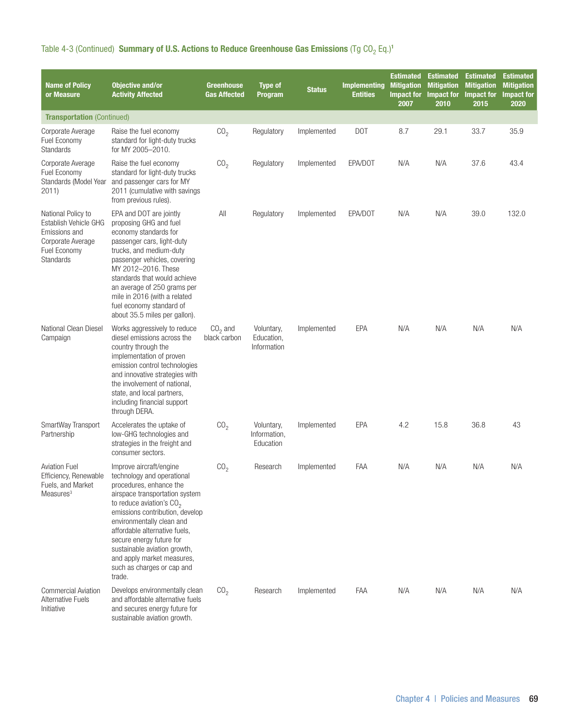| <b>Name of Policy</b><br>or Measure                                                                            | <b>Objective and/or</b><br><b>Activity Affected</b>                                                                                                                                                                                                                                                                                                                                 | <b>Greenhouse</b><br><b>Gas Affected</b> | <b>Type of</b><br><b>Program</b>        | <b>Status</b> | <b>Implementing</b><br><b>Entities</b> | <b>Estimated</b><br><b>Mitigation</b><br><b>Impact for</b><br>2007 | <b>Estimated</b><br><b>Mitigation</b><br>Impact for<br>2010 | <b>Estimated</b><br><b>Mitigation</b><br>Impact for<br>2015 | <b>Estimated</b><br><b>Mitigation</b><br><b>Impact for</b><br>2020 |
|----------------------------------------------------------------------------------------------------------------|-------------------------------------------------------------------------------------------------------------------------------------------------------------------------------------------------------------------------------------------------------------------------------------------------------------------------------------------------------------------------------------|------------------------------------------|-----------------------------------------|---------------|----------------------------------------|--------------------------------------------------------------------|-------------------------------------------------------------|-------------------------------------------------------------|--------------------------------------------------------------------|
| <b>Transportation (Continued)</b>                                                                              |                                                                                                                                                                                                                                                                                                                                                                                     |                                          |                                         |               |                                        |                                                                    |                                                             |                                                             |                                                                    |
| Corporate Average<br>Fuel Economy<br>Standards                                                                 | Raise the fuel economy<br>standard for light-duty trucks<br>for MY 2005-2010.                                                                                                                                                                                                                                                                                                       | CO <sub>2</sub>                          | Regulatory                              | Implemented   | DOT                                    | 8.7                                                                | 29.1                                                        | 33.7                                                        | 35.9                                                               |
| Corporate Average<br>Fuel Economy<br>Standards (Model Year<br>2011)                                            | Raise the fuel economy<br>standard for light-duty trucks<br>and passenger cars for MY<br>2011 (cumulative with savings)<br>from previous rules).                                                                                                                                                                                                                                    | CO <sub>2</sub>                          | Regulatory                              | Implemented   | EPA/DOT                                | N/A                                                                | N/A                                                         | 37.6                                                        | 43.4                                                               |
| National Policy to<br>Establish Vehicle GHG<br>Emissions and<br>Corporate Average<br>Fuel Economy<br>Standards | EPA and DOT are jointly<br>proposing GHG and fuel<br>economy standards for<br>passenger cars, light-duty<br>trucks, and medium-duty<br>passenger vehicles, covering<br>MY 2012-2016. These<br>standards that would achieve<br>an average of 250 grams per<br>mile in 2016 (with a related<br>fuel economy standard of<br>about 35.5 miles per gallon).                              | All                                      | Regulatory                              | Implemented   | EPA/DOT                                | N/A                                                                | N/A                                                         | 39.0                                                        | 132.0                                                              |
| National Clean Diesel<br>Campaign                                                                              | Works aggressively to reduce<br>diesel emissions across the<br>country through the<br>implementation of proven<br>emission control technologies<br>and innovative strategies with<br>the involvement of national,<br>state, and local partners,<br>including financial support<br>through DERA.                                                                                     | $CO2$ and<br>black carbon                | Voluntary,<br>Education,<br>Information | Implemented   | EPA                                    | N/A                                                                | N/A                                                         | N/A                                                         | N/A                                                                |
| SmartWay Transport<br>Partnership                                                                              | Accelerates the uptake of<br>low-GHG technologies and<br>strategies in the freight and<br>consumer sectors.                                                                                                                                                                                                                                                                         | CO <sub>2</sub>                          | Voluntary,<br>Information,<br>Education | Implemented   | EPA                                    | 4.2                                                                | 15.8                                                        | 36.8                                                        | 43                                                                 |
| <b>Aviation Fuel</b><br>Efficiency, Renewable<br>Fuels, and Market<br>Measures <sup>3</sup>                    | Improve aircraft/engine<br>technology and operational<br>procedures, enhance the<br>airspace transportation system<br>to reduce aviation's $CO2$<br>emissions contribution, develop<br>environmentally clean and<br>affordable alternative fuels,<br>secure energy future for<br>sustainable aviation growth,<br>and apply market measures,<br>such as charges or cap and<br>trade. | CO <sub>2</sub>                          | Research                                | Implemented   | FAA                                    | N/A                                                                | N/A                                                         | N/A                                                         | N/A                                                                |
| <b>Commercial Aviation</b><br><b>Alternative Fuels</b><br>Initiative                                           | Develops environmentally clean<br>and affordable alternative fuels<br>and secures energy future for<br>sustainable aviation growth.                                                                                                                                                                                                                                                 | CO <sub>2</sub>                          | Research                                | Implemented   | FAA                                    | N/A                                                                | N/A                                                         | N/A                                                         | N/A                                                                |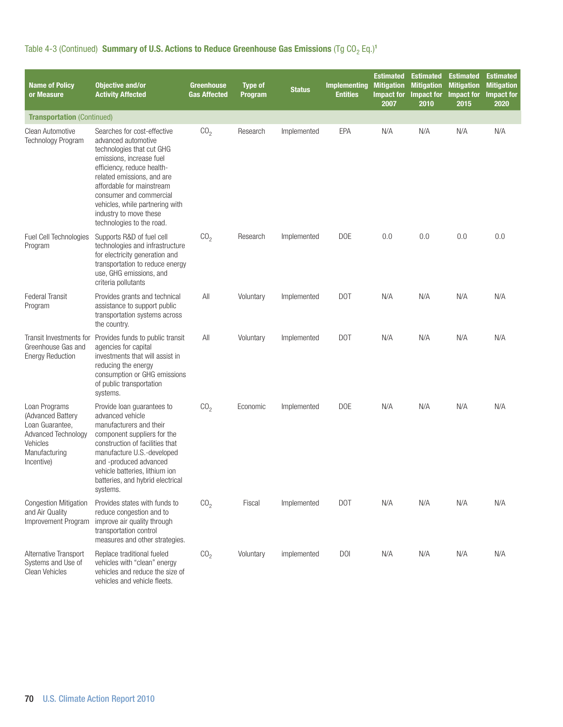| <b>Name of Policy</b><br>or Measure                                                                                            | <b>Objective and/or</b><br><b>Activity Affected</b>                                                                                                                                                                                                                                                                       | <b>Greenhouse</b><br><b>Gas Affected</b> | <b>Type of</b><br>Program | <b>Status</b> | <b>Implementing</b><br><b>Entities</b> | <b>Estimated</b><br><b>Mitigation</b><br><b>Impact for</b><br>2007 | <b>Estimated</b><br><b>Mitigation</b><br>Impact for<br>2010 | <b>Estimated</b><br><b>Mitigation</b><br>Impact for<br>2015 | <b>Estimated</b><br><b>Mitigation</b><br><b>Impact for</b><br>2020 |
|--------------------------------------------------------------------------------------------------------------------------------|---------------------------------------------------------------------------------------------------------------------------------------------------------------------------------------------------------------------------------------------------------------------------------------------------------------------------|------------------------------------------|---------------------------|---------------|----------------------------------------|--------------------------------------------------------------------|-------------------------------------------------------------|-------------------------------------------------------------|--------------------------------------------------------------------|
| <b>Transportation (Continued)</b>                                                                                              |                                                                                                                                                                                                                                                                                                                           |                                          |                           |               |                                        |                                                                    |                                                             |                                                             |                                                                    |
| Clean Automotive<br>Technology Program                                                                                         | Searches for cost-effective<br>advanced automotive<br>technologies that cut GHG<br>emissions, increase fuel<br>efficiency, reduce health-<br>related emissions, and are<br>affordable for mainstream<br>consumer and commercial<br>vehicles, while partnering with<br>industry to move these<br>technologies to the road. | CO <sub>2</sub>                          | Research                  | Implemented   | EPA                                    | N/A                                                                | N/A                                                         | N/A                                                         | N/A                                                                |
| <b>Fuel Cell Technologies</b><br>Program                                                                                       | Supports R&D of fuel cell<br>technologies and infrastructure<br>for electricity generation and<br>transportation to reduce energy<br>use, GHG emissions, and<br>criteria pollutants                                                                                                                                       | CO <sub>2</sub>                          | Research                  | Implemented   | <b>DOE</b>                             | 0.0                                                                | 0.0                                                         | 0.0                                                         | 0.0                                                                |
| Federal Transit<br>Program                                                                                                     | Provides grants and technical<br>assistance to support public<br>transportation systems across<br>the country.                                                                                                                                                                                                            | All                                      | Voluntary                 | Implemented   | DOT                                    | N/A                                                                | N/A                                                         | N/A                                                         | N/A                                                                |
| Transit Investments for<br>Greenhouse Gas and<br><b>Energy Reduction</b>                                                       | Provides funds to public transit<br>agencies for capital<br>investments that will assist in<br>reducing the energy<br>consumption or GHG emissions<br>of public transportation<br>systems.                                                                                                                                | All                                      | Voluntary                 | Implemented   | DOT                                    | N/A                                                                | N/A                                                         | N/A                                                         | N/A                                                                |
| Loan Programs<br>(Advanced Battery<br>Loan Guarantee,<br><b>Advanced Technology</b><br>Vehicles<br>Manufacturing<br>Incentive) | Provide loan guarantees to<br>advanced vehicle<br>manufacturers and their<br>component suppliers for the<br>construction of facilities that<br>manufacture U.S.-developed<br>and -produced advanced<br>vehicle batteries, lithium ion<br>batteries, and hybrid electrical<br>systems.                                     | CO <sub>2</sub>                          | Economic                  | Implemented   | <b>DOE</b>                             | N/A                                                                | N/A                                                         | N/A                                                         | N/A                                                                |
| Congestion Mitigation<br>and Air Quality<br>Improvement Program                                                                | Provides states with funds to<br>reduce congestion and to<br>improve air quality through<br>transportation control<br>measures and other strategies.                                                                                                                                                                      | CO <sub>2</sub>                          | Fiscal                    | Implemented   | DOT                                    | N/A                                                                | N/A                                                         | N/A                                                         | N/A                                                                |
| Alternative Transport<br>Systems and Use of<br>Clean Vehicles                                                                  | Replace traditional fueled<br>vehicles with "clean" energy<br>vehicles and reduce the size of<br>vehicles and vehicle fleets.                                                                                                                                                                                             | CO <sub>2</sub>                          | Voluntary                 | implemented   | <b>DOI</b>                             | N/A                                                                | N/A                                                         | N/A                                                         | N/A                                                                |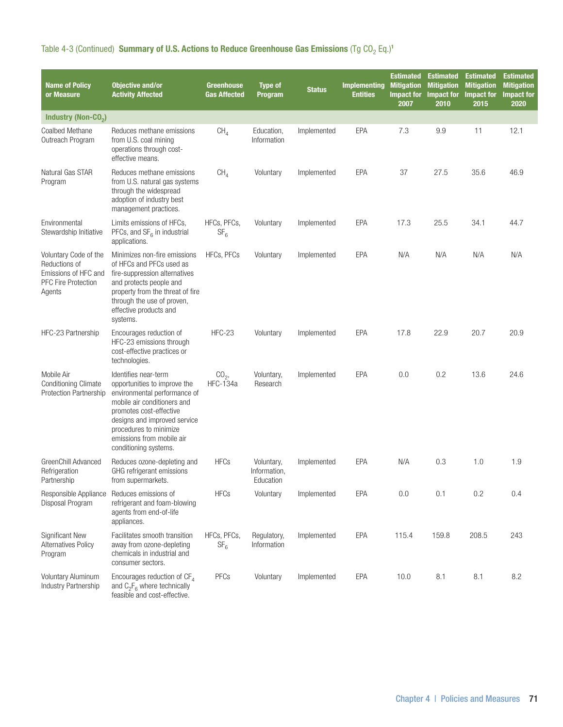| Table 4-3 (Continued) Summary of U.S. Actions to Reduce Greenhouse Gas Emissions (Tg CO <sub>2</sub> Eq.) <sup>1</sup> |  |  |  |  |  |
|------------------------------------------------------------------------------------------------------------------------|--|--|--|--|--|
|------------------------------------------------------------------------------------------------------------------------|--|--|--|--|--|

| <b>Name of Policy</b><br>or Measure                                                                    | <b>Objective and/or</b><br><b>Activity Affected</b>                                                                                                                                                                                                            | <b>Greenhouse</b><br><b>Gas Affected</b> | <b>Type of</b><br>Program               | <b>Status</b> | <b>Implementing</b><br>Entities | <b>Estimated</b><br><b>Mitigation</b><br><b>Impact for</b><br>2007 | <b>Estimated</b><br><b>Mitigation</b><br>Impact for<br>2010 | <b>Estimated</b><br><b>Mitigation</b><br>Impact for<br>2015 | <b>Estimated</b><br><b>Mitigation</b><br><b>Impact for</b><br>2020 |
|--------------------------------------------------------------------------------------------------------|----------------------------------------------------------------------------------------------------------------------------------------------------------------------------------------------------------------------------------------------------------------|------------------------------------------|-----------------------------------------|---------------|---------------------------------|--------------------------------------------------------------------|-------------------------------------------------------------|-------------------------------------------------------------|--------------------------------------------------------------------|
| Industry (Non-CO <sub>2</sub> )                                                                        |                                                                                                                                                                                                                                                                |                                          |                                         |               |                                 |                                                                    |                                                             |                                                             |                                                                    |
| Coalbed Methane<br>Outreach Program                                                                    | Reduces methane emissions<br>from U.S. coal mining<br>operations through cost-<br>effective means.                                                                                                                                                             | CH <sub>4</sub>                          | Education,<br>Information               | Implemented   | EPA                             | 7.3                                                                | 9.9                                                         | 11                                                          | 12.1                                                               |
| Natural Gas STAR<br>Program                                                                            | Reduces methane emissions<br>from U.S. natural gas systems<br>through the widespread<br>adoption of industry best<br>management practices.                                                                                                                     | CH <sub>4</sub>                          | Voluntary                               | Implemented   | EPA                             | 37                                                                 | 27.5                                                        | 35.6                                                        | 46.9                                                               |
| Environmental<br>Stewardship Initiative                                                                | Limits emissions of HFCs,<br>PFCs, and $SF6$ in industrial<br>applications.                                                                                                                                                                                    | HFCs, PFCs,<br>SF <sub>6</sub>           | Voluntary                               | Implemented   | <b>EPA</b>                      | 17.3                                                               | 25.5                                                        | 34.1                                                        | 44.7                                                               |
| Voluntary Code of the<br>Reductions of<br>Emissions of HFC and<br><b>PFC Fire Protection</b><br>Agents | Minimizes non-fire emissions<br>of HFCs and PFCs used as<br>fire-suppression alternatives<br>and protects people and<br>property from the threat of fire<br>through the use of proven,<br>effective products and<br>systems.                                   | HFCs, PFCs                               | Voluntary                               | Implemented   | <b>EPA</b>                      | N/A                                                                | N/A                                                         | N/A                                                         | N/A                                                                |
| HFC-23 Partnership                                                                                     | Encourages reduction of<br>HFC-23 emissions through<br>cost-effective practices or<br>technologies.                                                                                                                                                            | HFC-23                                   | Voluntary                               | Implemented   | <b>EPA</b>                      | 17.8                                                               | 22.9                                                        | 20.7                                                        | 20.9                                                               |
| Mobile Air<br><b>Conditioning Climate</b><br><b>Protection Partnership</b>                             | Identifies near-term<br>opportunities to improve the<br>environmental performance of<br>mobile air conditioners and<br>promotes cost-effective<br>designs and improved service<br>procedures to minimize<br>emissions from mobile air<br>conditioning systems. | CO <sub>2</sub><br><b>HFC-134a</b>       | Voluntary,<br>Research                  | Implemented   | EPA                             | 0.0                                                                | 0.2                                                         | 13.6                                                        | 24.6                                                               |
| GreenChill Advanced<br>Refrigeration<br>Partnership                                                    | Reduces ozone-depleting and<br>GHG refrigerant emissions<br>from supermarkets.                                                                                                                                                                                 | <b>HFCs</b>                              | Voluntary,<br>Information,<br>Education | Implemented   | <b>EPA</b>                      | N/A                                                                | 0.3                                                         | 1.0                                                         | 1.9                                                                |
| Responsible Appliance<br>Disposal Program                                                              | Reduces emissions of<br>refrigerant and foam-blowing<br>agents from end-of-life<br>appliances.                                                                                                                                                                 | <b>HFCs</b>                              | Voluntary                               | Implemented   | <b>EPA</b>                      | 0.0                                                                | 0.1                                                         | 0.2                                                         | 0.4                                                                |
| <b>Significant New</b><br><b>Alternatives Policy</b><br>Program                                        | Facilitates smooth transition<br>away from ozone-depleting<br>chemicals in industrial and<br>consumer sectors.                                                                                                                                                 | HFCs, PFCs,<br>SF <sub>6</sub>           | Regulatory,<br>Information              | Implemented   | EPA                             | 115.4                                                              | 159.8                                                       | 208.5                                                       | 243                                                                |
| <b>Voluntary Aluminum</b><br><b>Industry Partnership</b>                                               | Encourages reduction of $CF_4$<br>and $C_2F_6$ where technically<br>feasible and cost-effective.                                                                                                                                                               | PFCs                                     | Voluntary                               | Implemented   | EPA                             | 10.0                                                               | 8.1                                                         | 8.1                                                         | 8.2                                                                |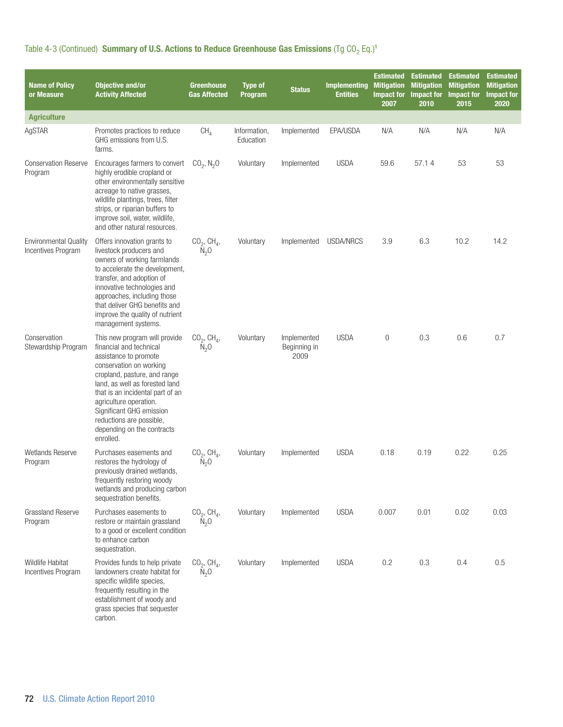Table 4-3 (Continued) Summary of U.S. Actions to Reduce Greenhouse Gas Emissions (Tg  $CO_2$  Eq.)<sup>1</sup>

| <b>Name of Policy</b><br>or Measure                | <b>Objective and/or</b><br><b>Activity Affected</b>                                                                                                                                                                                                                                                                                             | <b>Greenhouse</b><br><b>Gas Affected</b>         | <b>Type of</b><br>Program | <b>Status</b>                       | <b>Implementing</b><br><b>Entities</b> | <b>Estimated</b><br><b>Mitigation</b><br><b>Impact for</b><br>2007 | <b>Estimated</b><br><b>Mitigation</b><br><b>Impact for</b><br>2010 | <b>Estimated</b><br><b>Mitigation</b><br><b>Impact for</b><br>2015 | <b>Estimated</b><br><b>Mitigation</b><br><b>Impact for</b><br>2020 |
|----------------------------------------------------|-------------------------------------------------------------------------------------------------------------------------------------------------------------------------------------------------------------------------------------------------------------------------------------------------------------------------------------------------|--------------------------------------------------|---------------------------|-------------------------------------|----------------------------------------|--------------------------------------------------------------------|--------------------------------------------------------------------|--------------------------------------------------------------------|--------------------------------------------------------------------|
| <b>Agriculture</b>                                 |                                                                                                                                                                                                                                                                                                                                                 |                                                  |                           |                                     |                                        |                                                                    |                                                                    |                                                                    |                                                                    |
| AgSTAR                                             | Promotes practices to reduce<br>GHG emissions from U.S.<br>farms.                                                                                                                                                                                                                                                                               | CH <sub>4</sub>                                  | Information,<br>Education | Implemented                         | EPA/USDA                               | N/A                                                                | N/A                                                                | N/A                                                                | N/A                                                                |
| <b>Conservation Reserve</b><br>Program             | Encourages farmers to convert<br>highly erodible cropland or<br>other environmentally sensitive<br>acreage to native grasses,<br>wildlife plantings, trees, filter<br>strips, or riparian buffers to<br>improve soil, water, wildlife,<br>and other natural resources.                                                                          | $CO_2$ , $N_2O$                                  | Voluntary                 | Implemented                         | <b>USDA</b>                            | 59.6                                                               | 57.14                                                              | 53                                                                 | 53                                                                 |
| <b>Environmental Quality</b><br>Incentives Program | Offers innovation grants to<br>livestock producers and<br>owners of working farmlands<br>to accelerate the development,<br>transfer, and adoption of<br>innovative technologies and<br>approaches, including those<br>that deliver GHG benefits and<br>improve the quality of nutrient<br>management systems.                                   | $CO_2$ , CH <sub>4</sub> ,<br>$\bar{N}_2$ O      | Voluntary                 | Implemented                         | USDA/NRCS                              | 3.9                                                                | 6.3                                                                | 10.2                                                               | 14.2                                                               |
| Conservation<br>Stewardship Program                | This new program will provide<br>financial and technical<br>assistance to promote<br>conservation on working<br>cropland, pasture, and range<br>land, as well as forested land<br>that is an incidental part of an<br>agriculture operation.<br>Significant GHG emission<br>reductions are possible,<br>depending on the contracts<br>enrolled. | $CO_2$ , $CH_4$ ,<br>N <sub>2</sub> 0            | Voluntary                 | Implemented<br>Beginning in<br>2009 | <b>USDA</b>                            | $\mathbf{0}$                                                       | 0.3                                                                | 0.6                                                                | 0.7                                                                |
| Wetlands Reserve<br>Program                        | Purchases easements and<br>restores the hydrology of<br>previously drained wetlands,<br>trequently restoring woody<br>wetlands and producing carbon<br>sequestration benefits.                                                                                                                                                                  | $CO_2$ , CH <sub>4</sub> ,<br>$\overline{N}_2$ O | Voluntary                 | Implemented                         | <b>USDA</b>                            | 0.18                                                               | 0.19                                                               | 0.22                                                               | 0.25                                                               |
| <b>Grassland Reserve</b><br>Program                | Purchases easements to<br>restore or maintain grassland<br>to a good or excellent condition<br>to enhance carbon<br>sequestration.                                                                                                                                                                                                              | $CO_2$ , CH <sub>4</sub> ,<br>$N_2$ O            | Voluntary                 | Implemented                         | <b>USDA</b>                            | 0.007                                                              | 0.01                                                               | 0.02                                                               | 0.03                                                               |
| Wildlife Habitat<br>Incentives Program             | Provides funds to help private<br>landowners create habitat for<br>specific wildlife species,<br>frequently resulting in the<br>establishment of woody and<br>grass species that sequester<br>carbon.                                                                                                                                           | $CO2$ , CH <sub>4</sub> ,<br>$\overline{N}_2$ O  | Voluntary                 | Implemented                         | <b>USDA</b>                            | 0.2                                                                | 0.3                                                                | 0.4                                                                | 0.5                                                                |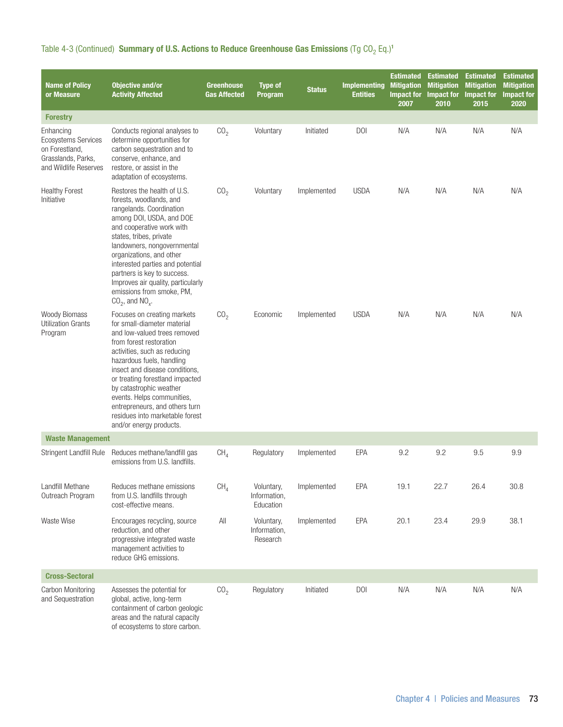| Table 4-3 (Continued) Summary of U.S. Actions to Reduce Greenhouse Gas Emissions (Tg CO <sub>2</sub> Eq.) <sup>1</sup> |  |  |  |  |  |  |  |  |  |
|------------------------------------------------------------------------------------------------------------------------|--|--|--|--|--|--|--|--|--|
|------------------------------------------------------------------------------------------------------------------------|--|--|--|--|--|--|--|--|--|

| <b>Name of Policy</b><br>or Measure                                                               | <b>Objective and/or</b><br><b>Activity Affected</b>                                                                                                                                                                                                                                                                                                                                                              | <b>Greenhouse</b><br><b>Gas Affected</b> | <b>Type of</b><br>Program               | <b>Status</b> | <b>Implementing</b><br><b>Entities</b> | <b>Estimated</b><br><b>Mitigation</b><br><b>Impact for</b><br>2007 | <b>Estimated</b><br><b>Mitigation</b><br><b>Impact for</b><br>2010 | <b>Estimated</b><br><b>Mitigation</b><br><b>Impact for</b><br>2015 | <b>Estimated</b><br><b>Mitigation</b><br><b>Impact for</b><br>2020 |
|---------------------------------------------------------------------------------------------------|------------------------------------------------------------------------------------------------------------------------------------------------------------------------------------------------------------------------------------------------------------------------------------------------------------------------------------------------------------------------------------------------------------------|------------------------------------------|-----------------------------------------|---------------|----------------------------------------|--------------------------------------------------------------------|--------------------------------------------------------------------|--------------------------------------------------------------------|--------------------------------------------------------------------|
| <b>Forestry</b>                                                                                   |                                                                                                                                                                                                                                                                                                                                                                                                                  |                                          |                                         |               |                                        |                                                                    |                                                                    |                                                                    |                                                                    |
| Enhancing<br>Ecosystems Services<br>on Forestland,<br>Grasslands, Parks.<br>and Wildlife Reserves | Conducts regional analyses to<br>determine opportunities for<br>carbon sequestration and to<br>conserve, enhance, and<br>restore, or assist in the<br>adaptation of ecosystems.                                                                                                                                                                                                                                  | CO <sub>2</sub>                          | Voluntary                               | Initiated     | <b>DOI</b>                             | N/A                                                                | N/A                                                                | N/A                                                                | N/A                                                                |
| <b>Healthy Forest</b><br>Initiative                                                               | Restores the health of U.S.<br>forests, woodlands, and<br>rangelands. Coordination<br>among DOI, USDA, and DOE<br>and cooperative work with<br>states, tribes, private<br>landowners, nongovernmental<br>organizations, and other<br>interested parties and potential<br>partners is key to success.<br>Improves air quality, particularly<br>emissions from smoke, PM,<br>$CO2$ , and $NOx$ .                   | CO <sub>2</sub>                          | Voluntary                               | Implemented   | <b>USDA</b>                            | N/A                                                                | N/A                                                                | N/A                                                                | N/A                                                                |
| <b>Woody Biomass</b><br><b>Utilization Grants</b><br>Program                                      | Focuses on creating markets<br>for small-diameter material<br>and low-valued trees removed<br>from forest restoration<br>activities, such as reducing<br>hazardous fuels, handling<br>insect and disease conditions,<br>or treating forestland impacted<br>by catastrophic weather<br>events. Helps communities,<br>entrepreneurs, and others turn<br>residues into marketable forest<br>and/or energy products. | CO <sub>2</sub>                          | Economic                                | Implemented   | <b>USDA</b>                            | N/A                                                                | N/A                                                                | N/A                                                                | N/A                                                                |
| <b>Waste Management</b>                                                                           |                                                                                                                                                                                                                                                                                                                                                                                                                  |                                          |                                         |               |                                        |                                                                    |                                                                    |                                                                    |                                                                    |
| Stringent Landfill Rule                                                                           | Reduces methane/landfill gas<br>emissions from U.S. landfills.                                                                                                                                                                                                                                                                                                                                                   | CH <sub>4</sub>                          | Regulatory                              | Implemented   | EPA                                    | 9.2                                                                | 9.2                                                                | 9.5                                                                | 9.9                                                                |
| Landfill Methane<br>Outreach Program                                                              | Reduces methane emissions<br>from U.S. landfills through<br>cost-effective means.                                                                                                                                                                                                                                                                                                                                | CH <sub>4</sub>                          | Voluntary,<br>Information,<br>Education | Implemented   | EPA                                    | 19.1                                                               | 22.7                                                               | 26.4                                                               | 30.8                                                               |
| Waste Wise                                                                                        | Encourages recycling, source<br>reduction, and other<br>progressive integrated waste<br>management activities to<br>reduce GHG emissions.                                                                                                                                                                                                                                                                        | All                                      | Voluntary,<br>Information,<br>Research  | Implemented   | EPA                                    | 20.1                                                               | 23.4                                                               | 29.9                                                               | 38.1                                                               |
| <b>Cross-Sectoral</b>                                                                             |                                                                                                                                                                                                                                                                                                                                                                                                                  |                                          |                                         |               |                                        |                                                                    |                                                                    |                                                                    |                                                                    |
| Carbon Monitoring<br>and Sequestration                                                            | Assesses the potential for<br>global, active, long-term<br>containment of carbon geologic<br>areas and the natural capacity<br>of ecosystems to store carbon.                                                                                                                                                                                                                                                    | CO <sub>2</sub>                          | Regulatory                              | Initiated     | <b>DOI</b>                             | N/A                                                                | N/A                                                                | N/A                                                                | N/A                                                                |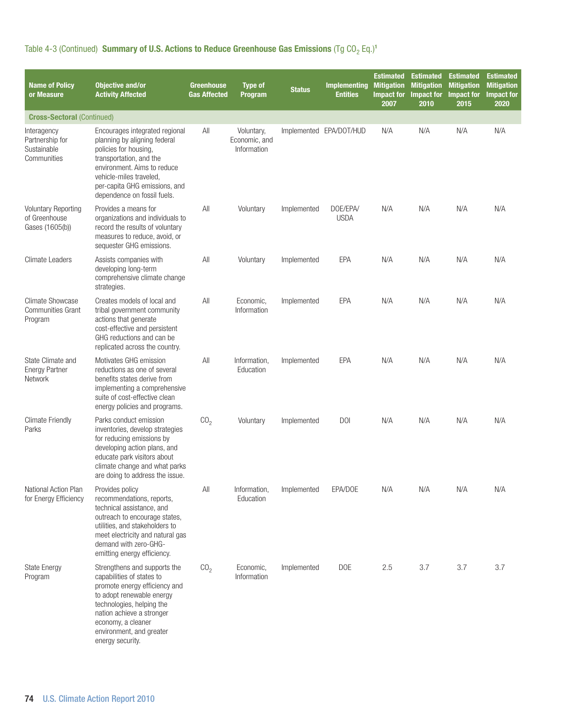| <b>Name of Policy</b><br>or Measure                            | <b>Objective and/or</b><br><b>Activity Affected</b>                                                                                                                                                                                                     | <b>Greenhouse</b><br><b>Gas Affected</b> | <b>Type of</b><br>Program                  | <b>Status</b> | <b>Implementing</b><br><b>Entities</b> | <b>Estimated</b><br><b>Mitigation</b><br>Impact for<br>2007 | <b>Estimated</b><br><b>Mitigation</b><br>Impact for<br>2010 | <b>Estimated</b><br><b>Mitigation</b><br><b>Impact for</b><br>2015 | <b>Estimated</b><br><b>Mitigation</b><br><b>Impact for</b><br>2020 |
|----------------------------------------------------------------|---------------------------------------------------------------------------------------------------------------------------------------------------------------------------------------------------------------------------------------------------------|------------------------------------------|--------------------------------------------|---------------|----------------------------------------|-------------------------------------------------------------|-------------------------------------------------------------|--------------------------------------------------------------------|--------------------------------------------------------------------|
| <b>Cross-Sectoral (Continued)</b>                              |                                                                                                                                                                                                                                                         |                                          |                                            |               |                                        |                                                             |                                                             |                                                                    |                                                                    |
| Interagency<br>Partnership for<br>Sustainable<br>Communities   | Encourages integrated regional<br>planning by aligning federal<br>policies for housing,<br>transportation, and the<br>environment. Aims to reduce<br>vehicle-miles traveled.<br>per-capita GHG emissions, and<br>dependence on fossil fuels.            | All                                      | Voluntary,<br>Economic, and<br>Information |               | Implemented EPA/DOT/HUD                | N/A                                                         | N/A                                                         | N/A                                                                | N/A                                                                |
| <b>Voluntary Reporting</b><br>of Greenhouse<br>Gases (1605(b)) | Provides a means for<br>organizations and individuals to<br>record the results of voluntary<br>measures to reduce, avoid, or<br>sequester GHG emissions.                                                                                                | All                                      | Voluntary                                  | Implemented   | DOE/EPA/<br><b>USDA</b>                | N/A                                                         | N/A                                                         | N/A                                                                | N/A                                                                |
| <b>Climate Leaders</b>                                         | Assists companies with<br>developing long-term<br>comprehensive climate change<br>strategies.                                                                                                                                                           | All                                      | Voluntary                                  | Implemented   | EPA                                    | N/A                                                         | N/A                                                         | N/A                                                                | N/A                                                                |
| <b>Climate Showcase</b><br><b>Communities Grant</b><br>Program | Creates models of local and<br>tribal government community<br>actions that generate<br>cost-effective and persistent<br>GHG reductions and can be<br>replicated across the country.                                                                     | All                                      | Economic.<br>Information                   | Implemented   | EPA                                    | N/A                                                         | N/A                                                         | N/A                                                                | N/A                                                                |
| State Climate and<br><b>Energy Partner</b><br>Network          | Motivates GHG emission<br>reductions as one of several<br>benefits states derive from<br>implementing a comprehensive<br>suite of cost-effective clean<br>energy policies and programs.                                                                 | All                                      | Information,<br>Education                  | Implemented   | <b>EPA</b>                             | N/A                                                         | N/A                                                         | N/A                                                                | N/A                                                                |
| <b>Climate Friendly</b><br>Parks                               | Parks conduct emission<br>inventories, develop strategies<br>for reducing emissions by<br>developing action plans, and<br>educate park visitors about<br>climate change and what parks<br>are doing to address the issue                                | CO <sub>2</sub>                          | Voluntary                                  | Implemented   | <b>DOI</b>                             | N/A                                                         | N/A                                                         | N/A                                                                | N/A                                                                |
| National Action Plan<br>for Energy Efficiency                  | Provides policy<br>recommendations, reports,<br>technical assistance, and<br>outreach to encourage states,<br>utilities, and stakeholders to<br>meet electricity and natural gas<br>demand with zero-GHG-<br>emitting energy efficiency.                | All                                      | Information,<br>Education                  | Implemented   | EPA/DOE                                | N/A                                                         | N/A                                                         | N/A                                                                | N/A                                                                |
| <b>State Energy</b><br>Program                                 | Strengthens and supports the<br>capabilities of states to<br>promote energy efficiency and<br>to adopt renewable energy<br>technologies, helping the<br>nation achieve a stronger<br>economy, a cleaner<br>environment, and greater<br>energy security. | CO <sub>2</sub>                          | Economic,<br>Information                   | Implemented   | <b>DOE</b>                             | 2.5                                                         | 3.7                                                         | 3.7                                                                | 3.7                                                                |